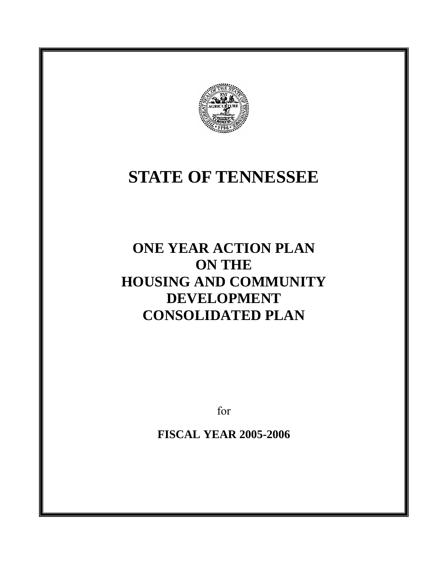

# **STATE OF TENNESSEE**

# **ONE YEAR ACTION PLAN ON THE HOUSING AND COMMUNITY DEVELOPMENT CONSOLIDATED PLAN**

for

**FISCAL YEAR 2005-2006**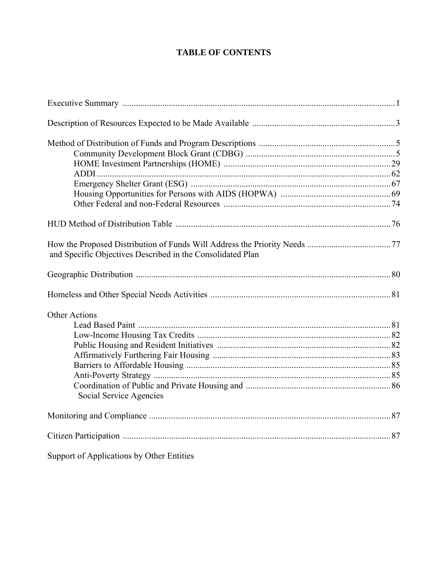# **TABLE OF CONTENTS**

| and Specific Objectives Described in the Consolidated Plan |  |
|------------------------------------------------------------|--|
|                                                            |  |
|                                                            |  |
| <b>Other Actions</b>                                       |  |
|                                                            |  |
|                                                            |  |
|                                                            |  |
|                                                            |  |
|                                                            |  |
|                                                            |  |
| Social Service Agencies                                    |  |
|                                                            |  |
|                                                            |  |
| Support of Applications by Other Entities                  |  |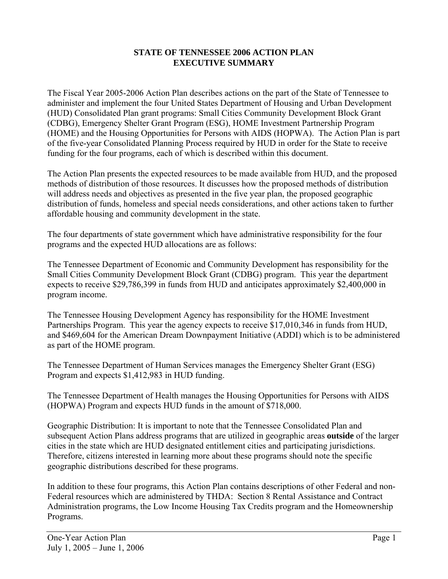#### **STATE OF TENNESSEE 2006 ACTION PLAN EXECUTIVE SUMMARY**

The Fiscal Year 2005-2006 Action Plan describes actions on the part of the State of Tennessee to administer and implement the four United States Department of Housing and Urban Development (HUD) Consolidated Plan grant programs: Small Cities Community Development Block Grant (CDBG), Emergency Shelter Grant Program (ESG), HOME Investment Partnership Program (HOME) and the Housing Opportunities for Persons with AIDS (HOPWA). The Action Plan is part of the five-year Consolidated Planning Process required by HUD in order for the State to receive funding for the four programs, each of which is described within this document.

The Action Plan presents the expected resources to be made available from HUD, and the proposed methods of distribution of those resources. It discusses how the proposed methods of distribution will address needs and objectives as presented in the five year plan, the proposed geographic distribution of funds, homeless and special needs considerations, and other actions taken to further affordable housing and community development in the state.

The four departments of state government which have administrative responsibility for the four programs and the expected HUD allocations are as follows:

The Tennessee Department of Economic and Community Development has responsibility for the Small Cities Community Development Block Grant (CDBG) program. This year the department expects to receive \$29,786,399 in funds from HUD and anticipates approximately \$2,400,000 in program income.

The Tennessee Housing Development Agency has responsibility for the HOME Investment Partnerships Program. This year the agency expects to receive \$17,010,346 in funds from HUD, and \$469,604 for the American Dream Downpayment Initiative (ADDI) which is to be administered as part of the HOME program.

The Tennessee Department of Human Services manages the Emergency Shelter Grant (ESG) Program and expects \$1,412,983 in HUD funding.

The Tennessee Department of Health manages the Housing Opportunities for Persons with AIDS (HOPWA) Program and expects HUD funds in the amount of \$718,000.

Geographic Distribution: It is important to note that the Tennessee Consolidated Plan and subsequent Action Plans address programs that are utilized in geographic areas **outside** of the larger cities in the state which are HUD designated entitlement cities and participating jurisdictions. Therefore, citizens interested in learning more about these programs should note the specific geographic distributions described for these programs.

In addition to these four programs, this Action Plan contains descriptions of other Federal and non-Federal resources which are administered by THDA: Section 8 Rental Assistance and Contract Administration programs, the Low Income Housing Tax Credits program and the Homeownership Programs.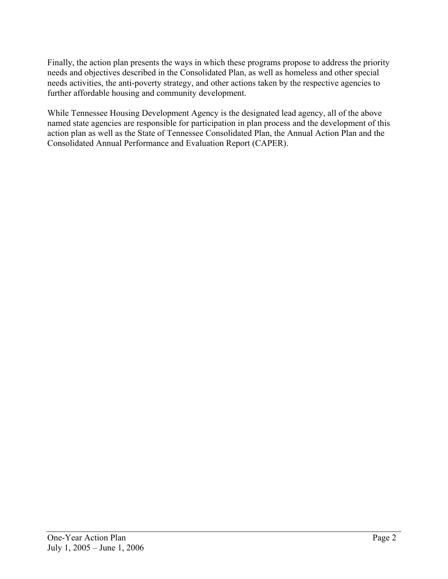Finally, the action plan presents the ways in which these programs propose to address the priority needs and objectives described in the Consolidated Plan, as well as homeless and other special needs activities, the anti-poverty strategy, and other actions taken by the respective agencies to further affordable housing and community development.

While Tennessee Housing Development Agency is the designated lead agency, all of the above named state agencies are responsible for participation in plan process and the development of this action plan as well as the State of Tennessee Consolidated Plan, the Annual Action Plan and the Consolidated Annual Performance and Evaluation Report (CAPER).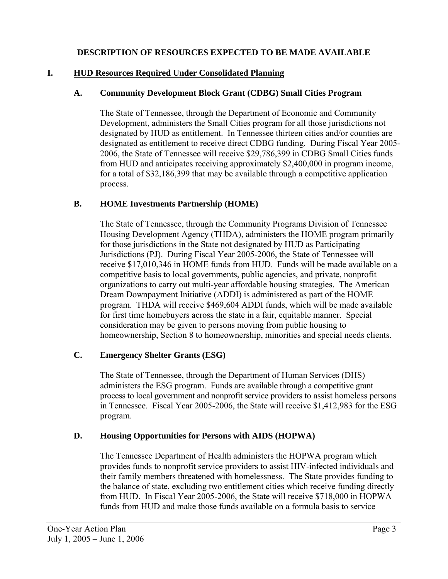#### **DESCRIPTION OF RESOURCES EXPECTED TO BE MADE AVAILABLE**

#### **I. HUD Resources Required Under Consolidated Planning**

#### **A. Community Development Block Grant (CDBG) Small Cities Program**

The State of Tennessee, through the Department of Economic and Community Development, administers the Small Cities program for all those jurisdictions not designated by HUD as entitlement. In Tennessee thirteen cities and/or counties are designated as entitlement to receive direct CDBG funding. During Fiscal Year 2005- 2006, the State of Tennessee will receive \$29,786,399 in CDBG Small Cities funds from HUD and anticipates receiving approximately \$2,400,000 in program income, for a total of \$32,186,399 that may be available through a competitive application process.

#### **B. HOME Investments Partnership (HOME)**

The State of Tennessee, through the Community Programs Division of Tennessee Housing Development Agency (THDA), administers the HOME program primarily for those jurisdictions in the State not designated by HUD as Participating Jurisdictions (PJ). During Fiscal Year 2005-2006, the State of Tennessee will receive \$17,010,346 in HOME funds from HUD. Funds will be made available on a competitive basis to local governments, public agencies, and private, nonprofit organizations to carry out multi-year affordable housing strategies. The American Dream Downpayment Initiative (ADDI) is administered as part of the HOME program. THDA will receive \$469,604 ADDI funds, which will be made available for first time homebuyers across the state in a fair, equitable manner. Special consideration may be given to persons moving from public housing to homeownership, Section 8 to homeownership, minorities and special needs clients.

#### **C. Emergency Shelter Grants (ESG)**

The State of Tennessee, through the Department of Human Services (DHS) administers the ESG program. Funds are available through a competitive grant process to local government and nonprofit service providers to assist homeless persons in Tennessee. Fiscal Year 2005-2006, the State will receive \$1,412,983 for the ESG program.

#### **D. Housing Opportunities for Persons with AIDS (HOPWA)**

The Tennessee Department of Health administers the HOPWA program which provides funds to nonprofit service providers to assist HIV-infected individuals and their family members threatened with homelessness. The State provides funding to the balance of state, excluding two entitlement cities which receive funding directly from HUD. In Fiscal Year 2005-2006, the State will receive \$718,000 in HOPWA funds from HUD and make those funds available on a formula basis to service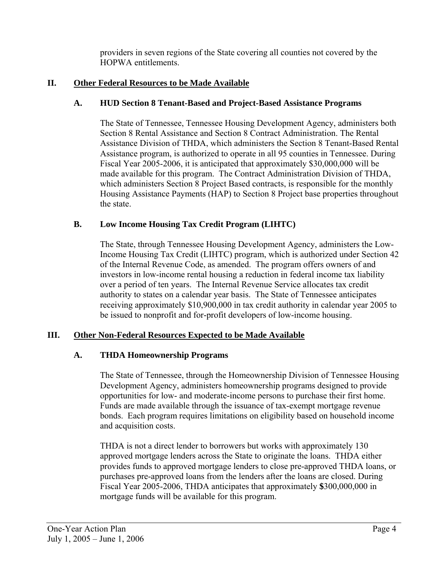providers in seven regions of the State covering all counties not covered by the HOPWA entitlements.

# **II. Other Federal Resources to be Made Available**

#### **A. HUD Section 8 Tenant-Based and Project-Based Assistance Programs**

The State of Tennessee, Tennessee Housing Development Agency, administers both Section 8 Rental Assistance and Section 8 Contract Administration. The Rental Assistance Division of THDA, which administers the Section 8 Tenant-Based Rental Assistance program, is authorized to operate in all 95 counties in Tennessee. During Fiscal Year 2005-2006, it is anticipated that approximately \$30,000,000 will be made available for this program. The Contract Administration Division of THDA, which administers Section 8 Project Based contracts, is responsible for the monthly Housing Assistance Payments (HAP) to Section 8 Project base properties throughout the state.

# **B. Low Income Housing Tax Credit Program (LIHTC)**

The State, through Tennessee Housing Development Agency, administers the Low-Income Housing Tax Credit (LIHTC) program, which is authorized under Section 42 of the Internal Revenue Code, as amended. The program offers owners of and investors in low-income rental housing a reduction in federal income tax liability over a period of ten years. The Internal Revenue Service allocates tax credit authority to states on a calendar year basis. The State of Tennessee anticipates receiving approximately \$10,900,000 in tax credit authority in calendar year 2005 to be issued to nonprofit and for-profit developers of low-income housing.

# **III. Other Non-Federal Resources Expected to be Made Available**

#### **A. THDA Homeownership Programs**

The State of Tennessee, through the Homeownership Division of Tennessee Housing Development Agency, administers homeownership programs designed to provide opportunities for low- and moderate-income persons to purchase their first home. Funds are made available through the issuance of tax-exempt mortgage revenue bonds. Each program requires limitations on eligibility based on household income and acquisition costs.

THDA is not a direct lender to borrowers but works with approximately 130 approved mortgage lenders across the State to originate the loans. THDA either provides funds to approved mortgage lenders to close pre-approved THDA loans, or purchases pre-approved loans from the lenders after the loans are closed. During Fiscal Year 2005-2006, THDA anticipates that approximately **\$**300,000,000 in mortgage funds will be available for this program.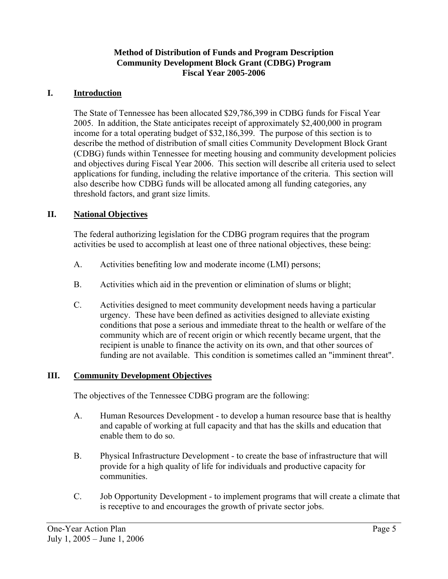#### **Method of Distribution of Funds and Program Description Community Development Block Grant (CDBG) Program Fiscal Year 2005-2006**

#### **I. Introduction**

The State of Tennessee has been allocated \$29,786,399 in CDBG funds for Fiscal Year 2005. In addition, the State anticipates receipt of approximately \$2,400,000 in program income for a total operating budget of \$32,186,399. The purpose of this section is to describe the method of distribution of small cities Community Development Block Grant (CDBG) funds within Tennessee for meeting housing and community development policies and objectives during Fiscal Year 2006. This section will describe all criteria used to select applications for funding, including the relative importance of the criteria. This section will also describe how CDBG funds will be allocated among all funding categories, any threshold factors, and grant size limits.

#### **II. National Objectives**

The federal authorizing legislation for the CDBG program requires that the program activities be used to accomplish at least one of three national objectives, these being:

- A. Activities benefiting low and moderate income (LMI) persons;
- B. Activities which aid in the prevention or elimination of slums or blight;
- C. Activities designed to meet community development needs having a particular urgency. These have been defined as activities designed to alleviate existing conditions that pose a serious and immediate threat to the health or welfare of the community which are of recent origin or which recently became urgent, that the recipient is unable to finance the activity on its own, and that other sources of funding are not available. This condition is sometimes called an "imminent threat".

#### **III. Community Development Objectives**

The objectives of the Tennessee CDBG program are the following:

- A. Human Resources Development to develop a human resource base that is healthy and capable of working at full capacity and that has the skills and education that enable them to do so.
- B. Physical Infrastructure Development to create the base of infrastructure that will provide for a high quality of life for individuals and productive capacity for communities.
- C. Job Opportunity Development to implement programs that will create a climate that is receptive to and encourages the growth of private sector jobs.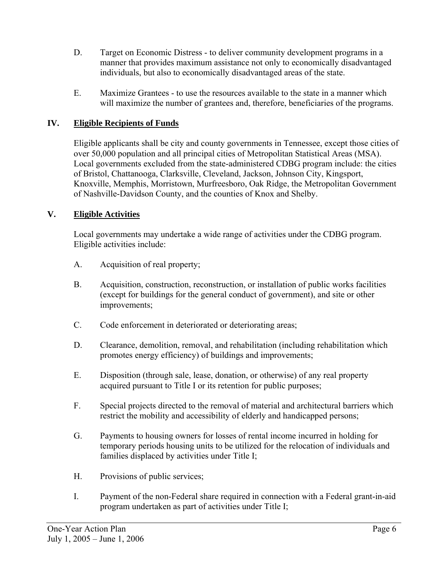- D. Target on Economic Distress to deliver community development programs in a manner that provides maximum assistance not only to economically disadvantaged individuals, but also to economically disadvantaged areas of the state.
- E. Maximize Grantees to use the resources available to the state in a manner which will maximize the number of grantees and, therefore, beneficiaries of the programs.

### **IV. Eligible Recipients of Funds**

Eligible applicants shall be city and county governments in Tennessee, except those cities of over 50,000 population and all principal cities of Metropolitan Statistical Areas (MSA). Local governments excluded from the state-administered CDBG program include: the cities of Bristol, Chattanooga, Clarksville, Cleveland, Jackson, Johnson City, Kingsport, Knoxville, Memphis, Morristown, Murfreesboro, Oak Ridge, the Metropolitan Government of Nashville-Davidson County, and the counties of Knox and Shelby.

#### **V. Eligible Activities**

Local governments may undertake a wide range of activities under the CDBG program. Eligible activities include:

- A. Acquisition of real property;
- B. Acquisition, construction, reconstruction, or installation of public works facilities (except for buildings for the general conduct of government), and site or other improvements;
- C. Code enforcement in deteriorated or deteriorating areas;
- D. Clearance, demolition, removal, and rehabilitation (including rehabilitation which promotes energy efficiency) of buildings and improvements;
- E. Disposition (through sale, lease, donation, or otherwise) of any real property acquired pursuant to Title I or its retention for public purposes;
- F. Special projects directed to the removal of material and architectural barriers which restrict the mobility and accessibility of elderly and handicapped persons;
- G. Payments to housing owners for losses of rental income incurred in holding for temporary periods housing units to be utilized for the relocation of individuals and families displaced by activities under Title I;
- H. Provisions of public services;
- I. Payment of the non-Federal share required in connection with a Federal grant-in-aid program undertaken as part of activities under Title I;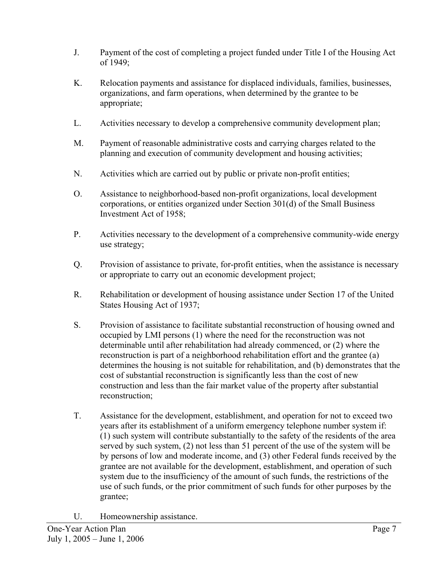- J. Payment of the cost of completing a project funded under Title I of the Housing Act of 1949;
- K. Relocation payments and assistance for displaced individuals, families, businesses, organizations, and farm operations, when determined by the grantee to be appropriate;
- L. Activities necessary to develop a comprehensive community development plan;
- M. Payment of reasonable administrative costs and carrying charges related to the planning and execution of community development and housing activities;
- N. Activities which are carried out by public or private non-profit entities;
- O. Assistance to neighborhood-based non-profit organizations, local development corporations, or entities organized under Section 301(d) of the Small Business Investment Act of 1958;
- P. Activities necessary to the development of a comprehensive community-wide energy use strategy;
- Q. Provision of assistance to private, for-profit entities, when the assistance is necessary or appropriate to carry out an economic development project;
- R. Rehabilitation or development of housing assistance under Section 17 of the United States Housing Act of 1937;
- S. Provision of assistance to facilitate substantial reconstruction of housing owned and occupied by LMI persons (1) where the need for the reconstruction was not determinable until after rehabilitation had already commenced, or (2) where the reconstruction is part of a neighborhood rehabilitation effort and the grantee (a) determines the housing is not suitable for rehabilitation, and (b) demonstrates that the cost of substantial reconstruction is significantly less than the cost of new construction and less than the fair market value of the property after substantial reconstruction;
- T. Assistance for the development, establishment, and operation for not to exceed two years after its establishment of a uniform emergency telephone number system if: (1) such system will contribute substantially to the safety of the residents of the area served by such system, (2) not less than 51 percent of the use of the system will be by persons of low and moderate income, and (3) other Federal funds received by the grantee are not available for the development, establishment, and operation of such system due to the insufficiency of the amount of such funds, the restrictions of the use of such funds, or the prior commitment of such funds for other purposes by the grantee;
- U. Homeownership assistance.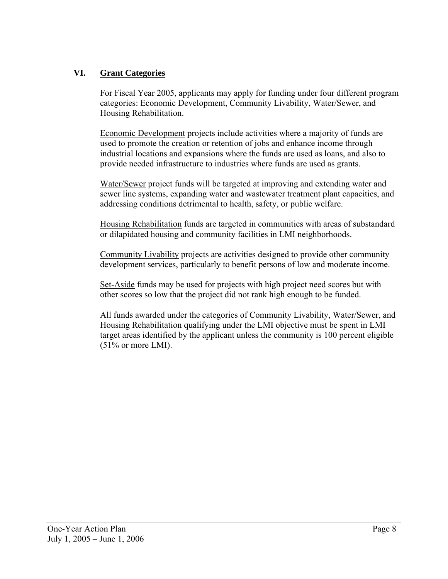#### **VI. Grant Categories**

For Fiscal Year 2005, applicants may apply for funding under four different program categories: Economic Development, Community Livability, Water/Sewer, and Housing Rehabilitation.

Economic Development projects include activities where a majority of funds are used to promote the creation or retention of jobs and enhance income through industrial locations and expansions where the funds are used as loans, and also to provide needed infrastructure to industries where funds are used as grants.

Water/Sewer project funds will be targeted at improving and extending water and sewer line systems, expanding water and wastewater treatment plant capacities, and addressing conditions detrimental to health, safety, or public welfare.

Housing Rehabilitation funds are targeted in communities with areas of substandard or dilapidated housing and community facilities in LMI neighborhoods.

Community Livability projects are activities designed to provide other community development services, particularly to benefit persons of low and moderate income.

Set-Aside funds may be used for projects with high project need scores but with other scores so low that the project did not rank high enough to be funded.

All funds awarded under the categories of Community Livability, Water/Sewer, and Housing Rehabilitation qualifying under the LMI objective must be spent in LMI target areas identified by the applicant unless the community is 100 percent eligible  $(51\% \text{ or more LMI}).$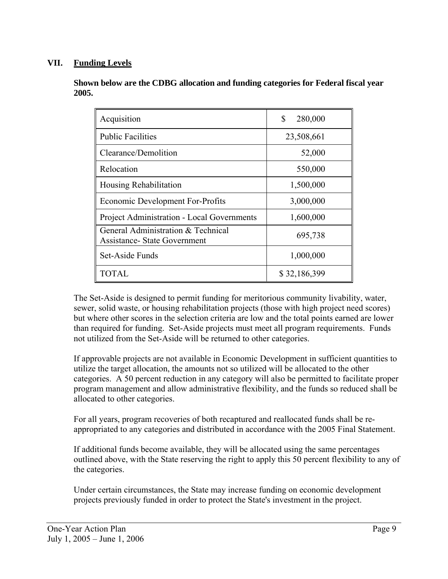#### **VII. Funding Levels**

**Shown below are the CDBG allocation and funding categories for Federal fiscal year 2005.** 

| Acquisition                                                               | \$<br>280,000 |
|---------------------------------------------------------------------------|---------------|
| <b>Public Facilities</b>                                                  | 23,508,661    |
| Clearance/Demolition                                                      | 52,000        |
| Relocation                                                                | 550,000       |
| Housing Rehabilitation                                                    | 1,500,000     |
| Economic Development For-Profits                                          | 3,000,000     |
| <b>Project Administration - Local Governments</b>                         | 1,600,000     |
| General Administration & Technical<br><b>Assistance- State Government</b> | 695,738       |
| Set-Aside Funds                                                           | 1,000,000     |
| TOTAL                                                                     | \$32,186,399  |

The Set-Aside is designed to permit funding for meritorious community livability, water, sewer, solid waste, or housing rehabilitation projects (those with high project need scores) but where other scores in the selection criteria are low and the total points earned are lower than required for funding. Set-Aside projects must meet all program requirements. Funds not utilized from the Set-Aside will be returned to other categories.

If approvable projects are not available in Economic Development in sufficient quantities to utilize the target allocation, the amounts not so utilized will be allocated to the other categories. A 50 percent reduction in any category will also be permitted to facilitate proper program management and allow administrative flexibility, and the funds so reduced shall be allocated to other categories.

For all years, program recoveries of both recaptured and reallocated funds shall be reappropriated to any categories and distributed in accordance with the 2005 Final Statement.

If additional funds become available, they will be allocated using the same percentages outlined above, with the State reserving the right to apply this 50 percent flexibility to any of the categories.

Under certain circumstances, the State may increase funding on economic development projects previously funded in order to protect the State's investment in the project.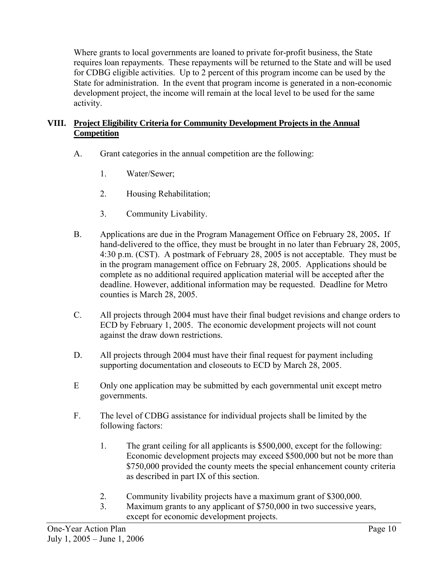Where grants to local governments are loaned to private for-profit business, the State requires loan repayments. These repayments will be returned to the State and will be used for CDBG eligible activities. Up to 2 percent of this program income can be used by the State for administration. In the event that program income is generated in a non-economic development project, the income will remain at the local level to be used for the same activity.

#### **VIII. Project Eligibility Criteria for Community Development Projects in the Annual Competition**

- A. Grant categories in the annual competition are the following:
	- 1. Water/Sewer;
	- 2. Housing Rehabilitation;
	- 3. Community Livability.
- B. Applications are due in the Program Management Office on February 28, 2005**.** If hand-delivered to the office, they must be brought in no later than February 28, 2005, 4:30 p.m. (CST). A postmark of February 28, 2005 is not acceptable. They must be in the program management office on February 28, 2005. Applications should be complete as no additional required application material will be accepted after the deadline. However, additional information may be requested. Deadline for Metro counties is March 28, 2005.
- C. All projects through 2004 must have their final budget revisions and change orders to ECD by February 1, 2005. The economic development projects will not count against the draw down restrictions.
- D. All projects through 2004 must have their final request for payment including supporting documentation and closeouts to ECD by March 28, 2005.
- E Only one application may be submitted by each governmental unit except metro governments.
- F. The level of CDBG assistance for individual projects shall be limited by the following factors:
	- 1. The grant ceiling for all applicants is \$500,000, except for the following: Economic development projects may exceed \$500,000 but not be more than \$750,000 provided the county meets the special enhancement county criteria as described in part IX of this section.
	- 2. Community livability projects have a maximum grant of \$300,000.
	- 3. Maximum grants to any applicant of \$750,000 in two successive years, except for economic development projects.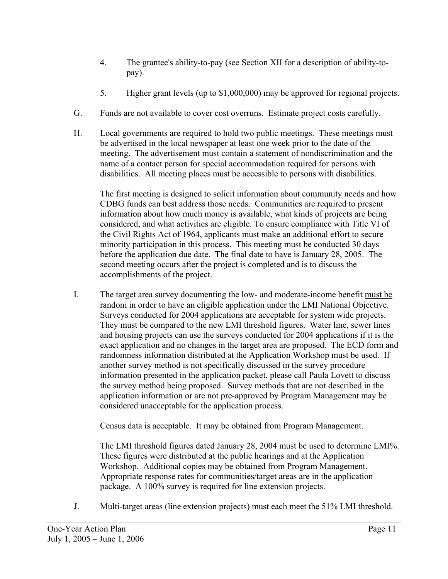- 4. The grantee's ability-to-pay (see Section XII for a description of ability-topay).
- 5. Higher grant levels (up to \$1,000,000) may be approved for regional projects.
- G. Funds are not available to cover cost overruns. Estimate project costs carefully.
- H. Local governments are required to hold two public meetings. These meetings must be advertised in the local newspaper at least one week prior to the date of the meeting. The advertisement must contain a statement of nondiscrimination and the name of a contact person for special accommodation required for persons with disabilities. All meeting places must be accessible to persons with disabilities.

 The first meeting is designed to solicit information about community needs and how CDBG funds can best address those needs. Communities are required to present information about how much money is available, what kinds of projects are being considered, and what activities are eligible. To ensure compliance with Title VI of the Civil Rights Act of 1964, applicants must make an additional effort to secure minority participation in this process. This meeting must be conducted 30 days before the application due date. The final date to have is January 28, 2005. The second meeting occurs after the project is completed and is to discuss the accomplishments of the project.

I. The target area survey documenting the low- and moderate-income benefit must be random in order to have an eligible application under the LMI National Objective. Surveys conducted for 2004 applications are acceptable for system wide projects. They must be compared to the new LMI threshold figures. Water line, sewer lines and housing projects can use the surveys conducted for 2004 applications if it is the exact application and no changes in the target area are proposed. The ECD form and randomness information distributed at the Application Workshop must be used. If another survey method is not specifically discussed in the survey procedure information presented in the application packet, please call Paula Lovett to discuss the survey method being proposed. Survey methods that are not described in the application information or are not pre-approved by Program Management may be considered unacceptable for the application process.

Census data is acceptable. It may be obtained from Program Management.

 The LMI threshold figures dated January 28, 2004 must be used to determine LMI%. These figures were distributed at the public hearings and at the Application Workshop. Additional copies may be obtained from Program Management. Appropriate response rates for communities/target areas are in the application package. A 100% survey is required for line extension projects.

J. Multi-target areas (line extension projects) must each meet the 51% LMI threshold.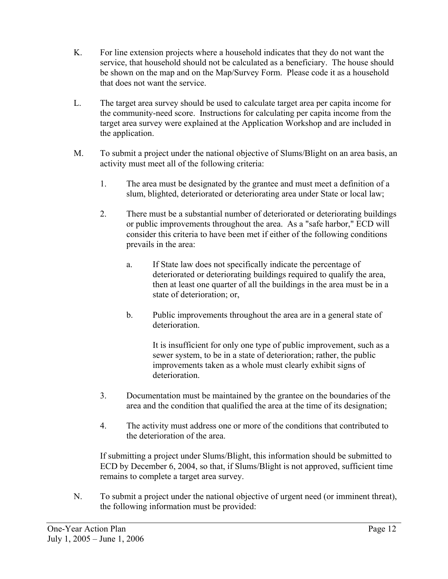- K. For line extension projects where a household indicates that they do not want the service, that household should not be calculated as a beneficiary. The house should be shown on the map and on the Map/Survey Form. Please code it as a household that does not want the service.
- L. The target area survey should be used to calculate target area per capita income for the community-need score. Instructions for calculating per capita income from the target area survey were explained at the Application Workshop and are included in the application.
- M. To submit a project under the national objective of Slums/Blight on an area basis, an activity must meet all of the following criteria:
	- 1. The area must be designated by the grantee and must meet a definition of a slum, blighted, deteriorated or deteriorating area under State or local law;
	- 2. There must be a substantial number of deteriorated or deteriorating buildings or public improvements throughout the area. As a "safe harbor," ECD will consider this criteria to have been met if either of the following conditions prevails in the area:
		- a. If State law does not specifically indicate the percentage of deteriorated or deteriorating buildings required to qualify the area, then at least one quarter of all the buildings in the area must be in a state of deterioration; or,
		- b. Public improvements throughout the area are in a general state of deterioration.

 It is insufficient for only one type of public improvement, such as a sewer system, to be in a state of deterioration; rather, the public improvements taken as a whole must clearly exhibit signs of deterioration.

- 3. Documentation must be maintained by the grantee on the boundaries of the area and the condition that qualified the area at the time of its designation;
- 4. The activity must address one or more of the conditions that contributed to the deterioration of the area.

If submitting a project under Slums/Blight, this information should be submitted to ECD by December 6, 2004, so that, if Slums/Blight is not approved, sufficient time remains to complete a target area survey.

N. To submit a project under the national objective of urgent need (or imminent threat), the following information must be provided: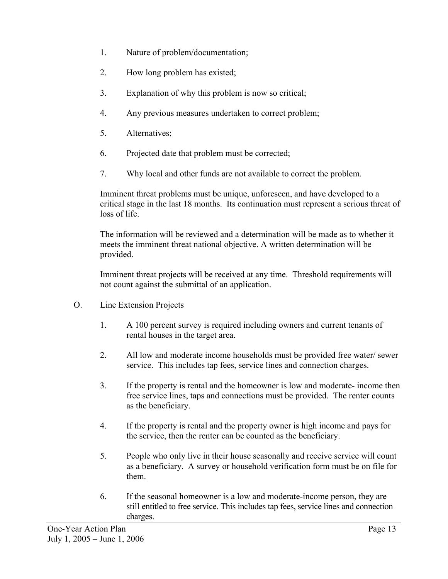- 1. Nature of problem/documentation;
- 2. How long problem has existed;
- 3. Explanation of why this problem is now so critical;
- 4. Any previous measures undertaken to correct problem;
- 5. Alternatives;
- 6. Projected date that problem must be corrected;
- 7. Why local and other funds are not available to correct the problem.

Imminent threat problems must be unique, unforeseen, and have developed to a critical stage in the last 18 months. Its continuation must represent a serious threat of loss of life.

The information will be reviewed and a determination will be made as to whether it meets the imminent threat national objective. A written determination will be provided.

Imminent threat projects will be received at any time. Threshold requirements will not count against the submittal of an application.

- O. Line Extension Projects
	- 1. A 100 percent survey is required including owners and current tenants of rental houses in the target area.
	- 2. All low and moderate income households must be provided free water/ sewer service. This includes tap fees, service lines and connection charges.
	- 3. If the property is rental and the homeowner is low and moderate- income then free service lines, taps and connections must be provided. The renter counts as the beneficiary.
	- 4. If the property is rental and the property owner is high income and pays for the service, then the renter can be counted as the beneficiary.
	- 5. People who only live in their house seasonally and receive service will count as a beneficiary. A survey or household verification form must be on file for them.
	- 6. If the seasonal homeowner is a low and moderate-income person, they are still entitled to free service. This includes tap fees, service lines and connection charges.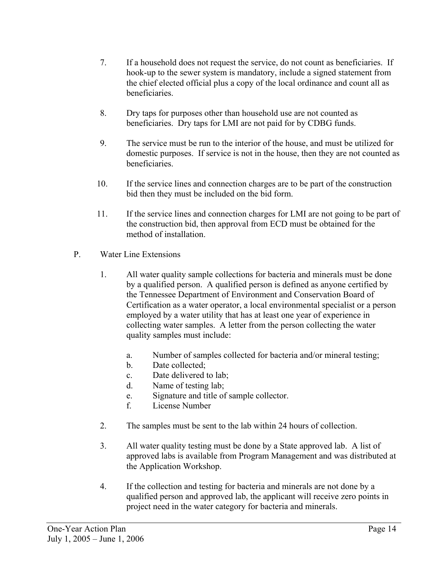- 7. If a household does not request the service, do not count as beneficiaries. If hook-up to the sewer system is mandatory, include a signed statement from the chief elected official plus a copy of the local ordinance and count all as beneficiaries.
- 8. Dry taps for purposes other than household use are not counted as beneficiaries. Dry taps for LMI are not paid for by CDBG funds.
- 9. The service must be run to the interior of the house, and must be utilized for domestic purposes. If service is not in the house, then they are not counted as beneficiaries.
- 10. If the service lines and connection charges are to be part of the construction bid then they must be included on the bid form.
- 11. If the service lines and connection charges for LMI are not going to be part of the construction bid, then approval from ECD must be obtained for the method of installation.
- P. Water Line Extensions
	- 1. All water quality sample collections for bacteria and minerals must be done by a qualified person. A qualified person is defined as anyone certified by the Tennessee Department of Environment and Conservation Board of Certification as a water operator, a local environmental specialist or a person employed by a water utility that has at least one year of experience in collecting water samples. A letter from the person collecting the water quality samples must include:
		- a. Number of samples collected for bacteria and/or mineral testing;
		- b. Date collected;
		- c. Date delivered to lab;
		- d. Name of testing lab;
		- e. Signature and title of sample collector.
		- f. License Number
	- 2. The samples must be sent to the lab within 24 hours of collection.
	- 3. All water quality testing must be done by a State approved lab. A list of approved labs is available from Program Management and was distributed at the Application Workshop.
	- 4. If the collection and testing for bacteria and minerals are not done by a qualified person and approved lab, the applicant will receive zero points in project need in the water category for bacteria and minerals.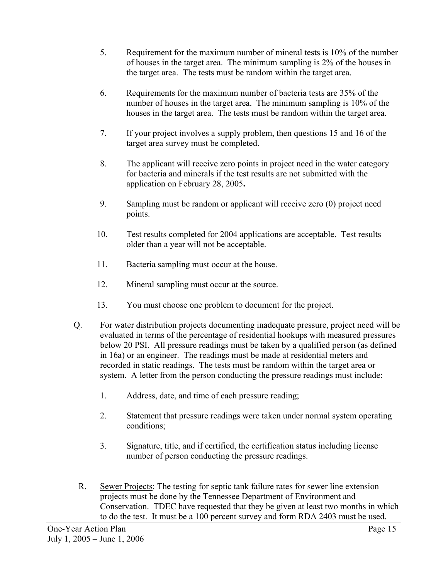- 5. Requirement for the maximum number of mineral tests is 10% of the number of houses in the target area. The minimum sampling is 2% of the houses in the target area. The tests must be random within the target area.
- 6. Requirements for the maximum number of bacteria tests are 35% of the number of houses in the target area. The minimum sampling is 10% of the houses in the target area. The tests must be random within the target area.
- 7. If your project involves a supply problem, then questions 15 and 16 of the target area survey must be completed.
- 8. The applicant will receive zero points in project need in the water category for bacteria and minerals if the test results are not submitted with the application on February 28, 2005**.**
- 9. Sampling must be random or applicant will receive zero (0) project need points.
- 10. Test results completed for 2004 applications are acceptable. Test results older than a year will not be acceptable.
- 11. Bacteria sampling must occur at the house.
- 12. Mineral sampling must occur at the source.
- 13. You must choose one problem to document for the project.
- Q. For water distribution projects documenting inadequate pressure, project need will be evaluated in terms of the percentage of residential hookups with measured pressures below 20 PSI. All pressure readings must be taken by a qualified person (as defined in 16a) or an engineer. The readings must be made at residential meters and recorded in static readings. The tests must be random within the target area or system. A letter from the person conducting the pressure readings must include:
	- 1. Address, date, and time of each pressure reading;
	- 2. Statement that pressure readings were taken under normal system operating conditions;
	- 3. Signature, title, and if certified, the certification status including license number of person conducting the pressure readings.
	- R. Sewer Projects: The testing for septic tank failure rates for sewer line extension projects must be done by the Tennessee Department of Environment and Conservation. TDEC have requested that they be given at least two months in which to do the test. It must be a 100 percent survey and form RDA 2403 must be used.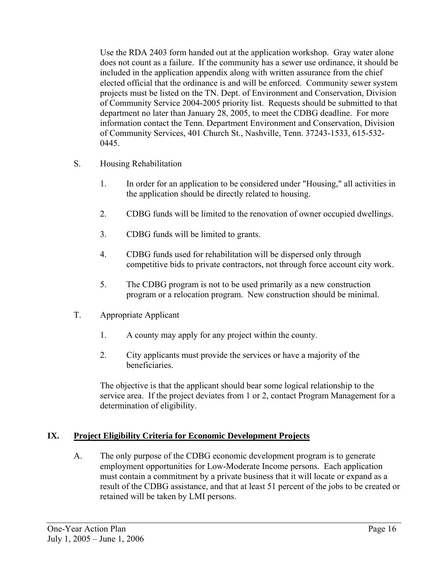Use the RDA 2403 form handed out at the application workshop. Gray water alone does not count as a failure. If the community has a sewer use ordinance, it should be included in the application appendix along with written assurance from the chief elected official that the ordinance is and will be enforced. Community sewer system projects must be listed on the TN. Dept. of Environment and Conservation, Division of Community Service 2004-2005 priority list. Requests should be submitted to that department no later than January 28, 2005, to meet the CDBG deadline. For more information contact the Tenn. Department Environment and Conservation, Division of Community Services, 401 Church St., Nashville, Tenn. 37243-1533, 615-532- 0445.

- S. Housing Rehabilitation
	- 1. In order for an application to be considered under "Housing," all activities in the application should be directly related to housing.
	- 2. CDBG funds will be limited to the renovation of owner occupied dwellings.
	- 3. CDBG funds will be limited to grants.
	- 4. CDBG funds used for rehabilitation will be dispersed only through competitive bids to private contractors, not through force account city work.
	- 5. The CDBG program is not to be used primarily as a new construction program or a relocation program. New construction should be minimal.
- T. Appropriate Applicant
	- 1. A county may apply for any project within the county.
	- 2. City applicants must provide the services or have a majority of the beneficiaries.

The objective is that the applicant should bear some logical relationship to the service area. If the project deviates from 1 or 2, contact Program Management for a determination of eligibility.

#### **IX. Project Eligibility Criteria for Economic Development Projects**

A. The only purpose of the CDBG economic development program is to generate employment opportunities for Low-Moderate Income persons. Each application must contain a commitment by a private business that it will locate or expand as a result of the CDBG assistance, and that at least 51 percent of the jobs to be created or retained will be taken by LMI persons.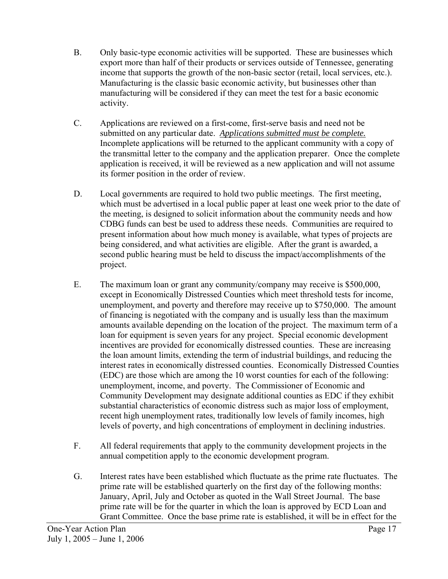- B. Only basic-type economic activities will be supported. These are businesses which export more than half of their products or services outside of Tennessee, generating income that supports the growth of the non-basic sector (retail, local services, etc.). Manufacturing is the classic basic economic activity, but businesses other than manufacturing will be considered if they can meet the test for a basic economic activity.
- C. Applications are reviewed on a first-come, first-serve basis and need not be submitted on any particular date. *Applications submitted must be complete.* Incomplete applications will be returned to the applicant community with a copy of the transmittal letter to the company and the application preparer. Once the complete application is received, it will be reviewed as a new application and will not assume its former position in the order of review.
- D. Local governments are required to hold two public meetings. The first meeting, which must be advertised in a local public paper at least one week prior to the date of the meeting, is designed to solicit information about the community needs and how CDBG funds can best be used to address these needs. Communities are required to present information about how much money is available, what types of projects are being considered, and what activities are eligible. After the grant is awarded, a second public hearing must be held to discuss the impact/accomplishments of the project.
- E. The maximum loan or grant any community/company may receive is \$500,000, except in Economically Distressed Counties which meet threshold tests for income, unemployment, and poverty and therefore may receive up to \$750,000. The amount of financing is negotiated with the company and is usually less than the maximum amounts available depending on the location of the project. The maximum term of a loan for equipment is seven years for any project. Special economic development incentives are provided for economically distressed counties. These are increasing the loan amount limits, extending the term of industrial buildings, and reducing the interest rates in economically distressed counties. Economically Distressed Counties (EDC) are those which are among the 10 worst counties for each of the following: unemployment, income, and poverty. The Commissioner of Economic and Community Development may designate additional counties as EDC if they exhibit substantial characteristics of economic distress such as major loss of employment, recent high unemployment rates, traditionally low levels of family incomes, high levels of poverty, and high concentrations of employment in declining industries.
- F. All federal requirements that apply to the community development projects in the annual competition apply to the economic development program.
- G. Interest rates have been established which fluctuate as the prime rate fluctuates. The prime rate will be established quarterly on the first day of the following months: January, April, July and October as quoted in the Wall Street Journal. The base prime rate will be for the quarter in which the loan is approved by ECD Loan and Grant Committee. Once the base prime rate is established, it will be in effect for the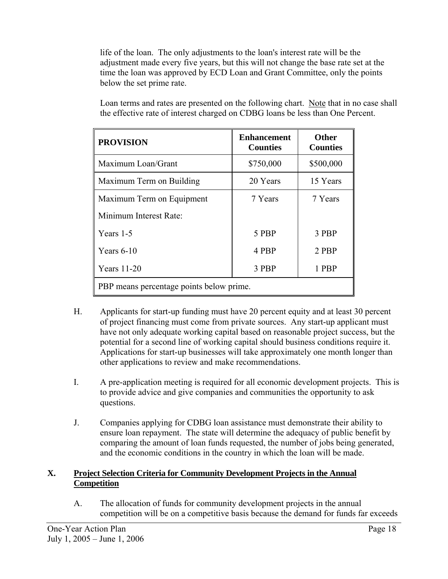life of the loan. The only adjustments to the loan's interest rate will be the adjustment made every five years, but this will not change the base rate set at the time the loan was approved by ECD Loan and Grant Committee, only the points below the set prime rate.

| <b>PROVISION</b>                         | <b>Enhancement</b><br><b>Counties</b> | <b>Other</b><br><b>Counties</b> |  |
|------------------------------------------|---------------------------------------|---------------------------------|--|
| Maximum Loan/Grant                       | \$750,000                             | \$500,000                       |  |
| Maximum Term on Building                 | 20 Years                              | 15 Years                        |  |
| Maximum Term on Equipment                | 7 Years                               | 7 Years                         |  |
| Minimum Interest Rate:                   |                                       |                                 |  |
| Years 1-5                                | 5 PBP                                 | 3 PBP                           |  |
| Years $6-10$                             | 4 PBP                                 | 2 PBP                           |  |
| <b>Years</b> 11-20                       | 3 PBP                                 | 1 PBP                           |  |
| PBP means percentage points below prime. |                                       |                                 |  |

Loan terms and rates are presented on the following chart. Note that in no case shall the effective rate of interest charged on CDBG loans be less than One Percent.

- H. Applicants for start-up funding must have 20 percent equity and at least 30 percent of project financing must come from private sources. Any start-up applicant must have not only adequate working capital based on reasonable project success, but the potential for a second line of working capital should business conditions require it. Applications for start-up businesses will take approximately one month longer than other applications to review and make recommendations.
- I. A pre-application meeting is required for all economic development projects. This is to provide advice and give companies and communities the opportunity to ask questions.
- J. Companies applying for CDBG loan assistance must demonstrate their ability to ensure loan repayment. The state will determine the adequacy of public benefit by comparing the amount of loan funds requested, the number of jobs being generated, and the economic conditions in the country in which the loan will be made.

# **X. Project Selection Criteria for Community Development Projects in the Annual Competition**

A. The allocation of funds for community development projects in the annual competition will be on a competitive basis because the demand for funds far exceeds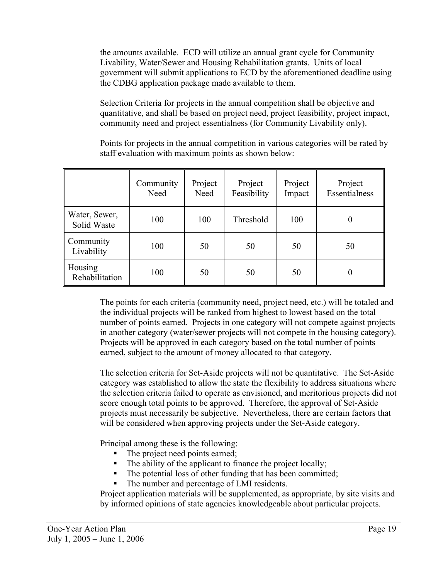the amounts available. ECD will utilize an annual grant cycle for Community Livability, Water/Sewer and Housing Rehabilitation grants. Units of local government will submit applications to ECD by the aforementioned deadline using the CDBG application package made available to them.

Selection Criteria for projects in the annual competition shall be objective and quantitative, and shall be based on project need, project feasibility, project impact, community need and project essentialness (for Community Livability only).

Points for projects in the annual competition in various categories will be rated by staff evaluation with maximum points as shown below:

|                              | Community<br>Need | Project<br>Need | Project<br>Feasibility | Project<br>Impact | Project<br>Essentialness |
|------------------------------|-------------------|-----------------|------------------------|-------------------|--------------------------|
| Water, Sewer,<br>Solid Waste | 100               | 100             | Threshold              | 100               | 0                        |
| Community<br>Livability      | 100               | 50              | 50                     | 50                | 50                       |
| Housing<br>Rehabilitation    | 100               | 50              | 50                     | 50                | 0                        |

The points for each criteria (community need, project need, etc.) will be totaled and the individual projects will be ranked from highest to lowest based on the total number of points earned. Projects in one category will not compete against projects in another category (water/sewer projects will not compete in the housing category). Projects will be approved in each category based on the total number of points earned, subject to the amount of money allocated to that category.

The selection criteria for Set-Aside projects will not be quantitative. The Set-Aside category was established to allow the state the flexibility to address situations where the selection criteria failed to operate as envisioned, and meritorious projects did not score enough total points to be approved. Therefore, the approval of Set-Aside projects must necessarily be subjective. Nevertheless, there are certain factors that will be considered when approving projects under the Set-Aside category.

Principal among these is the following:

- The project need points earned;
- The ability of the applicant to finance the project locally;
- The potential loss of other funding that has been committed;
- The number and percentage of LMI residents.

Project application materials will be supplemented, as appropriate, by site visits and by informed opinions of state agencies knowledgeable about particular projects.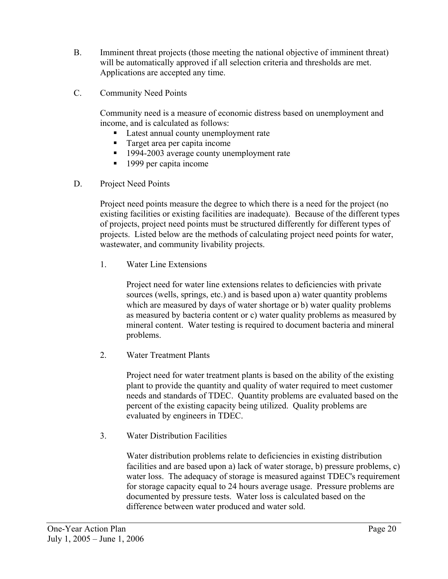- B. Imminent threat projects (those meeting the national objective of imminent threat) will be automatically approved if all selection criteria and thresholds are met. Applications are accepted any time.
- C. Community Need Points

Community need is a measure of economic distress based on unemployment and income, and is calculated as follows:

- Latest annual county unemployment rate
- Target area per capita income
- <sup>1994-2003</sup> average county unemployment rate
- 1999 per capita income
- D. Project Need Points

Project need points measure the degree to which there is a need for the project (no existing facilities or existing facilities are inadequate). Because of the different types of projects, project need points must be structured differently for different types of projects. Listed below are the methods of calculating project need points for water, wastewater, and community livability projects.

1. Water Line Extensions

Project need for water line extensions relates to deficiencies with private sources (wells, springs, etc.) and is based upon a) water quantity problems which are measured by days of water shortage or b) water quality problems as measured by bacteria content or c) water quality problems as measured by mineral content. Water testing is required to document bacteria and mineral problems.

2. Water Treatment Plants

Project need for water treatment plants is based on the ability of the existing plant to provide the quantity and quality of water required to meet customer needs and standards of TDEC. Quantity problems are evaluated based on the percent of the existing capacity being utilized. Quality problems are evaluated by engineers in TDEC.

3. Water Distribution Facilities

Water distribution problems relate to deficiencies in existing distribution facilities and are based upon a) lack of water storage, b) pressure problems, c) water loss. The adequacy of storage is measured against TDEC's requirement for storage capacity equal to 24 hours average usage. Pressure problems are documented by pressure tests. Water loss is calculated based on the difference between water produced and water sold.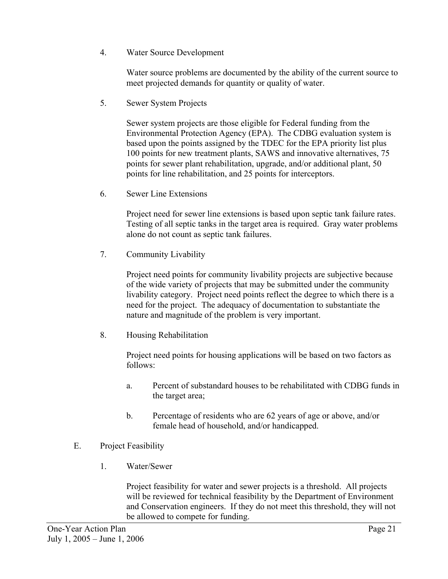4. Water Source Development

Water source problems are documented by the ability of the current source to meet projected demands for quantity or quality of water.

5. Sewer System Projects

Sewer system projects are those eligible for Federal funding from the Environmental Protection Agency (EPA). The CDBG evaluation system is based upon the points assigned by the TDEC for the EPA priority list plus 100 points for new treatment plants, SAWS and innovative alternatives, 75 points for sewer plant rehabilitation, upgrade, and/or additional plant, 50 points for line rehabilitation, and 25 points for interceptors.

6. Sewer Line Extensions

Project need for sewer line extensions is based upon septic tank failure rates. Testing of all septic tanks in the target area is required. Gray water problems alone do not count as septic tank failures.

7. Community Livability

Project need points for community livability projects are subjective because of the wide variety of projects that may be submitted under the community livability category. Project need points reflect the degree to which there is a need for the project. The adequacy of documentation to substantiate the nature and magnitude of the problem is very important.

8. Housing Rehabilitation

Project need points for housing applications will be based on two factors as follows:

- a. Percent of substandard houses to be rehabilitated with CDBG funds in the target area;
- b. Percentage of residents who are 62 years of age or above, and/or female head of household, and/or handicapped.
- E. Project Feasibility
	- 1. Water/Sewer

Project feasibility for water and sewer projects is a threshold. All projects will be reviewed for technical feasibility by the Department of Environment and Conservation engineers. If they do not meet this threshold, they will not be allowed to compete for funding.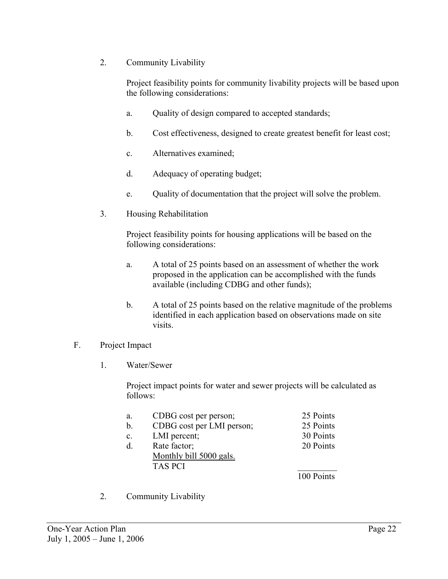2. Community Livability

Project feasibility points for community livability projects will be based upon the following considerations:

- a. Quality of design compared to accepted standards;
- b. Cost effectiveness, designed to create greatest benefit for least cost;
- c. Alternatives examined;
- d. Adequacy of operating budget;
- e. Quality of documentation that the project will solve the problem.
- 3. Housing Rehabilitation

Project feasibility points for housing applications will be based on the following considerations:

- a. A total of 25 points based on an assessment of whether the work proposed in the application can be accomplished with the funds available (including CDBG and other funds);
- b. A total of 25 points based on the relative magnitude of the problems identified in each application based on observations made on site visits.

#### F. Project Impact

1. Water/Sewer

Project impact points for water and sewer projects will be calculated as follows:

| a.             | CDBG cost per person;     | 25 Points  |
|----------------|---------------------------|------------|
| b.             | CDBG cost per LMI person; | 25 Points  |
| $\mathbf{c}$ . | LMI percent;              | 30 Points  |
| d.             | Rate factor;              | 20 Points  |
|                | Monthly bill 5000 gals.   |            |
|                | <b>TAS PCI</b>            |            |
|                |                           | 100 Points |
|                |                           |            |

2. Community Livability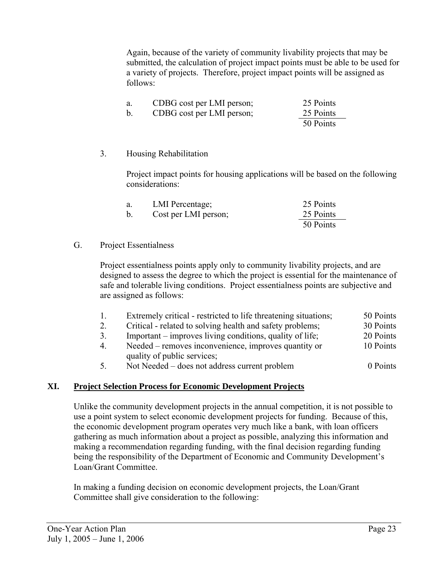Again, because of the variety of community livability projects that may be submitted, the calculation of project impact points must be able to be used for a variety of projects. Therefore, project impact points will be assigned as follows:

| a. | CDBG cost per LMI person; | 25 Points |
|----|---------------------------|-----------|
|    | CDBG cost per LMI person; | 25 Points |
|    |                           | 50 Points |

#### 3. Housing Rehabilitation

Project impact points for housing applications will be based on the following considerations:

| a.          | LMI Percentage;      | 25 Points |
|-------------|----------------------|-----------|
| $\mathbf b$ | Cost per LMI person; | 25 Points |
|             |                      | 50 Points |

#### G. Project Essentialness

Project essentialness points apply only to community livability projects, and are designed to assess the degree to which the project is essential for the maintenance of safe and tolerable living conditions. Project essentialness points are subjective and are assigned as follows:

- 1. Extremely critical restricted to life threatening situations; 50 Points
- 2. Critical related to solving health and safety problems; 30 Points
- 3. Important improves living conditions, quality of life; 20 Points
- 4. Needed removes inconvenience, improves quantity or 10 Points quality of public services;
- 5. Not Needed does not address current problem 0 Points

#### **XI. Project Selection Process for Economic Development Projects**

Unlike the community development projects in the annual competition, it is not possible to use a point system to select economic development projects for funding. Because of this, the economic development program operates very much like a bank, with loan officers gathering as much information about a project as possible, analyzing this information and making a recommendation regarding funding, with the final decision regarding funding being the responsibility of the Department of Economic and Community Development's Loan/Grant Committee.

In making a funding decision on economic development projects, the Loan/Grant Committee shall give consideration to the following: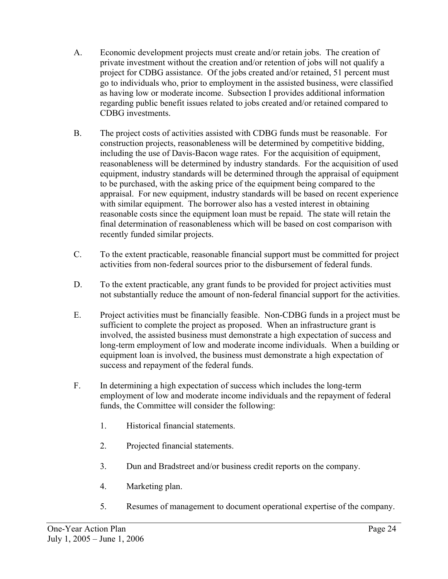- A. Economic development projects must create and/or retain jobs. The creation of private investment without the creation and/or retention of jobs will not qualify a project for CDBG assistance. Of the jobs created and/or retained, 51 percent must go to individuals who, prior to employment in the assisted business, were classified as having low or moderate income. Subsection I provides additional information regarding public benefit issues related to jobs created and/or retained compared to CDBG investments.
- B. The project costs of activities assisted with CDBG funds must be reasonable. For construction projects, reasonableness will be determined by competitive bidding, including the use of Davis-Bacon wage rates. For the acquisition of equipment, reasonableness will be determined by industry standards. For the acquisition of used equipment, industry standards will be determined through the appraisal of equipment to be purchased, with the asking price of the equipment being compared to the appraisal. For new equipment, industry standards will be based on recent experience with similar equipment. The borrower also has a vested interest in obtaining reasonable costs since the equipment loan must be repaid. The state will retain the final determination of reasonableness which will be based on cost comparison with recently funded similar projects.
- C. To the extent practicable, reasonable financial support must be committed for project activities from non-federal sources prior to the disbursement of federal funds.
- D. To the extent practicable, any grant funds to be provided for project activities must not substantially reduce the amount of non-federal financial support for the activities.
- E. Project activities must be financially feasible. Non-CDBG funds in a project must be sufficient to complete the project as proposed. When an infrastructure grant is involved, the assisted business must demonstrate a high expectation of success and long-term employment of low and moderate income individuals. When a building or equipment loan is involved, the business must demonstrate a high expectation of success and repayment of the federal funds.
- F. In determining a high expectation of success which includes the long-term employment of low and moderate income individuals and the repayment of federal funds, the Committee will consider the following:
	- 1. Historical financial statements.
	- 2. Projected financial statements.
	- 3. Dun and Bradstreet and/or business credit reports on the company.
	- 4. Marketing plan.
	- 5. Resumes of management to document operational expertise of the company.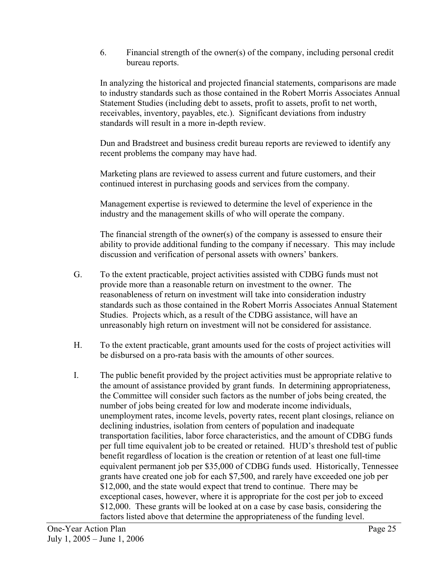6. Financial strength of the owner(s) of the company, including personal credit bureau reports.

 In analyzing the historical and projected financial statements, comparisons are made to industry standards such as those contained in the Robert Morris Associates Annual Statement Studies (including debt to assets, profit to assets, profit to net worth, receivables, inventory, payables, etc.). Significant deviations from industry standards will result in a more in-depth review.

 Dun and Bradstreet and business credit bureau reports are reviewed to identify any recent problems the company may have had.

 Marketing plans are reviewed to assess current and future customers, and their continued interest in purchasing goods and services from the company.

 Management expertise is reviewed to determine the level of experience in the industry and the management skills of who will operate the company.

 The financial strength of the owner(s) of the company is assessed to ensure their ability to provide additional funding to the company if necessary. This may include discussion and verification of personal assets with owners' bankers.

- G. To the extent practicable, project activities assisted with CDBG funds must not provide more than a reasonable return on investment to the owner. The reasonableness of return on investment will take into consideration industry standards such as those contained in the Robert Morris Associates Annual Statement Studies. Projects which, as a result of the CDBG assistance, will have an unreasonably high return on investment will not be considered for assistance.
- H. To the extent practicable, grant amounts used for the costs of project activities will be disbursed on a pro-rata basis with the amounts of other sources.
- I. The public benefit provided by the project activities must be appropriate relative to the amount of assistance provided by grant funds. In determining appropriateness, the Committee will consider such factors as the number of jobs being created, the number of jobs being created for low and moderate income individuals, unemployment rates, income levels, poverty rates, recent plant closings, reliance on declining industries, isolation from centers of population and inadequate transportation facilities, labor force characteristics, and the amount of CDBG funds per full time equivalent job to be created or retained. HUD's threshold test of public benefit regardless of location is the creation or retention of at least one full-time equivalent permanent job per \$35,000 of CDBG funds used. Historically, Tennessee grants have created one job for each \$7,500, and rarely have exceeded one job per \$12,000, and the state would expect that trend to continue. There may be exceptional cases, however, where it is appropriate for the cost per job to exceed \$12,000. These grants will be looked at on a case by case basis, considering the factors listed above that determine the appropriateness of the funding level.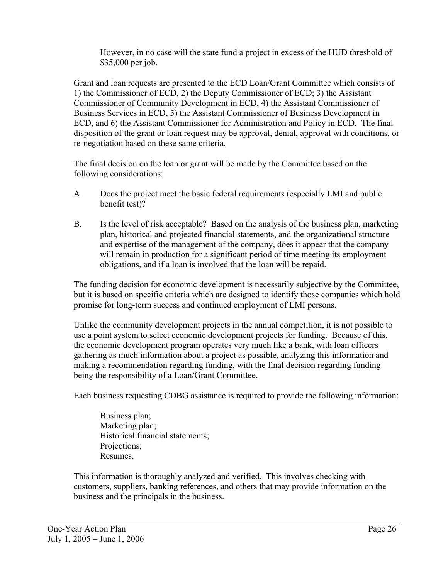However, in no case will the state fund a project in excess of the HUD threshold of \$35,000 per job.

Grant and loan requests are presented to the ECD Loan/Grant Committee which consists of 1) the Commissioner of ECD, 2) the Deputy Commissioner of ECD; 3) the Assistant Commissioner of Community Development in ECD, 4) the Assistant Commissioner of Business Services in ECD, 5) the Assistant Commissioner of Business Development in ECD, and 6) the Assistant Commissioner for Administration and Policy in ECD. The final disposition of the grant or loan request may be approval, denial, approval with conditions, or re-negotiation based on these same criteria.

The final decision on the loan or grant will be made by the Committee based on the following considerations:

- A. Does the project meet the basic federal requirements (especially LMI and public benefit test)?
- B. Is the level of risk acceptable? Based on the analysis of the business plan, marketing plan, historical and projected financial statements, and the organizational structure and expertise of the management of the company, does it appear that the company will remain in production for a significant period of time meeting its employment obligations, and if a loan is involved that the loan will be repaid.

The funding decision for economic development is necessarily subjective by the Committee, but it is based on specific criteria which are designed to identify those companies which hold promise for long-term success and continued employment of LMI persons.

Unlike the community development projects in the annual competition, it is not possible to use a point system to select economic development projects for funding. Because of this, the economic development program operates very much like a bank, with loan officers gathering as much information about a project as possible, analyzing this information and making a recommendation regarding funding, with the final decision regarding funding being the responsibility of a Loan/Grant Committee.

Each business requesting CDBG assistance is required to provide the following information:

Business plan; Marketing plan; Historical financial statements; Projections; Resumes.

This information is thoroughly analyzed and verified. This involves checking with customers, suppliers, banking references, and others that may provide information on the business and the principals in the business.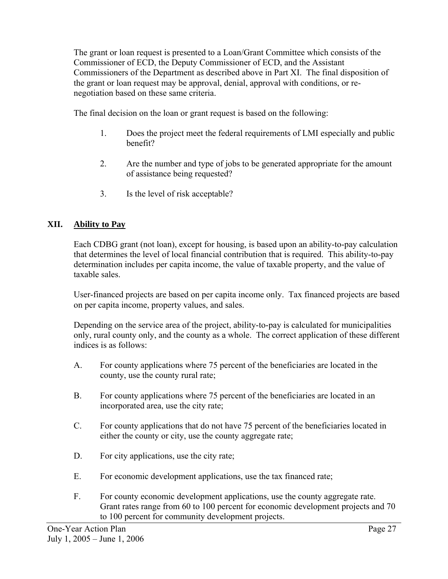The grant or loan request is presented to a Loan/Grant Committee which consists of the Commissioner of ECD, the Deputy Commissioner of ECD, and the Assistant Commissioners of the Department as described above in Part XI. The final disposition of the grant or loan request may be approval, denial, approval with conditions, or renegotiation based on these same criteria.

The final decision on the loan or grant request is based on the following:

- 1. Does the project meet the federal requirements of LMI especially and public benefit?
- 2. Are the number and type of jobs to be generated appropriate for the amount of assistance being requested?
- 3. Is the level of risk acceptable?

#### **XII. Ability to Pay**

Each CDBG grant (not loan), except for housing, is based upon an ability-to-pay calculation that determines the level of local financial contribution that is required. This ability-to-pay determination includes per capita income, the value of taxable property, and the value of taxable sales.

User-financed projects are based on per capita income only. Tax financed projects are based on per capita income, property values, and sales.

Depending on the service area of the project, ability-to-pay is calculated for municipalities only, rural county only, and the county as a whole. The correct application of these different indices is as follows:

- A. For county applications where 75 percent of the beneficiaries are located in the county, use the county rural rate;
- B. For county applications where 75 percent of the beneficiaries are located in an incorporated area, use the city rate;
- C. For county applications that do not have 75 percent of the beneficiaries located in either the county or city, use the county aggregate rate;
- D. For city applications, use the city rate;
- E. For economic development applications, use the tax financed rate;
- F. For county economic development applications, use the county aggregate rate. Grant rates range from 60 to 100 percent for economic development projects and 70 to 100 percent for community development projects.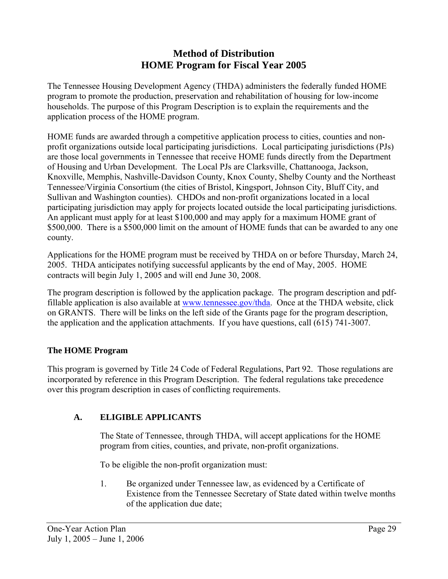# **Method of Distribution HOME Program for Fiscal Year 2005**

The Tennessee Housing Development Agency (THDA) administers the federally funded HOME program to promote the production, preservation and rehabilitation of housing for low-income households. The purpose of this Program Description is to explain the requirements and the application process of the HOME program.

HOME funds are awarded through a competitive application process to cities, counties and nonprofit organizations outside local participating jurisdictions. Local participating jurisdictions (PJs) are those local governments in Tennessee that receive HOME funds directly from the Department of Housing and Urban Development. The Local PJs are Clarksville, Chattanooga, Jackson, Knoxville, Memphis, Nashville-Davidson County, Knox County, Shelby County and the Northeast Tennessee/Virginia Consortium (the cities of Bristol, Kingsport, Johnson City, Bluff City, and Sullivan and Washington counties). CHDOs and non-profit organizations located in a local participating jurisdiction may apply for projects located outside the local participating jurisdictions. An applicant must apply for at least \$100,000 and may apply for a maximum HOME grant of \$500,000. There is a \$500,000 limit on the amount of HOME funds that can be awarded to any one county.

Applications for the HOME program must be received by THDA on or before Thursday, March 24, 2005. THDA anticipates notifying successful applicants by the end of May, 2005. HOME contracts will begin July 1, 2005 and will end June 30, 2008.

The program description is followed by the application package. The program description and pdffillable application is also available at www.tennessee.gov/thda. Once at the THDA website, click on GRANTS. There will be links on the left side of the Grants page for the program description, the application and the application attachments. If you have questions, call (615) 741-3007.

#### **The HOME Program**

This program is governed by Title 24 Code of Federal Regulations, Part 92. Those regulations are incorporated by reference in this Program Description. The federal regulations take precedence over this program description in cases of conflicting requirements.

#### **A. ELIGIBLE APPLICANTS**

The State of Tennessee, through THDA, will accept applications for the HOME program from cities, counties, and private, non-profit organizations.

To be eligible the non-profit organization must:

1. Be organized under Tennessee law, as evidenced by a Certificate of Existence from the Tennessee Secretary of State dated within twelve months of the application due date;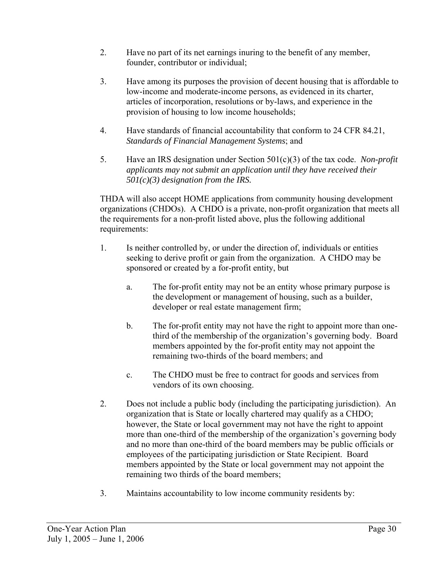- 2. Have no part of its net earnings inuring to the benefit of any member, founder, contributor or individual;
- 3. Have among its purposes the provision of decent housing that is affordable to low-income and moderate-income persons, as evidenced in its charter, articles of incorporation, resolutions or by-laws, and experience in the provision of housing to low income households;
- 4. Have standards of financial accountability that conform to 24 CFR 84.21, *Standards of Financial Management Systems*; and
- 5. Have an IRS designation under Section 501(c)(3) of the tax code. *Non-profit applicants may not submit an application until they have received their 501(c)(3) designation from the IRS.*

THDA will also accept HOME applications from community housing development organizations (CHDOs). A CHDO is a private, non-profit organization that meets all the requirements for a non-profit listed above, plus the following additional requirements:

- 1. Is neither controlled by, or under the direction of, individuals or entities seeking to derive profit or gain from the organization. A CHDO may be sponsored or created by a for-profit entity, but
	- a. The for-profit entity may not be an entity whose primary purpose is the development or management of housing, such as a builder, developer or real estate management firm;
	- b. The for-profit entity may not have the right to appoint more than onethird of the membership of the organization's governing body. Board members appointed by the for-profit entity may not appoint the remaining two-thirds of the board members; and
	- c. The CHDO must be free to contract for goods and services from vendors of its own choosing.
- 2. Does not include a public body (including the participating jurisdiction). An organization that is State or locally chartered may qualify as a CHDO; however, the State or local government may not have the right to appoint more than one-third of the membership of the organization's governing body and no more than one-third of the board members may be public officials or employees of the participating jurisdiction or State Recipient. Board members appointed by the State or local government may not appoint the remaining two thirds of the board members;
- 3. Maintains accountability to low income community residents by: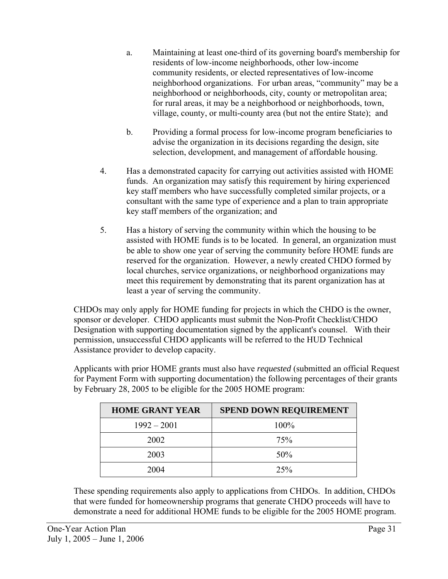- a. Maintaining at least one-third of its governing board's membership for residents of low-income neighborhoods, other low-income community residents, or elected representatives of low-income neighborhood organizations. For urban areas, "community" may be a neighborhood or neighborhoods, city, county or metropolitan area; for rural areas, it may be a neighborhood or neighborhoods, town, village, county, or multi-county area (but not the entire State); and
- b. Providing a formal process for low-income program beneficiaries to advise the organization in its decisions regarding the design, site selection, development, and management of affordable housing.
- 4. Has a demonstrated capacity for carrying out activities assisted with HOME funds. An organization may satisfy this requirement by hiring experienced key staff members who have successfully completed similar projects, or a consultant with the same type of experience and a plan to train appropriate key staff members of the organization; and
- 5. Has a history of serving the community within which the housing to be assisted with HOME funds is to be located. In general, an organization must be able to show one year of serving the community before HOME funds are reserved for the organization. However, a newly created CHDO formed by local churches, service organizations, or neighborhood organizations may meet this requirement by demonstrating that its parent organization has at least a year of serving the community.

CHDOs may only apply for HOME funding for projects in which the CHDO is the owner, sponsor or developer. CHDO applicants must submit the Non-Profit Checklist/CHDO Designation with supporting documentation signed by the applicant's counsel. With their permission, unsuccessful CHDO applicants will be referred to the HUD Technical Assistance provider to develop capacity.

Applicants with prior HOME grants must also have *requested* (submitted an official Request for Payment Form with supporting documentation) the following percentages of their grants by February 28, 2005 to be eligible for the 2005 HOME program:

| <b>HOME GRANT YEAR</b> | <b>SPEND DOWN REQUIREMENT</b> |
|------------------------|-------------------------------|
| $1992 - 2001$          | 100%                          |
| 2002                   | 75%                           |
| 2003                   | 50%                           |
| 2004                   | 25%                           |

These spending requirements also apply to applications from CHDOs. In addition, CHDOs that were funded for homeownership programs that generate CHDO proceeds will have to demonstrate a need for additional HOME funds to be eligible for the 2005 HOME program.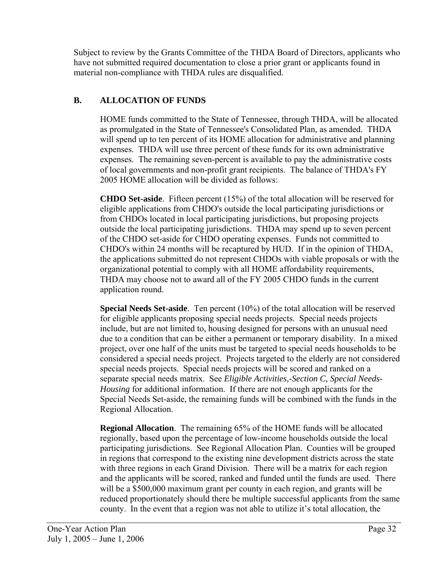Subject to review by the Grants Committee of the THDA Board of Directors, applicants who have not submitted required documentation to close a prior grant or applicants found in material non-compliance with THDA rules are disqualified.

# **B. ALLOCATION OF FUNDS**

HOME funds committed to the State of Tennessee, through THDA, will be allocated as promulgated in the State of Tennessee's Consolidated Plan, as amended. THDA will spend up to ten percent of its HOME allocation for administrative and planning expenses. THDA will use three percent of these funds for its own administrative expenses. The remaining seven-percent is available to pay the administrative costs of local governments and non-profit grant recipients. The balance of THDA's FY 2005 HOME allocation will be divided as follows:

**CHDO Set-aside**. Fifteen percent (15%) of the total allocation will be reserved for eligible applications from CHDO's outside the local participating jurisdictions or from CHDOs located in local participating jurisdictions, but proposing projects outside the local participating jurisdictions. THDA may spend up to seven percent of the CHDO set-aside for CHDO operating expenses. Funds not committed to CHDO's within 24 months will be recaptured by HUD. If in the opinion of THDA, the applications submitted do not represent CHDOs with viable proposals or with the organizational potential to comply with all HOME affordability requirements, THDA may choose not to award all of the FY 2005 CHDO funds in the current application round.

**Special Needs Set-aside**. Ten percent (10%) of the total allocation will be reserved for eligible applicants proposing special needs projects. Special needs projects include, but are not limited to, housing designed for persons with an unusual need due to a condition that can be either a permanent or temporary disability. In a mixed project, over one half of the units must be targeted to special needs households to be considered a special needs project. Projects targeted to the elderly are not considered special needs projects. Special needs projects will be scored and ranked on a separate special needs matrix. See *Eligible Activities,-Section C, Special Needs-Housing* for additional information. If there are not enough applicants for the Special Needs Set-aside, the remaining funds will be combined with the funds in the Regional Allocation.

**Regional Allocation**. The remaining 65% of the HOME funds will be allocated regionally, based upon the percentage of low-income households outside the local participating jurisdictions. See Regional Allocation Plan. Counties will be grouped in regions that correspond to the existing nine development districts across the state with three regions in each Grand Division. There will be a matrix for each region and the applicants will be scored, ranked and funded until the funds are used. There will be a \$500,000 maximum grant per county in each region, and grants will be reduced proportionately should there be multiple successful applicants from the same county. In the event that a region was not able to utilize it's total allocation, the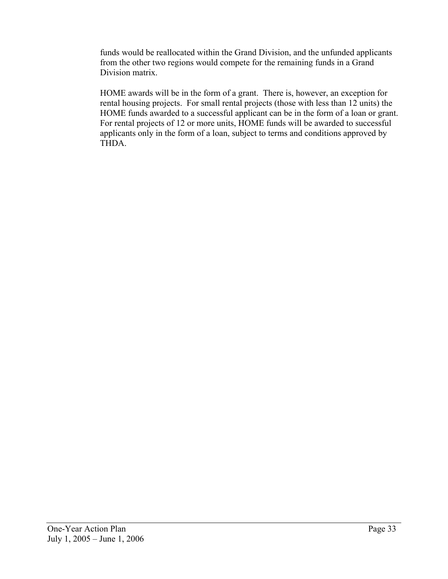funds would be reallocated within the Grand Division, and the unfunded applicants from the other two regions would compete for the remaining funds in a Grand Division matrix.

HOME awards will be in the form of a grant. There is, however, an exception for rental housing projects. For small rental projects (those with less than 12 units) the HOME funds awarded to a successful applicant can be in the form of a loan or grant. For rental projects of 12 or more units, HOME funds will be awarded to successful applicants only in the form of a loan, subject to terms and conditions approved by THDA.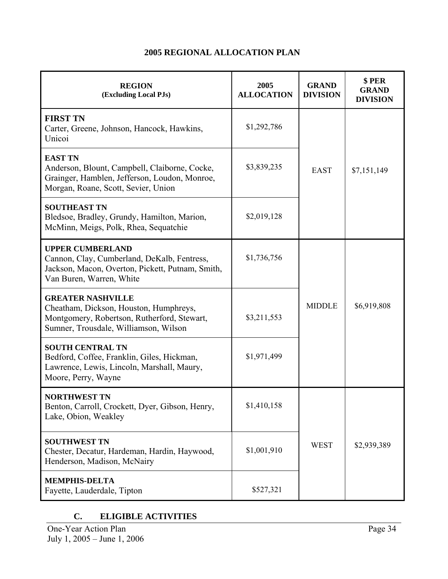| <b>REGION</b><br>(Excluding Local PJs)                                                                                                                     | 2005<br><b>ALLOCATION</b> | <b>GRAND</b><br><b>DIVISION</b> | \$PER<br><b>GRAND</b><br><b>DIVISION</b> |
|------------------------------------------------------------------------------------------------------------------------------------------------------------|---------------------------|---------------------------------|------------------------------------------|
| <b>FIRST TN</b><br>Carter, Greene, Johnson, Hancock, Hawkins,<br>Unicoi                                                                                    | \$1,292,786               |                                 | \$7,151,149                              |
| <b>EAST TN</b><br>Anderson, Blount, Campbell, Claiborne, Cocke,<br>Grainger, Hamblen, Jefferson, Loudon, Monroe,<br>Morgan, Roane, Scott, Sevier, Union    | \$3,839,235               | <b>EAST</b>                     |                                          |
| <b>SOUTHEAST TN</b><br>Bledsoe, Bradley, Grundy, Hamilton, Marion,<br>McMinn, Meigs, Polk, Rhea, Sequatchie                                                | \$2,019,128               |                                 |                                          |
| <b>UPPER CUMBERLAND</b><br>Cannon, Clay, Cumberland, DeKalb, Fentress,<br>Jackson, Macon, Overton, Pickett, Putnam, Smith,<br>Van Buren, Warren, White     | \$1,736,756               |                                 |                                          |
| <b>GREATER NASHVILLE</b><br>Cheatham, Dickson, Houston, Humphreys,<br>Montgomery, Robertson, Rutherford, Stewart,<br>Sumner, Trousdale, Williamson, Wilson | \$3,211,553               | <b>MIDDLE</b><br>\$6,919,808    |                                          |
| <b>SOUTH CENTRAL TN</b><br>Bedford, Coffee, Franklin, Giles, Hickman,<br>Lawrence, Lewis, Lincoln, Marshall, Maury,<br>Moore, Perry, Wayne                 | \$1,971,499               |                                 |                                          |
| NORTHWEST TN<br>Benton, Carroll, Crockett, Dyer, Gibson, Henry,<br>Lake, Obion, Weakley                                                                    | \$1,410,158               |                                 |                                          |
| <b>SOUTHWEST TN</b><br>Chester, Decatur, Hardeman, Hardin, Haywood,<br>Henderson, Madison, McNairy                                                         | \$1,001,910               | <b>WEST</b>                     | \$2,939,389                              |
| <b>MEMPHIS-DELTA</b><br>Fayette, Lauderdale, Tipton                                                                                                        | \$527,321                 |                                 |                                          |

# **2005 REGIONAL ALLOCATION PLAN**

# **C. ELIGIBLE ACTIVITIES**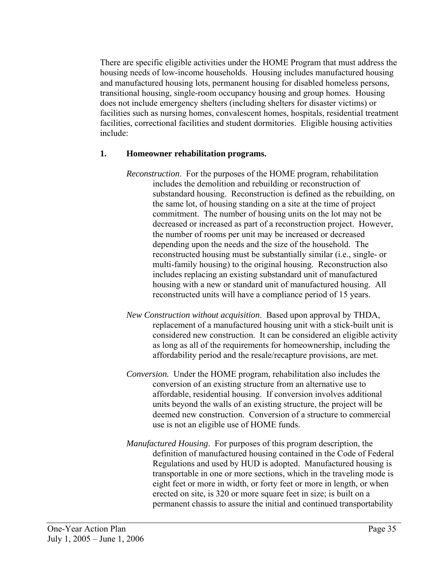There are specific eligible activities under the HOME Program that must address the housing needs of low-income households. Housing includes manufactured housing and manufactured housing lots, permanent housing for disabled homeless persons, transitional housing, single-room occupancy housing and group homes. Housing does not include emergency shelters (including shelters for disaster victims) or facilities such as nursing homes, convalescent homes, hospitals, residential treatment facilities, correctional facilities and student dormitories. Eligible housing activities include:

### **1. Homeowner rehabilitation programs.**

- *Reconstruction*. For the purposes of the HOME program, rehabilitation includes the demolition and rebuilding or reconstruction of substandard housing. Reconstruction is defined as the rebuilding, on the same lot, of housing standing on a site at the time of project commitment. The number of housing units on the lot may not be decreased or increased as part of a reconstruction project. However, the number of rooms per unit may be increased or decreased depending upon the needs and the size of the household. The reconstructed housing must be substantially similar (i.e., single- or multi-family housing) to the original housing. Reconstruction also includes replacing an existing substandard unit of manufactured housing with a new or standard unit of manufactured housing. All reconstructed units will have a compliance period of 15 years.
- *New Construction without acquisition*. Based upon approval by THDA, replacement of a manufactured housing unit with a stick-built unit is considered new construction. It can be considered an eligible activity as long as all of the requirements for homeownership, including the affordability period and the resale/recapture provisions, are met.
- *Conversion.* Under the HOME program, rehabilitation also includes the conversion of an existing structure from an alternative use to affordable, residential housing. If conversion involves additional units beyond the walls of an existing structure, the project will be deemed new construction. Conversion of a structure to commercial use is not an eligible use of HOME funds.
- *Manufactured Housing*. For purposes of this program description, the definition of manufactured housing contained in the Code of Federal Regulations and used by HUD is adopted. Manufactured housing is transportable in one or more sections, which in the traveling mode is eight feet or more in width, or forty feet or more in length, or when erected on site, is 320 or more square feet in size; is built on a permanent chassis to assure the initial and continued transportability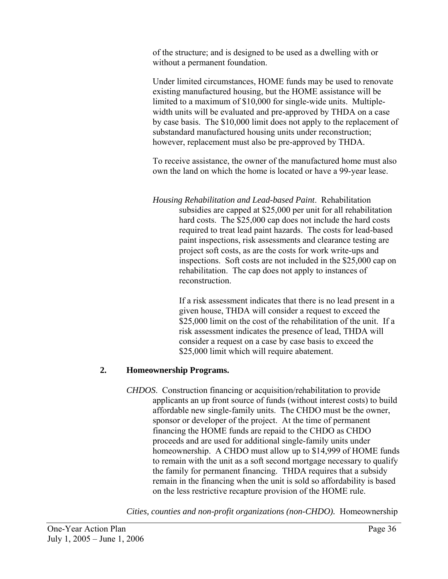of the structure; and is designed to be used as a dwelling with or without a permanent foundation.

Under limited circumstances, HOME funds may be used to renovate existing manufactured housing, but the HOME assistance will be limited to a maximum of \$10,000 for single-wide units. Multiplewidth units will be evaluated and pre-approved by THDA on a case by case basis. The \$10,000 limit does not apply to the replacement of substandard manufactured housing units under reconstruction; however, replacement must also be pre-approved by THDA.

To receive assistance, the owner of the manufactured home must also own the land on which the home is located or have a 99-year lease.

*Housing Rehabilitation and Lead-based Paint*. Rehabilitation subsidies are capped at \$25,000 per unit for all rehabilitation hard costs. The \$25,000 cap does not include the hard costs required to treat lead paint hazards. The costs for lead-based paint inspections, risk assessments and clearance testing are project soft costs, as are the costs for work write-ups and inspections. Soft costs are not included in the \$25,000 cap on rehabilitation. The cap does not apply to instances of reconstruction.

> If a risk assessment indicates that there is no lead present in a given house, THDA will consider a request to exceed the \$25,000 limit on the cost of the rehabilitation of the unit. If a risk assessment indicates the presence of lead, THDA will consider a request on a case by case basis to exceed the \$25,000 limit which will require abatement.

# **2. Homeownership Programs.**

*CHDOS*. Construction financing or acquisition/rehabilitation to provide applicants an up front source of funds (without interest costs) to build affordable new single-family units. The CHDO must be the owner, sponsor or developer of the project. At the time of permanent financing the HOME funds are repaid to the CHDO as CHDO proceeds and are used for additional single-family units under homeownership. A CHDO must allow up to \$14,999 of HOME funds to remain with the unit as a soft second mortgage necessary to qualify the family for permanent financing. THDA requires that a subsidy remain in the financing when the unit is sold so affordability is based on the less restrictive recapture provision of the HOME rule.

*Cities, counties and non-profit organizations (non-CHDO).* Homeownership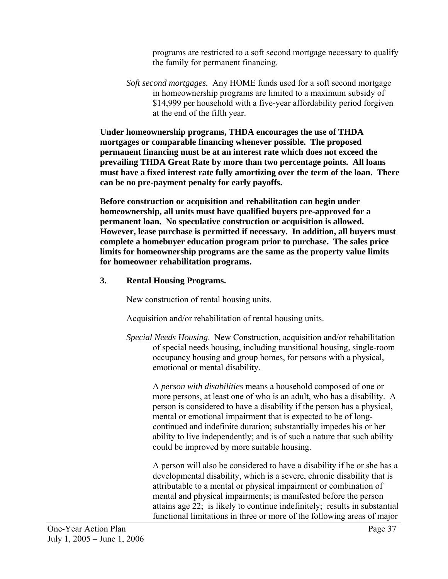programs are restricted to a soft second mortgage necessary to qualify the family for permanent financing.

*Soft second mortgages.* Any HOME funds used for a soft second mortgage in homeownership programs are limited to a maximum subsidy of \$14,999 per household with a five-year affordability period forgiven at the end of the fifth year.

**Under homeownership programs, THDA encourages the use of THDA mortgages or comparable financing whenever possible. The proposed permanent financing must be at an interest rate which does not exceed the prevailing THDA Great Rate by more than two percentage points. All loans must have a fixed interest rate fully amortizing over the term of the loan. There can be no pre-payment penalty for early payoffs.** 

**Before construction or acquisition and rehabilitation can begin under homeownership, all units must have qualified buyers pre-approved for a permanent loan. No speculative construction or acquisition is allowed. However, lease purchase is permitted if necessary. In addition, all buyers must complete a homebuyer education program prior to purchase. The sales price limits for homeownership programs are the same as the property value limits for homeowner rehabilitation programs.** 

### **3. Rental Housing Programs.**

New construction of rental housing units.

Acquisition and/or rehabilitation of rental housing units.

*Special Needs Housing*. New Construction, acquisition and/or rehabilitation of special needs housing, including transitional housing, single-room occupancy housing and group homes, for persons with a physical, emotional or mental disability.

A *person with disabilities* means a household composed of one or more persons, at least one of who is an adult, who has a disability. A person is considered to have a disability if the person has a physical, mental or emotional impairment that is expected to be of longcontinued and indefinite duration; substantially impedes his or her ability to live independently; and is of such a nature that such ability could be improved by more suitable housing.

A person will also be considered to have a disability if he or she has a developmental disability, which is a severe, chronic disability that is attributable to a mental or physical impairment or combination of mental and physical impairments; is manifested before the person attains age 22; is likely to continue indefinitely; results in substantial functional limitations in three or more of the following areas of major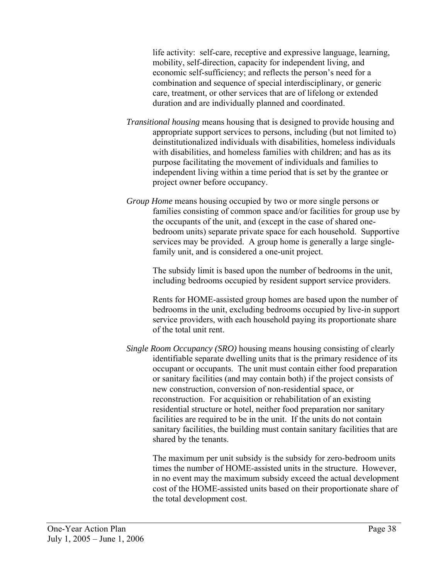life activity: self-care, receptive and expressive language, learning, mobility, self-direction, capacity for independent living, and economic self-sufficiency; and reflects the person's need for a combination and sequence of special interdisciplinary, or generic care, treatment, or other services that are of lifelong or extended duration and are individually planned and coordinated.

- *Transitional housing* means housing that is designed to provide housing and appropriate support services to persons, including (but not limited to) deinstitutionalized individuals with disabilities, homeless individuals with disabilities, and homeless families with children; and has as its purpose facilitating the movement of individuals and families to independent living within a time period that is set by the grantee or project owner before occupancy.
- *Group Home* means housing occupied by two or more single persons or families consisting of common space and/or facilities for group use by the occupants of the unit, and (except in the case of shared onebedroom units) separate private space for each household. Supportive services may be provided. A group home is generally a large singlefamily unit, and is considered a one-unit project.

The subsidy limit is based upon the number of bedrooms in the unit, including bedrooms occupied by resident support service providers.

Rents for HOME-assisted group homes are based upon the number of bedrooms in the unit, excluding bedrooms occupied by live-in support service providers, with each household paying its proportionate share of the total unit rent.

*Single Room Occupancy (SRO)* housing means housing consisting of clearly identifiable separate dwelling units that is the primary residence of its occupant or occupants. The unit must contain either food preparation or sanitary facilities (and may contain both) if the project consists of new construction, conversion of non-residential space, or reconstruction. For acquisition or rehabilitation of an existing residential structure or hotel, neither food preparation nor sanitary facilities are required to be in the unit. If the units do not contain sanitary facilities, the building must contain sanitary facilities that are shared by the tenants.

The maximum per unit subsidy is the subsidy for zero-bedroom units times the number of HOME-assisted units in the structure. However, in no event may the maximum subsidy exceed the actual development cost of the HOME-assisted units based on their proportionate share of the total development cost.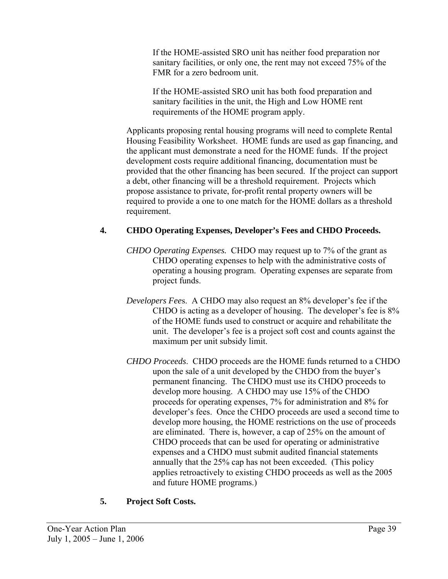If the HOME-assisted SRO unit has neither food preparation nor sanitary facilities, or only one, the rent may not exceed 75% of the FMR for a zero bedroom unit.

If the HOME-assisted SRO unit has both food preparation and sanitary facilities in the unit, the High and Low HOME rent requirements of the HOME program apply.

Applicants proposing rental housing programs will need to complete Rental Housing Feasibility Worksheet. HOME funds are used as gap financing, and the applicant must demonstrate a need for the HOME funds. If the project development costs require additional financing, documentation must be provided that the other financing has been secured. If the project can support a debt, other financing will be a threshold requirement. Projects which propose assistance to private, for-profit rental property owners will be required to provide a one to one match for the HOME dollars as a threshold requirement.

# **4. CHDO Operating Expenses, Developer's Fees and CHDO Proceeds.**

- *CHDO Operating Expenses.* CHDO may request up to 7% of the grant as CHDO operating expenses to help with the administrative costs of operating a housing program. Operating expenses are separate from project funds.
- *Developers Fee*s. A CHDO may also request an 8% developer's fee if the CHDO is acting as a developer of housing. The developer's fee is 8% of the HOME funds used to construct or acquire and rehabilitate the unit. The developer's fee is a project soft cost and counts against the maximum per unit subsidy limit.
- *CHDO Proceeds*. CHDO proceeds are the HOME funds returned to a CHDO upon the sale of a unit developed by the CHDO from the buyer's permanent financing. The CHDO must use its CHDO proceeds to develop more housing. A CHDO may use 15% of the CHDO proceeds for operating expenses, 7% for administration and 8% for developer's fees. Once the CHDO proceeds are used a second time to develop more housing, the HOME restrictions on the use of proceeds are eliminated. There is, however, a cap of 25% on the amount of CHDO proceeds that can be used for operating or administrative expenses and a CHDO must submit audited financial statements annually that the 25% cap has not been exceeded. (This policy applies retroactively to existing CHDO proceeds as well as the 2005 and future HOME programs.)

# **5. Project Soft Costs.**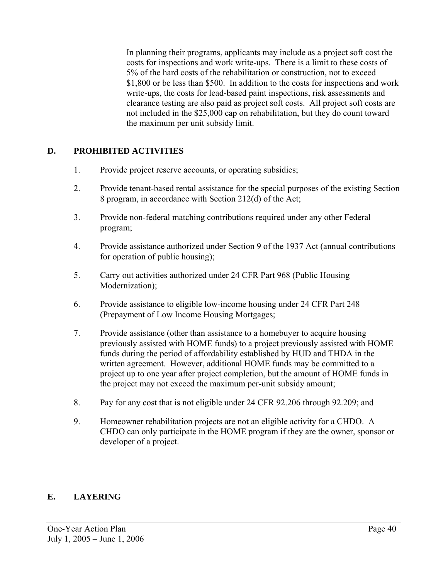In planning their programs, applicants may include as a project soft cost the costs for inspections and work write-ups. There is a limit to these costs of 5% of the hard costs of the rehabilitation or construction, not to exceed \$1,800 or be less than \$500. In addition to the costs for inspections and work write-ups, the costs for lead-based paint inspections, risk assessments and clearance testing are also paid as project soft costs. All project soft costs are not included in the \$25,000 cap on rehabilitation, but they do count toward the maximum per unit subsidy limit.

# **D. PROHIBITED ACTIVITIES**

- 1. Provide project reserve accounts, or operating subsidies;
- 2. Provide tenant-based rental assistance for the special purposes of the existing Section 8 program, in accordance with Section 212(d) of the Act;
- 3. Provide non-federal matching contributions required under any other Federal program;
- 4. Provide assistance authorized under Section 9 of the 1937 Act (annual contributions for operation of public housing);
- 5. Carry out activities authorized under 24 CFR Part 968 (Public Housing Modernization);
- 6. Provide assistance to eligible low-income housing under 24 CFR Part 248 (Prepayment of Low Income Housing Mortgages;
- 7. Provide assistance (other than assistance to a homebuyer to acquire housing previously assisted with HOME funds) to a project previously assisted with HOME funds during the period of affordability established by HUD and THDA in the written agreement. However, additional HOME funds may be committed to a project up to one year after project completion, but the amount of HOME funds in the project may not exceed the maximum per-unit subsidy amount;
- 8. Pay for any cost that is not eligible under 24 CFR 92.206 through 92.209; and
- 9. Homeowner rehabilitation projects are not an eligible activity for a CHDO. A CHDO can only participate in the HOME program if they are the owner, sponsor or developer of a project.

# **E. LAYERING**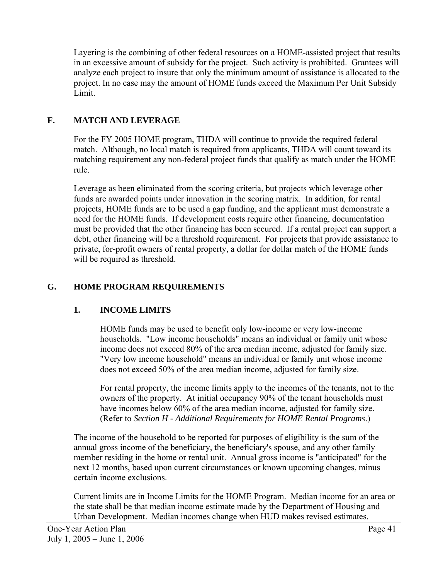Layering is the combining of other federal resources on a HOME-assisted project that results in an excessive amount of subsidy for the project. Such activity is prohibited. Grantees will analyze each project to insure that only the minimum amount of assistance is allocated to the project. In no case may the amount of HOME funds exceed the Maximum Per Unit Subsidy Limit.

# **F. MATCH AND LEVERAGE**

For the FY 2005 HOME program, THDA will continue to provide the required federal match. Although, no local match is required from applicants, THDA will count toward its matching requirement any non-federal project funds that qualify as match under the HOME rule.

Leverage as been eliminated from the scoring criteria, but projects which leverage other funds are awarded points under innovation in the scoring matrix. In addition, for rental projects, HOME funds are to be used a gap funding, and the applicant must demonstrate a need for the HOME funds. If development costs require other financing, documentation must be provided that the other financing has been secured. If a rental project can support a debt, other financing will be a threshold requirement. For projects that provide assistance to private, for-profit owners of rental property, a dollar for dollar match of the HOME funds will be required as threshold.

# **G. HOME PROGRAM REQUIREMENTS**

# **1. INCOME LIMITS**

HOME funds may be used to benefit only low-income or very low-income households. "Low income households" means an individual or family unit whose income does not exceed 80% of the area median income, adjusted for family size. "Very low income household" means an individual or family unit whose income does not exceed 50% of the area median income, adjusted for family size.

For rental property, the income limits apply to the incomes of the tenants, not to the owners of the property. At initial occupancy 90% of the tenant households must have incomes below 60% of the area median income, adjusted for family size. (Refer to *Section H - Additional Requirements for HOME Rental Programs*.)

The income of the household to be reported for purposes of eligibility is the sum of the annual gross income of the beneficiary, the beneficiary's spouse, and any other family member residing in the home or rental unit. Annual gross income is "anticipated" for the next 12 months, based upon current circumstances or known upcoming changes, minus certain income exclusions.

Current limits are in Income Limits for the HOME Program. Median income for an area or the state shall be that median income estimate made by the Department of Housing and Urban Development. Median incomes change when HUD makes revised estimates.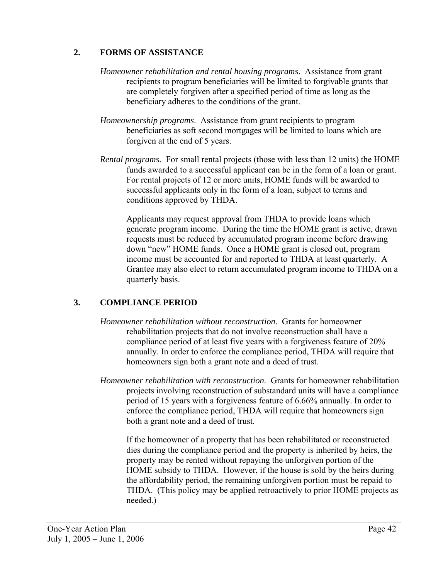### **2. FORMS OF ASSISTANCE**

- *Homeowner rehabilitation and rental housing programs*. Assistance from grant recipients to program beneficiaries will be limited to forgivable grants that are completely forgiven after a specified period of time as long as the beneficiary adheres to the conditions of the grant.
- *Homeownership programs*. Assistance from grant recipients to program beneficiaries as soft second mortgages will be limited to loans which are forgiven at the end of 5 years.
- *Rental programs.* For small rental projects (those with less than 12 units) the HOME funds awarded to a successful applicant can be in the form of a loan or grant. For rental projects of 12 or more units, HOME funds will be awarded to successful applicants only in the form of a loan, subject to terms and conditions approved by THDA.

Applicants may request approval from THDA to provide loans which generate program income. During the time the HOME grant is active, drawn requests must be reduced by accumulated program income before drawing down "new" HOME funds. Once a HOME grant is closed out, program income must be accounted for and reported to THDA at least quarterly. A Grantee may also elect to return accumulated program income to THDA on a quarterly basis.

# **3. COMPLIANCE PERIOD**

- *Homeowner rehabilitation without reconstruction*.Grants for homeowner rehabilitation projects that do not involve reconstruction shall have a compliance period of at least five years with a forgiveness feature of 20% annually. In order to enforce the compliance period, THDA will require that homeowners sign both a grant note and a deed of trust.
- *Homeowner rehabilitation with reconstruction.* Grants for homeowner rehabilitation projects involving reconstruction of substandard units will have a compliance period of 15 years with a forgiveness feature of 6.66% annually. In order to enforce the compliance period, THDA will require that homeowners sign both a grant note and a deed of trust.

If the homeowner of a property that has been rehabilitated or reconstructed dies during the compliance period and the property is inherited by heirs, the property may be rented without repaying the unforgiven portion of the HOME subsidy to THDA. However, if the house is sold by the heirs during the affordability period, the remaining unforgiven portion must be repaid to THDA. (This policy may be applied retroactively to prior HOME projects as needed.)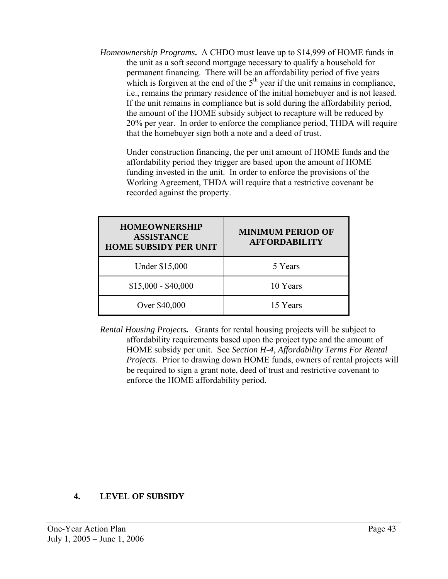*Homeownership Programs***.** A CHDO must leave up to \$14,999 of HOME funds in the unit as a soft second mortgage necessary to qualify a household for permanent financing. There will be an affordability period of five years which is forgiven at the end of the  $5<sup>th</sup>$  year if the unit remains in compliance, i.e., remains the primary residence of the initial homebuyer and is not leased. If the unit remains in compliance but is sold during the affordability period, the amount of the HOME subsidy subject to recapture will be reduced by 20% per year. In order to enforce the compliance period, THDA will require that the homebuyer sign both a note and a deed of trust.

Under construction financing, the per unit amount of HOME funds and the affordability period they trigger are based upon the amount of HOME funding invested in the unit. In order to enforce the provisions of the Working Agreement, THDA will require that a restrictive covenant be recorded against the property.

| <b>HOMEOWNERSHIP</b><br><b>ASSISTANCE</b><br><b>HOME SUBSIDY PER UNIT</b> | <b>MINIMUM PERIOD OF</b><br><b>AFFORDABILITY</b> |
|---------------------------------------------------------------------------|--------------------------------------------------|
| Under \$15,000                                                            | 5 Years                                          |
| $$15,000 - $40,000$                                                       | 10 Years                                         |
| Over \$40,000                                                             | 15 Years                                         |

*Rental Housing Projects.* Grants for rental housing projects will be subject to affordability requirements based upon the project type and the amount of HOME subsidy per unit. See *Section H-4, Affordability Terms For Rental Projects*. Prior to drawing down HOME funds, owners of rental projects will be required to sign a grant note, deed of trust and restrictive covenant to enforce the HOME affordability period.

# **4. LEVEL OF SUBSIDY**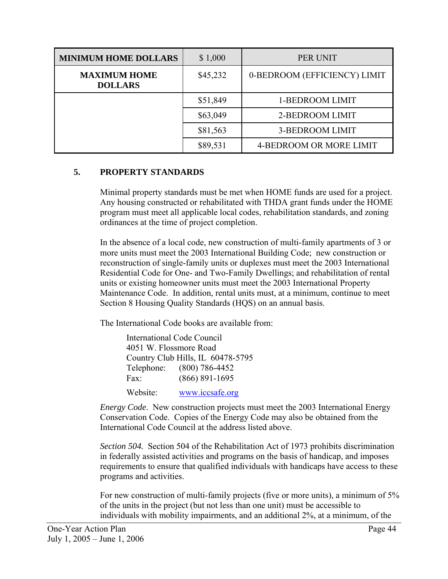| <b>MINIMUM HOME DOLLARS</b>           | \$1,000  | PER UNIT                     |
|---------------------------------------|----------|------------------------------|
| <b>MAXIMUM HOME</b><br><b>DOLLARS</b> | \$45,232 | 0-BEDROOM (EFFICIENCY) LIMIT |
|                                       | \$51,849 | 1-BEDROOM LIMIT              |
|                                       | \$63,049 | 2-BEDROOM LIMIT              |
|                                       | \$81,563 | 3-BEDROOM LIMIT              |
|                                       | \$89,531 | 4-BEDROOM OR MORE LIMIT      |

### **5. PROPERTY STANDARDS**

Minimal property standards must be met when HOME funds are used for a project. Any housing constructed or rehabilitated with THDA grant funds under the HOME program must meet all applicable local codes, rehabilitation standards, and zoning ordinances at the time of project completion.

In the absence of a local code, new construction of multi-family apartments of 3 or more units must meet the 2003 International Building Code; new construction or reconstruction of single-family units or duplexes must meet the 2003 International Residential Code for One- and Two-Family Dwellings; and rehabilitation of rental units or existing homeowner units must meet the 2003 International Property Maintenance Code. In addition, rental units must, at a minimum, continue to meet Section 8 Housing Quality Standards (HQS) on an annual basis.

The International Code books are available from:

| <b>International Code Council</b> |                                   |  |  |
|-----------------------------------|-----------------------------------|--|--|
| 4051 W. Flossmore Road            |                                   |  |  |
|                                   | Country Club Hills, IL 60478-5795 |  |  |
|                                   | Telephone: (800) 786-4452         |  |  |
| Fax:                              | $(866) 891 - 1695$                |  |  |
| Website:                          | www.iccsafe.org                   |  |  |

*Energy Code*. New construction projects must meet the 2003 International Energy Conservation Code. Copies of the Energy Code may also be obtained from the International Code Council at the address listed above.

*Section 504.* Section 504 of the Rehabilitation Act of 1973 prohibits discrimination in federally assisted activities and programs on the basis of handicap, and imposes requirements to ensure that qualified individuals with handicaps have access to these programs and activities.

For new construction of multi-family projects (five or more units), a minimum of 5% of the units in the project (but not less than one unit) must be accessible to individuals with mobility impairments, and an additional 2%, at a minimum, of the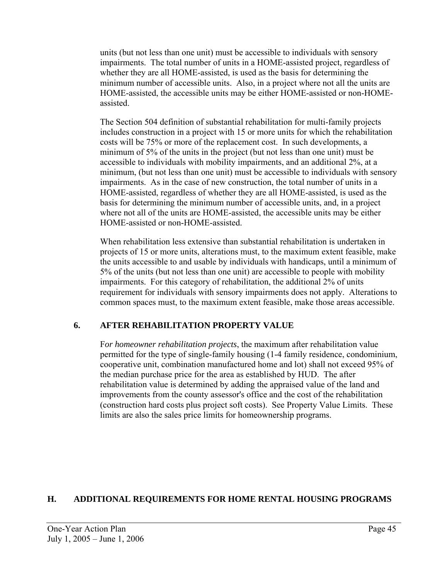units (but not less than one unit) must be accessible to individuals with sensory impairments. The total number of units in a HOME-assisted project, regardless of whether they are all HOME-assisted, is used as the basis for determining the minimum number of accessible units. Also, in a project where not all the units are HOME-assisted, the accessible units may be either HOME-assisted or non-HOMEassisted.

The Section 504 definition of substantial rehabilitation for multi-family projects includes construction in a project with 15 or more units for which the rehabilitation costs will be 75% or more of the replacement cost. In such developments, a minimum of 5% of the units in the project (but not less than one unit) must be accessible to individuals with mobility impairments, and an additional 2%, at a minimum, (but not less than one unit) must be accessible to individuals with sensory impairments. As in the case of new construction, the total number of units in a HOME-assisted, regardless of whether they are all HOME-assisted, is used as the basis for determining the minimum number of accessible units, and, in a project where not all of the units are HOME-assisted, the accessible units may be either HOME-assisted or non-HOME-assisted.

When rehabilitation less extensive than substantial rehabilitation is undertaken in projects of 15 or more units, alterations must, to the maximum extent feasible, make the units accessible to and usable by individuals with handicaps, until a minimum of 5% of the units (but not less than one unit) are accessible to people with mobility impairments. For this category of rehabilitation, the additional 2% of units requirement for individuals with sensory impairments does not apply. Alterations to common spaces must, to the maximum extent feasible, make those areas accessible.

# **6. AFTER REHABILITATION PROPERTY VALUE**

F*or homeowner rehabilitation projects*, the maximum after rehabilitation value permitted for the type of single-family housing (1-4 family residence, condominium, cooperative unit, combination manufactured home and lot) shall not exceed 95% of the median purchase price for the area as established by HUD. The after rehabilitation value is determined by adding the appraised value of the land and improvements from the county assessor's office and the cost of the rehabilitation (construction hard costs plus project soft costs). See Property Value Limits. These limits are also the sales price limits for homeownership programs.

# **H. ADDITIONAL REQUIREMENTS FOR HOME RENTAL HOUSING PROGRAMS**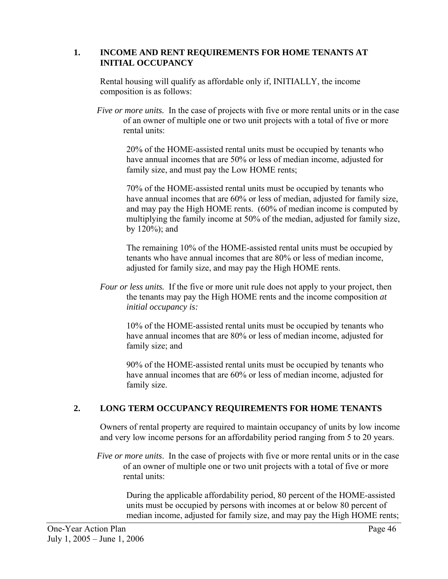#### **1. INCOME AND RENT REQUIREMENTS FOR HOME TENANTS AT INITIAL OCCUPANCY**

Rental housing will qualify as affordable only if, INITIALLY, the income composition is as follows:

*Five or more units.* In the case of projects with five or more rental units or in the case of an owner of multiple one or two unit projects with a total of five or more rental units:

20% of the HOME-assisted rental units must be occupied by tenants who have annual incomes that are 50% or less of median income, adjusted for family size, and must pay the Low HOME rents;

70% of the HOME-assisted rental units must be occupied by tenants who have annual incomes that are 60% or less of median, adjusted for family size, and may pay the High HOME rents. (60% of median income is computed by multiplying the family income at 50% of the median, adjusted for family size, by 120%); and

The remaining 10% of the HOME-assisted rental units must be occupied by tenants who have annual incomes that are 80% or less of median income, adjusted for family size, and may pay the High HOME rents.

*Four or less units.* If the five or more unit rule does not apply to your project, then the tenants may pay the High HOME rents and the income composition *at initial occupancy is:* 

10% of the HOME-assisted rental units must be occupied by tenants who have annual incomes that are 80% or less of median income, adjusted for family size; and

90% of the HOME-assisted rental units must be occupied by tenants who have annual incomes that are 60% or less of median income, adjusted for family size.

# **2. LONG TERM OCCUPANCY REQUIREMENTS FOR HOME TENANTS**

Owners of rental property are required to maintain occupancy of units by low income and very low income persons for an affordability period ranging from 5 to 20 years.

*Five or more units*. In the case of projects with five or more rental units or in the case of an owner of multiple one or two unit projects with a total of five or more rental units:

During the applicable affordability period, 80 percent of the HOME-assisted units must be occupied by persons with incomes at or below 80 percent of median income, adjusted for family size, and may pay the High HOME rents;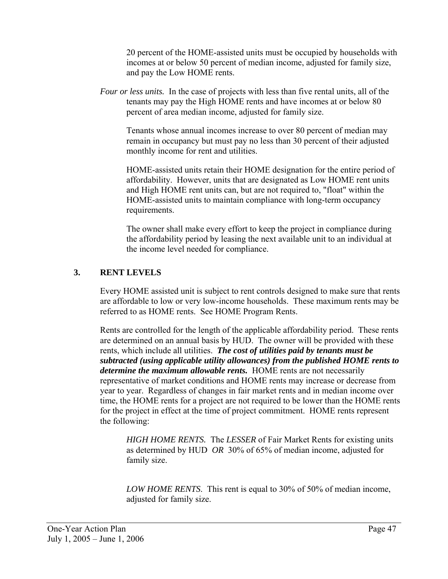20 percent of the HOME-assisted units must be occupied by households with incomes at or below 50 percent of median income, adjusted for family size, and pay the Low HOME rents.

*Four or less units.* In the case of projects with less than five rental units, all of the tenants may pay the High HOME rents and have incomes at or below 80 percent of area median income, adjusted for family size.

Tenants whose annual incomes increase to over 80 percent of median may remain in occupancy but must pay no less than 30 percent of their adjusted monthly income for rent and utilities.

HOME-assisted units retain their HOME designation for the entire period of affordability. However, units that are designated as Low HOME rent units and High HOME rent units can, but are not required to, "float" within the HOME-assisted units to maintain compliance with long-term occupancy requirements.

The owner shall make every effort to keep the project in compliance during the affordability period by leasing the next available unit to an individual at the income level needed for compliance.

# **3. RENT LEVELS**

Every HOME assisted unit is subject to rent controls designed to make sure that rents are affordable to low or very low-income households. These maximum rents may be referred to as HOME rents. See HOME Program Rents.

Rents are controlled for the length of the applicable affordability period. These rents are determined on an annual basis by HUD. The owner will be provided with these rents, which include all utilities. *The cost of utilities paid by tenants must be subtracted (using applicable utility allowances) from the published HOME rents to determine the maximum allowable rents.* HOME rents are not necessarily representative of market conditions and HOME rents may increase or decrease from year to year. Regardless of changes in fair market rents and in median income over time, the HOME rents for a project are not required to be lower than the HOME rents for the project in effect at the time of project commitment.HOME rents represent the following:

*HIGH HOME RENTS.* The *LESSER* of Fair Market Rents for existing units as determined by HUD *OR* 30% of 65% of median income, adjusted for family size.

*LOW HOME RENTS*. This rent is equal to 30% of 50% of median income, adjusted for family size.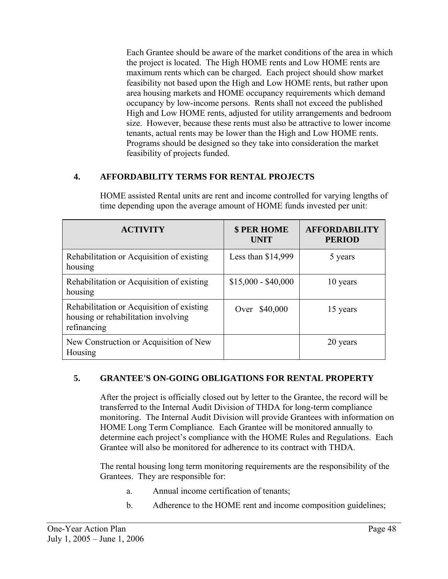Each Grantee should be aware of the market conditions of the area in which the project is located. The High HOME rents and Low HOME rents are maximum rents which can be charged. Each project should show market feasibility not based upon the High and Low HOME rents, but rather upon area housing markets and HOME occupancy requirements which demand occupancy by low-income persons. Rents shall not exceed the published High and Low HOME rents, adjusted for utility arrangements and bedroom size. However, because these rents must also be attractive to lower income tenants, actual rents may be lower than the High and Low HOME rents. Programs should be designed so they take into consideration the market feasibility of projects funded.

# **4. AFFORDABILITY TERMS FOR RENTAL PROJECTS**

| <b>ACTIVITY</b>                                                                                 | <b>\$ PER HOME</b><br><b>UNIT</b> | <b>AFFORDABILITY</b><br><b>PERIOD</b> |
|-------------------------------------------------------------------------------------------------|-----------------------------------|---------------------------------------|
| Rehabilitation or Acquisition of existing<br>housing                                            | Less than $$14,999$               | 5 years                               |
| Rehabilitation or Acquisition of existing<br>housing                                            | $$15,000 - $40,000$               | 10 years                              |
| Rehabilitation or Acquisition of existing<br>housing or rehabilitation involving<br>refinancing | Over \$40,000                     | 15 years                              |
| New Construction or Acquisition of New<br>Housing                                               |                                   | 20 years                              |

 HOME assisted Rental units are rent and income controlled for varying lengths of time depending upon the average amount of HOME funds invested per unit:

# **5. GRANTEE'S ON-GOING OBLIGATIONS FOR RENTAL PROPERTY**

 After the project is officially closed out by letter to the Grantee, the record will be transferred to the Internal Audit Division of THDA for long-term compliance monitoring. The Internal Audit Division will provide Grantees with information on HOME Long Term Compliance. Each Grantee will be monitored annually to determine each project's compliance with the HOME Rules and Regulations. Each Grantee will also be monitored for adherence to its contract with THDA.

The rental housing long term monitoring requirements are the responsibility of the Grantees. They are responsible for:

- a. Annual income certification of tenants;
- b. Adherence to the HOME rent and income composition guidelines;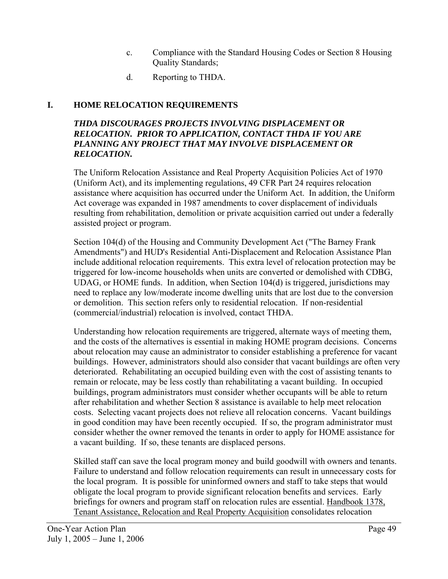- c. Compliance with the Standard Housing Codes or Section 8 Housing Quality Standards;
- d. Reporting to THDA.

# **I. HOME RELOCATION REQUIREMENTS**

#### *THDA DISCOURAGES PROJECTS INVOLVING DISPLACEMENT OR RELOCATION. PRIOR TO APPLICATION, CONTACT THDA IF YOU ARE PLANNING ANY PROJECT THAT MAY INVOLVE DISPLACEMENT OR RELOCATION.*

The Uniform Relocation Assistance and Real Property Acquisition Policies Act of 1970 (Uniform Act), and its implementing regulations, 49 CFR Part 24 requires relocation assistance where acquisition has occurred under the Uniform Act. In addition, the Uniform Act coverage was expanded in 1987 amendments to cover displacement of individuals resulting from rehabilitation, demolition or private acquisition carried out under a federally assisted project or program.

Section 104(d) of the Housing and Community Development Act ("The Barney Frank Amendments") and HUD's Residential Anti-Displacement and Relocation Assistance Plan include additional relocation requirements. This extra level of relocation protection may be triggered for low-income households when units are converted or demolished with CDBG, UDAG, or HOME funds. In addition, when Section 104(d) is triggered, jurisdictions may need to replace any low/moderate income dwelling units that are lost due to the conversion or demolition. This section refers only to residential relocation. If non-residential (commercial/industrial) relocation is involved, contact THDA.

Understanding how relocation requirements are triggered, alternate ways of meeting them, and the costs of the alternatives is essential in making HOME program decisions. Concerns about relocation may cause an administrator to consider establishing a preference for vacant buildings. However, administrators should also consider that vacant buildings are often very deteriorated. Rehabilitating an occupied building even with the cost of assisting tenants to remain or relocate, may be less costly than rehabilitating a vacant building. In occupied buildings, program administrators must consider whether occupants will be able to return after rehabilitation and whether Section 8 assistance is available to help meet relocation costs. Selecting vacant projects does not relieve all relocation concerns. Vacant buildings in good condition may have been recently occupied. If so, the program administrator must consider whether the owner removed the tenants in order to apply for HOME assistance for a vacant building. If so, these tenants are displaced persons.

Skilled staff can save the local program money and build goodwill with owners and tenants. Failure to understand and follow relocation requirements can result in unnecessary costs for the local program. It is possible for uninformed owners and staff to take steps that would obligate the local program to provide significant relocation benefits and services. Early briefings for owners and program staff on relocation rules are essential. Handbook 1378, Tenant Assistance, Relocation and Real Property Acquisition consolidates relocation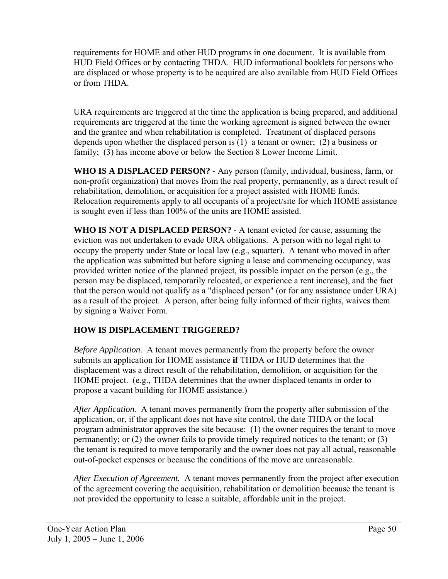requirements for HOME and other HUD programs in one document. It is available from HUD Field Offices or by contacting THDA. HUD informational booklets for persons who are displaced or whose property is to be acquired are also available from HUD Field Offices or from THDA.

URA requirements are triggered at the time the application is being prepared, and additional requirements are triggered at the time the working agreement is signed between the owner and the grantee and when rehabilitation is completed. Treatment of displaced persons depends upon whether the displaced person is (1) a tenant or owner; (2) a business or family; (3) has income above or below the Section 8 Lower Income Limit.

**WHO IS A DISPLACED PERSON? -** Any person (family, individual, business, farm, or non-profit organization) that moves from the real property, permanently, as a direct result of rehabilitation, demolition, or acquisition for a project assisted with HOME funds. Relocation requirements apply to all occupants of a project/site for which HOME assistance is sought even if less than 100% of the units are HOME assisted.

**WHO IS NOT A DISPLACED PERSON?** - A tenant evicted for cause, assuming the eviction was not undertaken to evade URA obligations. A person with no legal right to occupy the property under State or local law (e.g., squatter). A tenant who moved in after the application was submitted but before signing a lease and commencing occupancy, was provided written notice of the planned project, its possible impact on the person (e.g., the person may be displaced, temporarily relocated, or experience a rent increase), and the fact that the person would not qualify as a "displaced person" (or for any assistance under URA) as a result of the project. A person, after being fully informed of their rights, waives them by signing a Waiver Form.

# **HOW IS DISPLACEMENT TRIGGERED?**

*Before Application.* A tenant moves permanently from the property before the owner submits an application for HOME assistance **if** THDA or HUD determines that the displacement was a direct result of the rehabilitation, demolition, or acquisition for the HOME project. (e.g., THDA determines that the owner displaced tenants in order to propose a vacant building for HOME assistance.)

*After Application.* A tenant moves permanently from the property after submission of the application, or, if the applicant does not have site control, the date THDA or the local program administrator approves the site because: (1) the owner requires the tenant to move permanently; or (2) the owner fails to provide timely required notices to the tenant; or (3) the tenant is required to move temporarily and the owner does not pay all actual, reasonable out-of-pocket expenses or because the conditions of the move are unreasonable.

*After Execution of Agreement.* A tenant moves permanently from the project after execution of the agreement covering the acquisition, rehabilitation or demolition because the tenant is not provided the opportunity to lease a suitable, affordable unit in the project.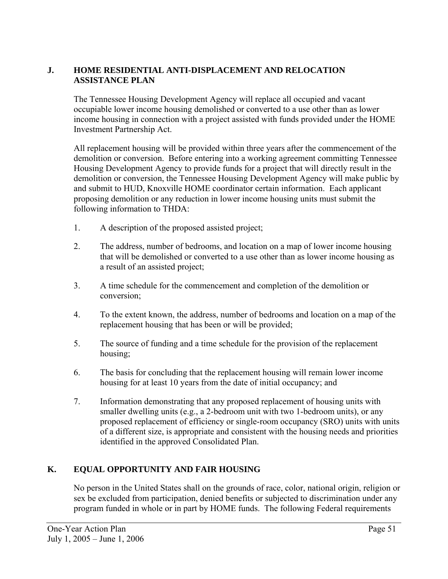# **J. HOME RESIDENTIAL ANTI-DISPLACEMENT AND RELOCATION ASSISTANCE PLAN**

The Tennessee Housing Development Agency will replace all occupied and vacant occupiable lower income housing demolished or converted to a use other than as lower income housing in connection with a project assisted with funds provided under the HOME Investment Partnership Act.

All replacement housing will be provided within three years after the commencement of the demolition or conversion. Before entering into a working agreement committing Tennessee Housing Development Agency to provide funds for a project that will directly result in the demolition or conversion, the Tennessee Housing Development Agency will make public by and submit to HUD, Knoxville HOME coordinator certain information. Each applicant proposing demolition or any reduction in lower income housing units must submit the following information to THDA:

- 1. A description of the proposed assisted project;
- 2. The address, number of bedrooms, and location on a map of lower income housing that will be demolished or converted to a use other than as lower income housing as a result of an assisted project;
- 3. A time schedule for the commencement and completion of the demolition or conversion;
- 4. To the extent known, the address, number of bedrooms and location on a map of the replacement housing that has been or will be provided;
- 5. The source of funding and a time schedule for the provision of the replacement housing;
- 6. The basis for concluding that the replacement housing will remain lower income housing for at least 10 years from the date of initial occupancy; and
- 7. Information demonstrating that any proposed replacement of housing units with smaller dwelling units (e.g., a 2-bedroom unit with two 1-bedroom units), or any proposed replacement of efficiency or single-room occupancy (SRO) units with units of a different size, is appropriate and consistent with the housing needs and priorities identified in the approved Consolidated Plan.

# **K. EQUAL OPPORTUNITY AND FAIR HOUSING**

No person in the United States shall on the grounds of race, color, national origin, religion or sex be excluded from participation, denied benefits or subjected to discrimination under any program funded in whole or in part by HOME funds. The following Federal requirements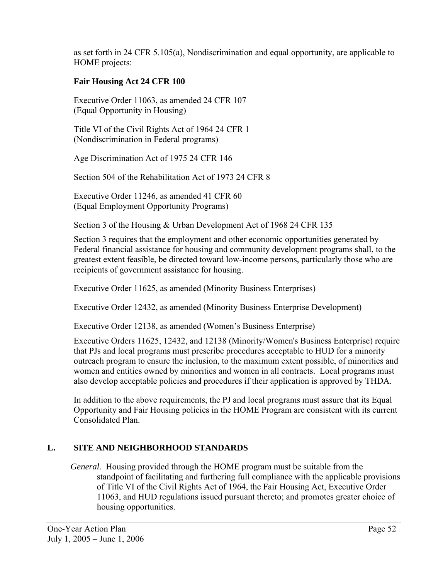as set forth in 24 CFR 5.105(a), Nondiscrimination and equal opportunity, are applicable to HOME projects:

# **Fair Housing Act 24 CFR 100**

 Executive Order 11063, as amended 24 CFR 107 (Equal Opportunity in Housing)

 Title VI of the Civil Rights Act of 1964 24 CFR 1 (Nondiscrimination in Federal programs)

Age Discrimination Act of 1975 24 CFR 146

Section 504 of the Rehabilitation Act of 1973 24 CFR 8

 Executive Order 11246, as amended 41 CFR 60 (Equal Employment Opportunity Programs)

Section 3 of the Housing & Urban Development Act of 1968 24 CFR 135

 Section 3 requires that the employment and other economic opportunities generated by Federal financial assistance for housing and community development programs shall, to the greatest extent feasible, be directed toward low-income persons, particularly those who are recipients of government assistance for housing.

Executive Order 11625, as amended (Minority Business Enterprises)

Executive Order 12432, as amended (Minority Business Enterprise Development)

Executive Order 12138, as amended (Women's Business Enterprise)

 Executive Orders 11625, 12432, and 12138 (Minority/Women's Business Enterprise) require that PJs and local programs must prescribe procedures acceptable to HUD for a minority outreach program to ensure the inclusion, to the maximum extent possible, of minorities and women and entities owned by minorities and women in all contracts. Local programs must also develop acceptable policies and procedures if their application is approved by THDA.

In addition to the above requirements, the PJ and local programs must assure that its Equal Opportunity and Fair Housing policies in the HOME Program are consistent with its current Consolidated Plan.

# **L. SITE AND NEIGHBORHOOD STANDARDS**

*General.* Housing provided through the HOME program must be suitable from the standpoint of facilitating and furthering full compliance with the applicable provisions of Title VI of the Civil Rights Act of 1964, the Fair Housing Act, Executive Order 11063, and HUD regulations issued pursuant thereto; and promotes greater choice of housing opportunities.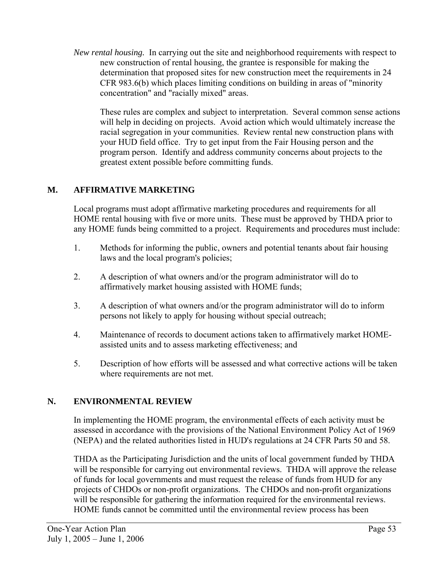*New rental housing.* In carrying out the site and neighborhood requirements with respect to new construction of rental housing, the grantee is responsible for making the determination that proposed sites for new construction meet the requirements in 24 CFR 983.6(b) which places limiting conditions on building in areas of "minority concentration" and "racially mixed" areas.

These rules are complex and subject to interpretation. Several common sense actions will help in deciding on projects. Avoid action which would ultimately increase the racial segregation in your communities. Review rental new construction plans with your HUD field office. Try to get input from the Fair Housing person and the program person. Identify and address community concerns about projects to the greatest extent possible before committing funds.

# **M. AFFIRMATIVE MARKETING**

Local programs must adopt affirmative marketing procedures and requirements for all HOME rental housing with five or more units. These must be approved by THDA prior to any HOME funds being committed to a project. Requirements and procedures must include:

- 1. Methods for informing the public, owners and potential tenants about fair housing laws and the local program's policies;
- 2. A description of what owners and/or the program administrator will do to affirmatively market housing assisted with HOME funds;
- 3. A description of what owners and/or the program administrator will do to inform persons not likely to apply for housing without special outreach;
- 4. Maintenance of records to document actions taken to affirmatively market HOMEassisted units and to assess marketing effectiveness; and
- 5. Description of how efforts will be assessed and what corrective actions will be taken where requirements are not met.

# **N. ENVIRONMENTAL REVIEW**

In implementing the HOME program, the environmental effects of each activity must be assessed in accordance with the provisions of the National Environment Policy Act of 1969 (NEPA) and the related authorities listed in HUD's regulations at 24 CFR Parts 50 and 58.

THDA as the Participating Jurisdiction and the units of local government funded by THDA will be responsible for carrying out environmental reviews. THDA will approve the release of funds for local governments and must request the release of funds from HUD for any projects of CHDOs or non-profit organizations. The CHDOs and non-profit organizations will be responsible for gathering the information required for the environmental reviews. HOME funds cannot be committed until the environmental review process has been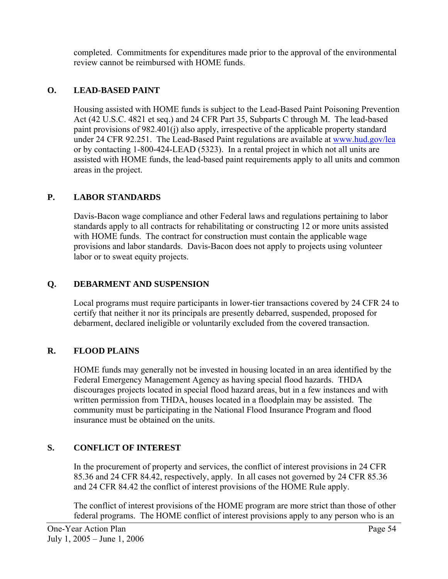completed. Commitments for expenditures made prior to the approval of the environmental review cannot be reimbursed with HOME funds.

# **O. LEAD-BASED PAINT**

Housing assisted with HOME funds is subject to the Lead-Based Paint Poisoning Prevention Act (42 U.S.C. 4821 et seq.) and 24 CFR Part 35, Subparts C through M. The lead-based paint provisions of 982.401(j) also apply, irrespective of the applicable property standard under 24 CFR 92.251. The Lead-Based Paint regulations are available at www.hud.gov/lea or by contacting 1-800-424-LEAD (5323). In a rental project in which not all units are assisted with HOME funds, the lead-based paint requirements apply to all units and common areas in the project.

# **P. LABOR STANDARDS**

Davis-Bacon wage compliance and other Federal laws and regulations pertaining to labor standards apply to all contracts for rehabilitating or constructing 12 or more units assisted with HOME funds. The contract for construction must contain the applicable wage provisions and labor standards. Davis-Bacon does not apply to projects using volunteer labor or to sweat equity projects.

# **Q. DEBARMENT AND SUSPENSION**

Local programs must require participants in lower-tier transactions covered by 24 CFR 24 to certify that neither it nor its principals are presently debarred, suspended, proposed for debarment, declared ineligible or voluntarily excluded from the covered transaction.

# **R. FLOOD PLAINS**

HOME funds may generally not be invested in housing located in an area identified by the Federal Emergency Management Agency as having special flood hazards. THDA discourages projects located in special flood hazard areas, but in a few instances and with written permission from THDA, houses located in a floodplain may be assisted. The community must be participating in the National Flood Insurance Program and flood insurance must be obtained on the units.

# **S. CONFLICT OF INTEREST**

In the procurement of property and services, the conflict of interest provisions in 24 CFR 85.36 and 24 CFR 84.42, respectively, apply. In all cases not governed by 24 CFR 85.36 and 24 CFR 84.42 the conflict of interest provisions of the HOME Rule apply.

The conflict of interest provisions of the HOME program are more strict than those of other federal programs. The HOME conflict of interest provisions apply to any person who is an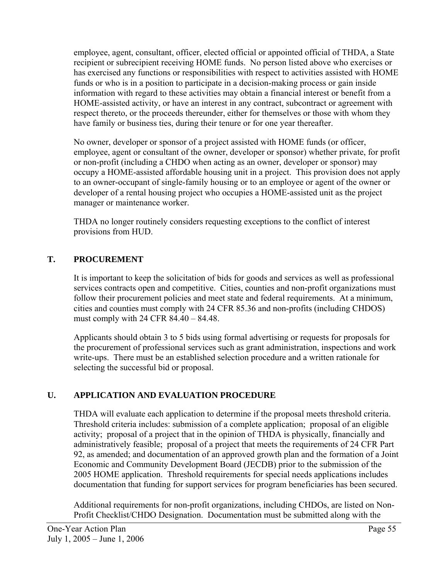employee, agent, consultant, officer, elected official or appointed official of THDA, a State recipient or subrecipient receiving HOME funds. No person listed above who exercises or has exercised any functions or responsibilities with respect to activities assisted with HOME funds or who is in a position to participate in a decision-making process or gain inside information with regard to these activities may obtain a financial interest or benefit from a HOME-assisted activity, or have an interest in any contract, subcontract or agreement with respect thereto, or the proceeds thereunder, either for themselves or those with whom they have family or business ties, during their tenure or for one year thereafter.

No owner, developer or sponsor of a project assisted with HOME funds (or officer, employee, agent or consultant of the owner, developer or sponsor) whether private, for profit or non-profit (including a CHDO when acting as an owner, developer or sponsor) may occupy a HOME-assisted affordable housing unit in a project. This provision does not apply to an owner-occupant of single-family housing or to an employee or agent of the owner or developer of a rental housing project who occupies a HOME-assisted unit as the project manager or maintenance worker.

THDA no longer routinely considers requesting exceptions to the conflict of interest provisions from HUD.

# **T. PROCUREMENT**

It is important to keep the solicitation of bids for goods and services as well as professional services contracts open and competitive. Cities, counties and non-profit organizations must follow their procurement policies and meet state and federal requirements. At a minimum, cities and counties must comply with 24 CFR 85.36 and non-profits (including CHDOS) must comply with 24 CFR 84.40 – 84.48.

Applicants should obtain 3 to 5 bids using formal advertising or requests for proposals for the procurement of professional services such as grant administration, inspections and work write-ups. There must be an established selection procedure and a written rationale for selecting the successful bid or proposal.

# **U. APPLICATION AND EVALUATION PROCEDURE**

THDA will evaluate each application to determine if the proposal meets threshold criteria. Threshold criteria includes: submission of a complete application; proposal of an eligible activity; proposal of a project that in the opinion of THDA is physically, financially and administratively feasible; proposal of a project that meets the requirements of 24 CFR Part 92, as amended; and documentation of an approved growth plan and the formation of a Joint Economic and Community Development Board (JECDB) prior to the submission of the 2005 HOME application. Threshold requirements for special needs applications includes documentation that funding for support services for program beneficiaries has been secured.

Additional requirements for non-profit organizations, including CHDOs, are listed on Non-Profit Checklist/CHDO Designation. Documentation must be submitted along with the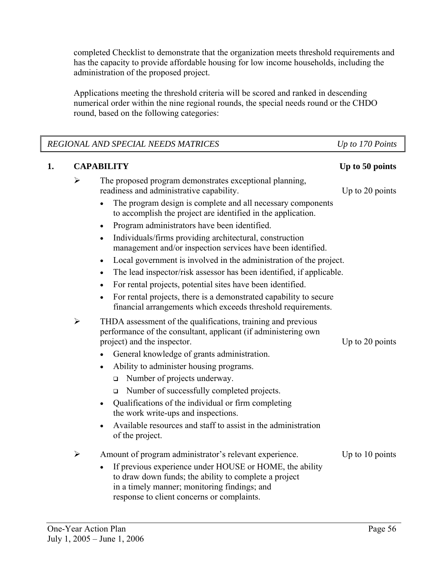completed Checklist to demonstrate that the organization meets threshold requirements and has the capacity to provide affordable housing for low income households, including the administration of the proposed project.

Applications meeting the threshold criteria will be scored and ranked in descending numerical order within the nine regional rounds, the special needs round or the CHDO round, based on the following categories:

|    |                       | REGIONAL AND SPECIAL NEEDS MATRICES                                                                                                                                                                                         | Up to 170 Points  |
|----|-----------------------|-----------------------------------------------------------------------------------------------------------------------------------------------------------------------------------------------------------------------------|-------------------|
| 1. |                       | <b>CAPABILITY</b>                                                                                                                                                                                                           | Up to 50 points   |
|    | $\blacktriangleright$ | The proposed program demonstrates exceptional planning,<br>readiness and administrative capability.                                                                                                                         | Up to 20 points   |
|    |                       | The program design is complete and all necessary components<br>$\bullet$<br>to accomplish the project are identified in the application.                                                                                    |                   |
|    |                       | Program administrators have been identified.<br>$\bullet$                                                                                                                                                                   |                   |
|    |                       | Individuals/firms providing architectural, construction<br>$\bullet$<br>management and/or inspection services have been identified.                                                                                         |                   |
|    |                       | Local government is involved in the administration of the project.<br>$\bullet$                                                                                                                                             |                   |
|    |                       | The lead inspector/risk assessor has been identified, if applicable.<br>$\bullet$                                                                                                                                           |                   |
|    |                       | For rental projects, potential sites have been identified.<br>$\bullet$                                                                                                                                                     |                   |
|    |                       | For rental projects, there is a demonstrated capability to secure<br>$\bullet$<br>financial arrangements which exceeds threshold requirements.                                                                              |                   |
|    | $\blacktriangleright$ | THDA assessment of the qualifications, training and previous<br>performance of the consultant, applicant (if administering own<br>project) and the inspector.                                                               | Up to 20 points   |
|    |                       | General knowledge of grants administration.                                                                                                                                                                                 |                   |
|    |                       | Ability to administer housing programs.<br>$\bullet$                                                                                                                                                                        |                   |
|    |                       | Number of projects underway.<br>$\Box$                                                                                                                                                                                      |                   |
|    |                       | Number of successfully completed projects.<br>$\Box$                                                                                                                                                                        |                   |
|    |                       | Qualifications of the individual or firm completing<br>$\bullet$<br>the work write-ups and inspections.                                                                                                                     |                   |
|    |                       | Available resources and staff to assist in the administration<br>of the project.                                                                                                                                            |                   |
|    | $\blacktriangleright$ | Amount of program administrator's relevant experience.                                                                                                                                                                      | Up to $10$ points |
|    |                       | If previous experience under HOUSE or HOME, the ability<br>$\bullet$<br>to draw down funds; the ability to complete a project<br>in a timely manner; monitoring findings; and<br>response to client concerns or complaints. |                   |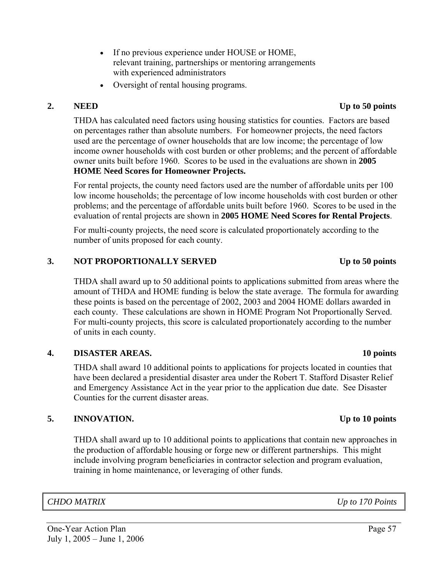- If no previous experience under HOUSE or HOME, relevant training, partnerships or mentoring arrangements with experienced administrators
- Oversight of rental housing programs.

#### **2. NEED Up to 50 points**

 THDA has calculated need factors using housing statistics for counties. Factors are based on percentages rather than absolute numbers. For homeowner projects, the need factors used are the percentage of owner households that are low income; the percentage of low income owner households with cost burden or other problems; and the percent of affordable owner units built before 1960. Scores to be used in the evaluations are shown in **2005 HOME Need Scores for Homeowner Projects.** 

For rental projects, the county need factors used are the number of affordable units per 100 low income households; the percentage of low income households with cost burden or other problems; and the percentage of affordable units built before 1960. Scores to be used in the evaluation of rental projects are shown in **2005 HOME Need Scores for Rental Projects**.

For multi-county projects, the need score is calculated proportionately according to the number of units proposed for each county.

#### 3. NOT PROPORTIONALLY SERVED Up to 50 points

THDA shall award up to 50 additional points to applications submitted from areas where the amount of THDA and HOME funding is below the state average. The formula for awarding these points is based on the percentage of 2002, 2003 and 2004 HOME dollars awarded in each county. These calculations are shown in HOME Program Not Proportionally Served. For multi-county projects, this score is calculated proportionately according to the number of units in each county.

#### **4. DISASTER AREAS. 10 points**

 THDA shall award 10 additional points to applications for projects located in counties that have been declared a presidential disaster area under the Robert T. Stafford Disaster Relief and Emergency Assistance Act in the year prior to the application due date. See Disaster Counties for the current disaster areas.

#### **5. INNOVATION. Up to 10 points**

THDA shall award up to 10 additional points to applications that contain new approaches in the production of affordable housing or forge new or different partnerships. This might include involving program beneficiaries in contractor selection and program evaluation, training in home maintenance, or leveraging of other funds.

#### *CHDO MATRIX Up to 170 Points*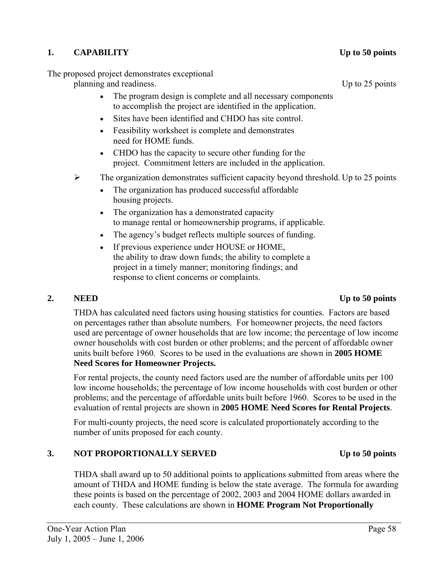# **1. CAPABILITY Up to 50 points**

The proposed project demonstrates exceptional

planning and readiness. Up to 25 points

- The program design is complete and all necessary components to accomplish the project are identified in the application.
- Sites have been identified and CHDO has site control.
- Feasibility worksheet is complete and demonstrates need for HOME funds.
- CHDO has the capacity to secure other funding for the project. Commitment letters are included in the application.
- $\triangleright$  The organization demonstrates sufficient capacity beyond threshold. Up to 25 points
	- The organization has produced successful affordable housing projects.
	- The organization has a demonstrated capacity to manage rental or homeownership programs, if applicable.
	- The agency's budget reflects multiple sources of funding.
	- If previous experience under HOUSE or HOME, the ability to draw down funds; the ability to complete a project in a timely manner; monitoring findings; and response to client concerns or complaints.

# **2. NEED Up to 50 points**

 THDA has calculated need factors using housing statistics for counties. Factors are based on percentages rather than absolute numbers. For homeowner projects, the need factors used are percentage of owner households that are low income; the percentage of low income owner households with cost burden or other problems; and the percent of affordable owner units built before 1960. Scores to be used in the evaluations are shown in **2005 HOME Need Scores for Homeowner Projects.** 

For rental projects, the county need factors used are the number of affordable units per 100 low income households; the percentage of low income households with cost burden or other problems; and the percentage of affordable units built before 1960. Scores to be used in the evaluation of rental projects are shown in **2005 HOME Need Scores for Rental Projects**.

For multi-county projects, the need score is calculated proportionately according to the number of units proposed for each county.

# 3. NOT PROPORTIONALLY SERVED Up to 50 points

THDA shall award up to 50 additional points to applications submitted from areas where the amount of THDA and HOME funding is below the state average. The formula for awarding these points is based on the percentage of 2002, 2003 and 2004 HOME dollars awarded in each county. These calculations are shown in **HOME Program Not Proportionally**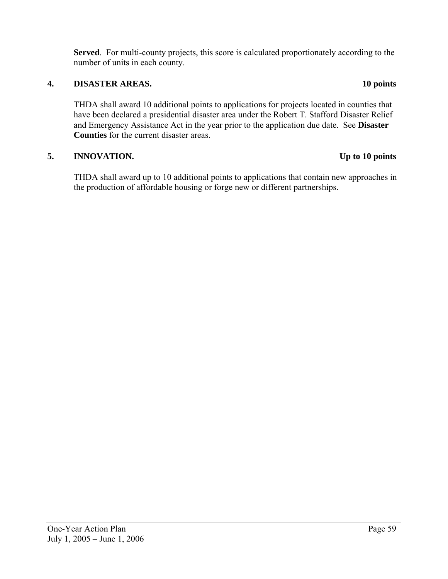**Served**. For multi-county projects, this score is calculated proportionately according to the number of units in each county.

# **4. DISASTER AREAS. 10 points**

THDA shall award 10 additional points to applications for projects located in counties that have been declared a presidential disaster area under the Robert T. Stafford Disaster Relief and Emergency Assistance Act in the year prior to the application due date. See **Disaster Counties** for the current disaster areas.

# **5. INNOVATION. Up to 10 points**

THDA shall award up to 10 additional points to applications that contain new approaches in the production of affordable housing or forge new or different partnerships.

# One-Year Action Plan Page 59 July 1, 2005 – June 1, 2006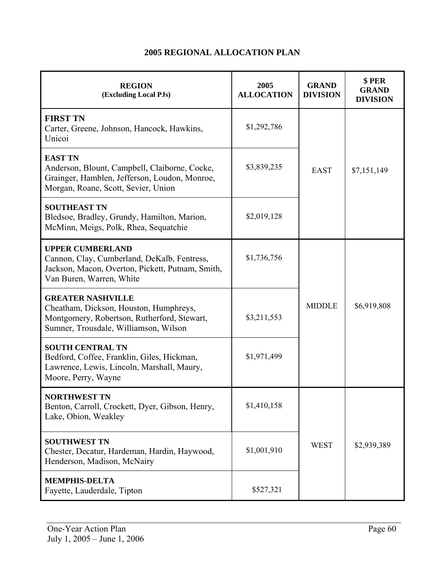| <b>REGION</b><br>(Excluding Local PJs)                                                                                                                     | 2005<br><b>ALLOCATION</b> | <b>GRAND</b><br><b>DIVISION</b> | \$PER<br><b>GRAND</b><br><b>DIVISION</b> |
|------------------------------------------------------------------------------------------------------------------------------------------------------------|---------------------------|---------------------------------|------------------------------------------|
| <b>FIRST TN</b><br>Carter, Greene, Johnson, Hancock, Hawkins,<br>Unicoi                                                                                    | \$1,292,786               |                                 |                                          |
| <b>EAST TN</b><br>Anderson, Blount, Campbell, Claiborne, Cocke,<br>Grainger, Hamblen, Jefferson, Loudon, Monroe,<br>Morgan, Roane, Scott, Sevier, Union    | \$3,839,235               | <b>EAST</b>                     | \$7,151,149                              |
| <b>SOUTHEAST TN</b><br>Bledsoe, Bradley, Grundy, Hamilton, Marion,<br>McMinn, Meigs, Polk, Rhea, Sequatchie                                                | \$2,019,128               |                                 |                                          |
| <b>UPPER CUMBERLAND</b><br>Cannon, Clay, Cumberland, DeKalb, Fentress,<br>Jackson, Macon, Overton, Pickett, Putnam, Smith,<br>Van Buren, Warren, White     | \$1,736,756               |                                 |                                          |
| <b>GREATER NASHVILLE</b><br>Cheatham, Dickson, Houston, Humphreys,<br>Montgomery, Robertson, Rutherford, Stewart,<br>Sumner, Trousdale, Williamson, Wilson | \$3,211,553               | <b>MIDDLE</b>                   | \$6,919,808                              |
| <b>SOUTH CENTRAL TN</b><br>Bedford, Coffee, Franklin, Giles, Hickman,<br>Lawrence, Lewis, Lincoln, Marshall, Maury,<br>Moore, Perry, Wayne                 | \$1,971,499               |                                 |                                          |
| <b>NORTHWEST TN</b><br>Benton, Carroll, Crockett, Dyer, Gibson, Henry,<br>Lake, Obion, Weakley                                                             | \$1,410,158               |                                 |                                          |
| <b>SOUTHWEST TN</b><br>Chester, Decatur, Hardeman, Hardin, Haywood,<br>Henderson, Madison, McNairy                                                         | \$1,001,910               | <b>WEST</b>                     | \$2,939,389                              |
| <b>MEMPHIS-DELTA</b><br>Fayette, Lauderdale, Tipton                                                                                                        | \$527,321                 |                                 |                                          |

# **2005 REGIONAL ALLOCATION PLAN**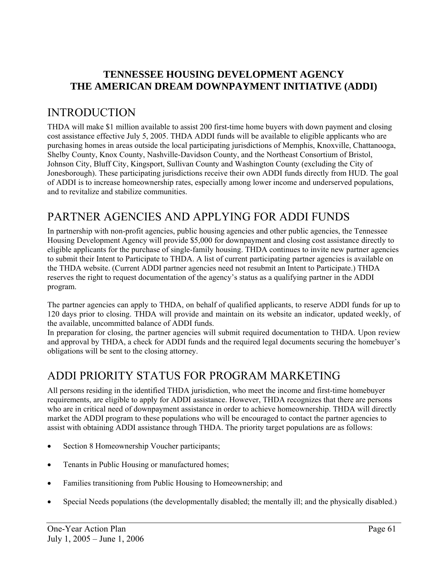# **TENNESSEE HOUSING DEVELOPMENT AGENCY THE AMERICAN DREAM DOWNPAYMENT INITIATIVE (ADDI)**

# INTRODUCTION

THDA will make \$1 million available to assist 200 first-time home buyers with down payment and closing cost assistance effective July 5, 2005. THDA ADDI funds will be available to eligible applicants who are purchasing homes in areas outside the local participating jurisdictions of Memphis, Knoxville, Chattanooga, Shelby County, Knox County, Nashville-Davidson County, and the Northeast Consortium of Bristol, Johnson City, Bluff City, Kingsport, Sullivan County and Washington County (excluding the City of Jonesborough). These participating jurisdictions receive their own ADDI funds directly from HUD. The goal of ADDI is to increase homeownership rates, especially among lower income and underserved populations, and to revitalize and stabilize communities.

# PARTNER AGENCIES AND APPLYING FOR ADDI FUNDS

In partnership with non-profit agencies, public housing agencies and other public agencies, the Tennessee Housing Development Agency will provide \$5,000 for downpayment and closing cost assistance directly to eligible applicants for the purchase of single-family housing. THDA continues to invite new partner agencies to submit their Intent to Participate to THDA. A list of current participating partner agencies is available on the THDA website. (Current ADDI partner agencies need not resubmit an Intent to Participate.) THDA reserves the right to request documentation of the agency's status as a qualifying partner in the ADDI program.

The partner agencies can apply to THDA, on behalf of qualified applicants, to reserve ADDI funds for up to 120 days prior to closing. THDA will provide and maintain on its website an indicator, updated weekly, of the available, uncommitted balance of ADDI funds.

In preparation for closing, the partner agencies will submit required documentation to THDA. Upon review and approval by THDA, a check for ADDI funds and the required legal documents securing the homebuyer's obligations will be sent to the closing attorney.

# ADDI PRIORITY STATUS FOR PROGRAM MARKETING

All persons residing in the identified THDA jurisdiction, who meet the income and first-time homebuyer requirements, are eligible to apply for ADDI assistance. However, THDA recognizes that there are persons who are in critical need of downpayment assistance in order to achieve homeownership. THDA will directly market the ADDI program to these populations who will be encouraged to contact the partner agencies to assist with obtaining ADDI assistance through THDA. The priority target populations are as follows:

- Section 8 Homeownership Voucher participants;
- Tenants in Public Housing or manufactured homes;
- Families transitioning from Public Housing to Homeownership; and
- Special Needs populations (the developmentally disabled; the mentally ill; and the physically disabled.)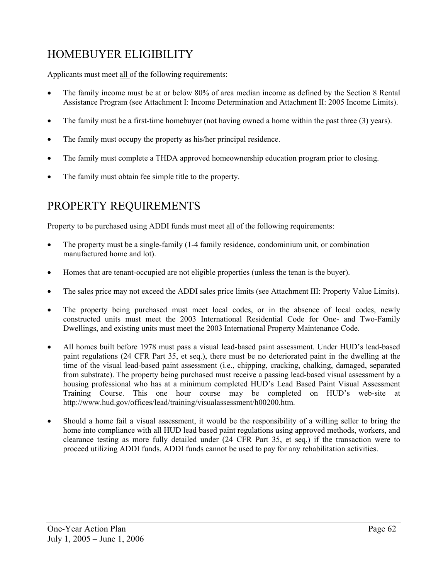# HOMEBUYER ELIGIBILITY

Applicants must meet all of the following requirements:

- The family income must be at or below 80% of area median income as defined by the Section 8 Rental Assistance Program (see Attachment I: Income Determination and Attachment II: 2005 Income Limits).
- The family must be a first-time homebuyer (not having owned a home within the past three (3) years).
- The family must occupy the property as his/her principal residence.
- The family must complete a THDA approved homeownership education program prior to closing.
- The family must obtain fee simple title to the property.

# PROPERTY REQUIREMENTS

Property to be purchased using ADDI funds must meet all of the following requirements:

- The property must be a single-family (1-4 family residence, condominium unit, or combination manufactured home and lot).
- Homes that are tenant-occupied are not eligible properties (unless the tenan is the buyer).
- The sales price may not exceed the ADDI sales price limits (see Attachment III: Property Value Limits).
- The property being purchased must meet local codes, or in the absence of local codes, newly constructed units must meet the 2003 International Residential Code for One- and Two-Family Dwellings, and existing units must meet the 2003 International Property Maintenance Code.
- All homes built before 1978 must pass a visual lead-based paint assessment. Under HUD's lead-based paint regulations (24 CFR Part 35, et seq.), there must be no deteriorated paint in the dwelling at the time of the visual lead-based paint assessment (i.e., chipping, cracking, chalking, damaged, separated from substrate). The property being purchased must receive a passing lead-based visual assessment by a housing professional who has at a minimum completed HUD's Lead Based Paint Visual Assessment Training Course. This one hour course may be completed on HUD's web-site at http://www.hud.gov/offices/lead/training/visualassessment/h00200.htm.
- Should a home fail a visual assessment, it would be the responsibility of a willing seller to bring the home into compliance with all HUD lead based paint regulations using approved methods, workers, and clearance testing as more fully detailed under (24 CFR Part 35, et seq.) if the transaction were to proceed utilizing ADDI funds. ADDI funds cannot be used to pay for any rehabilitation activities.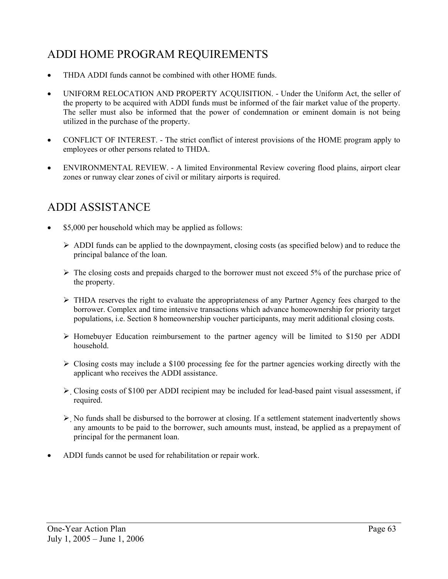# ADDI HOME PROGRAM REQUIREMENTS

- THDA ADDI funds cannot be combined with other HOME funds.
- UNIFORM RELOCATION AND PROPERTY ACOUISITION. Under the Uniform Act, the seller of the property to be acquired with ADDI funds must be informed of the fair market value of the property. The seller must also be informed that the power of condemnation or eminent domain is not being utilized in the purchase of the property.
- CONFLICT OF INTEREST. The strict conflict of interest provisions of the HOME program apply to employees or other persons related to THDA.
- ENVIRONMENTAL REVIEW. A limited Environmental Review covering flood plains, airport clear zones or runway clear zones of civil or military airports is required.

# ADDI ASSISTANCE

- \$5,000 per household which may be applied as follows:
	- $\triangleright$  ADDI funds can be applied to the downpayment, closing costs (as specified below) and to reduce the principal balance of the loan.
	- $\triangleright$  The closing costs and prepaids charged to the borrower must not exceed 5% of the purchase price of the property.
	- $\triangleright$  THDA reserves the right to evaluate the appropriateness of any Partner Agency fees charged to the borrower. Complex and time intensive transactions which advance homeownership for priority target populations, i.e. Section 8 homeownership voucher participants, may merit additional closing costs.
	- ¾ Homebuyer Education reimbursement to the partner agency will be limited to \$150 per ADDI household.
	- $\triangleright$  Closing costs may include a \$100 processing fee for the partner agencies working directly with the applicant who receives the ADDI assistance.
	- $\triangleright$  Closing costs of \$100 per ADDI recipient may be included for lead-based paint visual assessment, if required.
	- ¾ No funds shall be disbursed to the borrower at closing. If a settlement statement inadvertently shows any amounts to be paid to the borrower, such amounts must, instead, be applied as a prepayment of principal for the permanent loan.
- ADDI funds cannot be used for rehabilitation or repair work.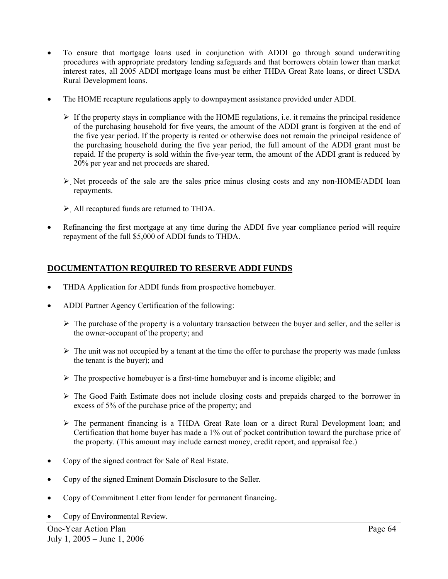- To ensure that mortgage loans used in conjunction with ADDI go through sound underwriting procedures with appropriate predatory lending safeguards and that borrowers obtain lower than market interest rates, all 2005 ADDI mortgage loans must be either THDA Great Rate loans, or direct USDA Rural Development loans.
- The HOME recapture regulations apply to downpayment assistance provided under ADDI.
	- $\triangleright$  If the property stays in compliance with the HOME regulations, i.e. it remains the principal residence of the purchasing household for five years, the amount of the ADDI grant is forgiven at the end of the five year period. If the property is rented or otherwise does not remain the principal residence of the purchasing household during the five year period, the full amount of the ADDI grant must be repaid. If the property is sold within the five-year term, the amount of the ADDI grant is reduced by 20% per year and net proceeds are shared.
	- $\triangleright$  Net proceeds of the sale are the sales price minus closing costs and any non-HOME/ADDI loan repayments.
	- $\triangleright$  All recaptured funds are returned to THDA.
- Refinancing the first mortgage at any time during the ADDI five year compliance period will require repayment of the full \$5,000 of ADDI funds to THDA.

### **DOCUMENTATION REQUIRED TO RESERVE ADDI FUNDS**

- THDA Application for ADDI funds from prospective homebuyer.
- ADDI Partner Agency Certification of the following:
	- $\triangleright$  The purchase of the property is a voluntary transaction between the buyer and seller, and the seller is the owner-occupant of the property; and
	- $\triangleright$  The unit was not occupied by a tenant at the time the offer to purchase the property was made (unless the tenant is the buyer); and
	- $\triangleright$  The prospective homebuyer is a first-time homebuyer and is income eligible; and
	- ¾ The Good Faith Estimate does not include closing costs and prepaids charged to the borrower in excess of 5% of the purchase price of the property; and
	- $\triangleright$  The permanent financing is a THDA Great Rate loan or a direct Rural Development loan; and Certification that home buyer has made a 1% out of pocket contribution toward the purchase price of the property. (This amount may include earnest money, credit report, and appraisal fee.)
- Copy of the signed contract for Sale of Real Estate.
- Copy of the signed Eminent Domain Disclosure to the Seller.
- Copy of Commitment Letter from lender for permanent financing.
- Copy of Environmental Review.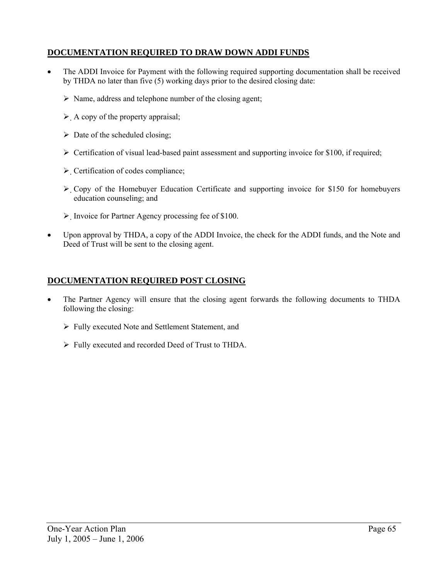# **DOCUMENTATION REQUIRED TO DRAW DOWN ADDI FUNDS**

- The ADDI Invoice for Payment with the following required supporting documentation shall be received by THDA no later than five (5) working days prior to the desired closing date:
	- $\triangleright$  Name, address and telephone number of the closing agent;
	- $\triangleright$  A copy of the property appraisal;
	- $\triangleright$  Date of the scheduled closing;
	- $\triangleright$  Certification of visual lead-based paint assessment and supporting invoice for \$100, if required;
	- $\triangleright$  Certification of codes compliance;
	- $\triangleright$  Copy of the Homebuyer Education Certificate and supporting invoice for \$150 for homebuyers education counseling; and
	- ¾ Invoice for Partner Agency processing fee of \$100.
- Upon approval by THDA, a copy of the ADDI Invoice, the check for the ADDI funds, and the Note and Deed of Trust will be sent to the closing agent.

#### **DOCUMENTATION REQUIRED POST CLOSING**

- The Partner Agency will ensure that the closing agent forwards the following documents to THDA following the closing:
	- $\triangleright$  Fully executed Note and Settlement Statement, and
	- $\triangleright$  Fully executed and recorded Deed of Trust to THDA.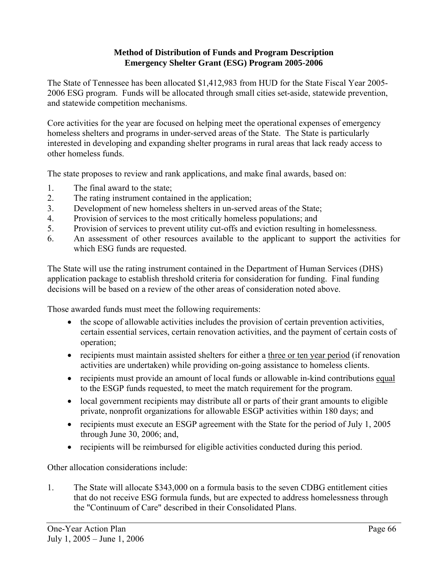#### **Method of Distribution of Funds and Program Description Emergency Shelter Grant (ESG) Program 2005-2006**

The State of Tennessee has been allocated \$1,412,983 from HUD for the State Fiscal Year 2005- 2006 ESG program. Funds will be allocated through small cities set-aside, statewide prevention, and statewide competition mechanisms.

Core activities for the year are focused on helping meet the operational expenses of emergency homeless shelters and programs in under-served areas of the State. The State is particularly interested in developing and expanding shelter programs in rural areas that lack ready access to other homeless funds.

The state proposes to review and rank applications, and make final awards, based on:

- 1. The final award to the state;
- 2. The rating instrument contained in the application;
- 3. Development of new homeless shelters in un-served areas of the State;
- 4. Provision of services to the most critically homeless populations; and
- 5. Provision of services to prevent utility cut-offs and eviction resulting in homelessness.
- 6. An assessment of other resources available to the applicant to support the activities for which ESG funds are requested.

The State will use the rating instrument contained in the Department of Human Services (DHS) application package to establish threshold criteria for consideration for funding. Final funding decisions will be based on a review of the other areas of consideration noted above.

Those awarded funds must meet the following requirements:

- the scope of allowable activities includes the provision of certain prevention activities, certain essential services, certain renovation activities, and the payment of certain costs of operation;
- recipients must maintain assisted shelters for either a three or ten year period (if renovation activities are undertaken) while providing on-going assistance to homeless clients.
- recipients must provide an amount of local funds or allowable in-kind contributions equal to the ESGP funds requested, to meet the match requirement for the program.
- local government recipients may distribute all or parts of their grant amounts to eligible private, nonprofit organizations for allowable ESGP activities within 180 days; and
- recipients must execute an ESGP agreement with the State for the period of July 1, 2005 through June 30, 2006; and,
- recipients will be reimbursed for eligible activities conducted during this period.

Other allocation considerations include:

1. The State will allocate \$343,000 on a formula basis to the seven CDBG entitlement cities that do not receive ESG formula funds, but are expected to address homelessness through the "Continuum of Care" described in their Consolidated Plans.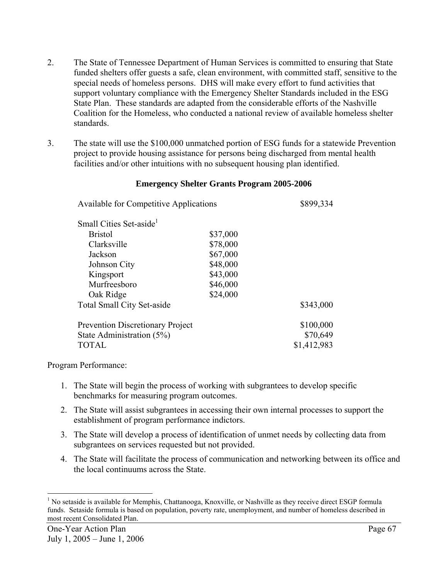- 2. The State of Tennessee Department of Human Services is committed to ensuring that State funded shelters offer guests a safe, clean environment, with committed staff, sensitive to the special needs of homeless persons. DHS will make every effort to fund activities that support voluntary compliance with the Emergency Shelter Standards included in the ESG State Plan. These standards are adapted from the considerable efforts of the Nashville Coalition for the Homeless, who conducted a national review of available homeless shelter standards.
- 3. The state will use the \$100,000 unmatched portion of ESG funds for a statewide Prevention project to provide housing assistance for persons being discharged from mental health facilities and/or other intuitions with no subsequent housing plan identified.

| <b>Available for Competitive Applications</b> | \$899,334 |             |
|-----------------------------------------------|-----------|-------------|
| Small Cities Set-aside <sup>1</sup>           |           |             |
| <b>Bristol</b>                                | \$37,000  |             |
| Clarksville                                   | \$78,000  |             |
| Jackson                                       | \$67,000  |             |
| Johnson City                                  | \$48,000  |             |
| Kingsport                                     | \$43,000  |             |
| Murfreesboro                                  | \$46,000  |             |
| Oak Ridge                                     | \$24,000  |             |
| <b>Total Small City Set-aside</b>             |           | \$343,000   |
| <b>Prevention Discretionary Project</b>       |           | \$100,000   |
| State Administration (5%)                     |           | \$70,649    |
| TOTAL                                         |           | \$1,412,983 |

#### **Emergency Shelter Grants Program 2005-2006**

Program Performance:

- 1. The State will begin the process of working with subgrantees to develop specific benchmarks for measuring program outcomes.
- 2. The State will assist subgrantees in accessing their own internal processes to support the establishment of program performance indictors.
- 3. The State will develop a process of identification of unmet needs by collecting data from subgrantees on services requested but not provided.
- 4. The State will facilitate the process of communication and networking between its office and the local continuums across the State.

l <sup>1</sup> No setaside is available for Memphis, Chattanooga, Knoxville, or Nashville as they receive direct ESGP formula funds. Setaside formula is based on population, poverty rate, unemployment, and number of homeless described in most recent Consolidated Plan.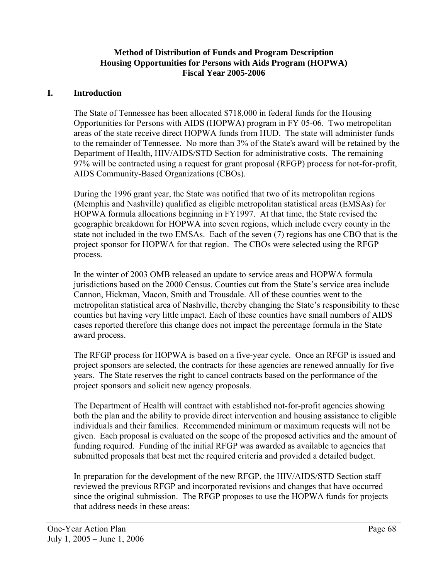#### **Method of Distribution of Funds and Program Description Housing Opportunities for Persons with Aids Program (HOPWA) Fiscal Year 2005-2006**

#### **I. Introduction**

The State of Tennessee has been allocated \$718,000 in federal funds for the Housing Opportunities for Persons with AIDS (HOPWA) program in FY 05-06. Two metropolitan areas of the state receive direct HOPWA funds from HUD. The state will administer funds to the remainder of Tennessee. No more than 3% of the State's award will be retained by the Department of Health, HIV/AIDS/STD Section for administrative costs. The remaining 97% will be contracted using a request for grant proposal (RFGP) process for not-for-profit, AIDS Community-Based Organizations (CBOs).

During the 1996 grant year, the State was notified that two of its metropolitan regions (Memphis and Nashville) qualified as eligible metropolitan statistical areas (EMSAs) for HOPWA formula allocations beginning in FY1997. At that time, the State revised the geographic breakdown for HOPWA into seven regions, which include every county in the state not included in the two EMSAs. Each of the seven (7) regions has one CBO that is the project sponsor for HOPWA for that region. The CBOs were selected using the RFGP process.

In the winter of 2003 OMB released an update to service areas and HOPWA formula jurisdictions based on the 2000 Census. Counties cut from the State's service area include Cannon, Hickman, Macon, Smith and Trousdale. All of these counties went to the metropolitan statistical area of Nashville, thereby changing the State's responsibility to these counties but having very little impact. Each of these counties have small numbers of AIDS cases reported therefore this change does not impact the percentage formula in the State award process.

The RFGP process for HOPWA is based on a five-year cycle. Once an RFGP is issued and project sponsors are selected, the contracts for these agencies are renewed annually for five years. The State reserves the right to cancel contracts based on the performance of the project sponsors and solicit new agency proposals.

The Department of Health will contract with established not-for-profit agencies showing both the plan and the ability to provide direct intervention and housing assistance to eligible individuals and their families. Recommended minimum or maximum requests will not be given. Each proposal is evaluated on the scope of the proposed activities and the amount of funding required. Funding of the initial RFGP was awarded as available to agencies that submitted proposals that best met the required criteria and provided a detailed budget.

In preparation for the development of the new RFGP, the HIV/AIDS/STD Section staff reviewed the previous RFGP and incorporated revisions and changes that have occurred since the original submission. The RFGP proposes to use the HOPWA funds for projects that address needs in these areas: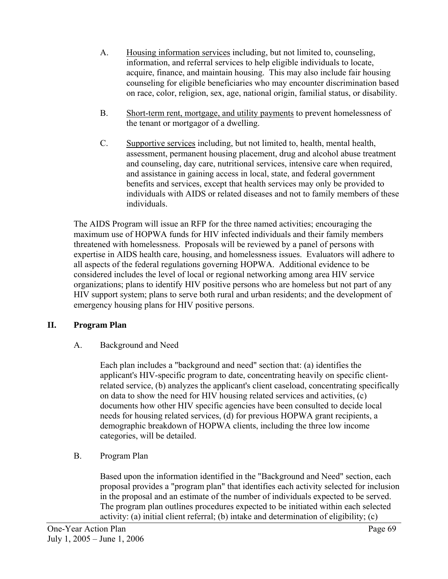- A. Housing information services including, but not limited to, counseling, information, and referral services to help eligible individuals to locate, acquire, finance, and maintain housing. This may also include fair housing counseling for eligible beneficiaries who may encounter discrimination based on race, color, religion, sex, age, national origin, familial status, or disability.
- B. Short-term rent, mortgage, and utility payments to prevent homelessness of the tenant or mortgagor of a dwelling.
- C. Supportive services including, but not limited to, health, mental health, assessment, permanent housing placement, drug and alcohol abuse treatment and counseling, day care, nutritional services, intensive care when required, and assistance in gaining access in local, state, and federal government benefits and services, except that health services may only be provided to individuals with AIDS or related diseases and not to family members of these individuals.

The AIDS Program will issue an RFP for the three named activities; encouraging the maximum use of HOPWA funds for HIV infected individuals and their family members threatened with homelessness. Proposals will be reviewed by a panel of persons with expertise in AIDS health care, housing, and homelessness issues. Evaluators will adhere to all aspects of the federal regulations governing HOPWA. Additional evidence to be considered includes the level of local or regional networking among area HIV service organizations; plans to identify HIV positive persons who are homeless but not part of any HIV support system; plans to serve both rural and urban residents; and the development of emergency housing plans for HIV positive persons.

# **II. Program Plan**

# A. Background and Need

Each plan includes a "background and need" section that: (a) identifies the applicant's HIV-specific program to date, concentrating heavily on specific clientrelated service, (b) analyzes the applicant's client caseload, concentrating specifically on data to show the need for HIV housing related services and activities, (c) documents how other HIV specific agencies have been consulted to decide local needs for housing related services, (d) for previous HOPWA grant recipients, a demographic breakdown of HOPWA clients, including the three low income categories, will be detailed.

# B. Program Plan

Based upon the information identified in the "Background and Need" section, each proposal provides a "program plan" that identifies each activity selected for inclusion in the proposal and an estimate of the number of individuals expected to be served. The program plan outlines procedures expected to be initiated within each selected activity: (a) initial client referral; (b) intake and determination of eligibility; (c)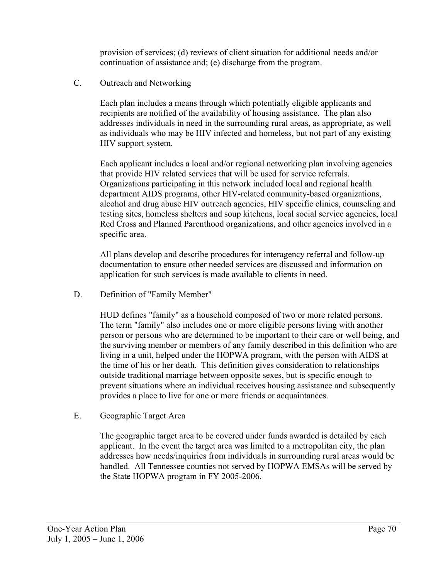provision of services; (d) reviews of client situation for additional needs and/or continuation of assistance and; (e) discharge from the program.

### C. Outreach and Networking

Each plan includes a means through which potentially eligible applicants and recipients are notified of the availability of housing assistance. The plan also addresses individuals in need in the surrounding rural areas, as appropriate, as well as individuals who may be HIV infected and homeless, but not part of any existing HIV support system.

Each applicant includes a local and/or regional networking plan involving agencies that provide HIV related services that will be used for service referrals. Organizations participating in this network included local and regional health department AIDS programs, other HIV-related community-based organizations, alcohol and drug abuse HIV outreach agencies, HIV specific clinics, counseling and testing sites, homeless shelters and soup kitchens, local social service agencies, local Red Cross and Planned Parenthood organizations, and other agencies involved in a specific area.

All plans develop and describe procedures for interagency referral and follow-up documentation to ensure other needed services are discussed and information on application for such services is made available to clients in need.

D. Definition of "Family Member"

HUD defines "family" as a household composed of two or more related persons. The term "family" also includes one or more eligible persons living with another person or persons who are determined to be important to their care or well being, and the surviving member or members of any family described in this definition who are living in a unit, helped under the HOPWA program, with the person with AIDS at the time of his or her death. This definition gives consideration to relationships outside traditional marriage between opposite sexes, but is specific enough to prevent situations where an individual receives housing assistance and subsequently provides a place to live for one or more friends or acquaintances.

E. Geographic Target Area

The geographic target area to be covered under funds awarded is detailed by each applicant. In the event the target area was limited to a metropolitan city, the plan addresses how needs/inquiries from individuals in surrounding rural areas would be handled. All Tennessee counties not served by HOPWA EMSAs will be served by the State HOPWA program in FY 2005-2006.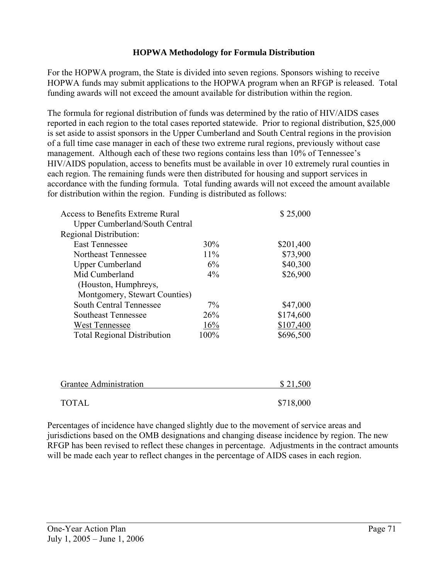#### **HOPWA Methodology for Formula Distribution**

For the HOPWA program, the State is divided into seven regions. Sponsors wishing to receive HOPWA funds may submit applications to the HOPWA program when an RFGP is released. Total funding awards will not exceed the amount available for distribution within the region.

The formula for regional distribution of funds was determined by the ratio of HIV/AIDS cases reported in each region to the total cases reported statewide. Prior to regional distribution, \$25,000 is set aside to assist sponsors in the Upper Cumberland and South Central regions in the provision of a full time case manager in each of these two extreme rural regions, previously without case management. Although each of these two regions contains less than 10% of Tennessee's HIV/AIDS population, access to benefits must be available in over 10 extremely rural counties in each region. The remaining funds were then distributed for housing and support services in accordance with the funding formula. Total funding awards will not exceed the amount available for distribution within the region. Funding is distributed as follows:

| Access to Benefits Extreme Rural      |        | \$25,000  |
|---------------------------------------|--------|-----------|
| <b>Upper Cumberland/South Central</b> |        |           |
| Regional Distribution:                |        |           |
| <b>East Tennessee</b>                 | 30%    | \$201,400 |
| <b>Northeast Tennessee</b>            | $11\%$ | \$73,900  |
| <b>Upper Cumberland</b>               | 6%     | \$40,300  |
| Mid Cumberland                        | $4\%$  | \$26,900  |
| (Houston, Humphreys,                  |        |           |
| Montgomery, Stewart Counties)         |        |           |
| <b>South Central Tennessee</b>        | $7\%$  | \$47,000  |
| <b>Southeast Tennessee</b>            | 26%    | \$174,600 |
| West Tennessee                        | 16%    | \$107,400 |
| <b>Total Regional Distribution</b>    | 100%   | \$696,500 |
|                                       |        |           |
|                                       |        |           |
|                                       |        |           |
| Grantee Administration                |        | \$21,500  |
|                                       |        |           |
| <b>TOTAL</b>                          |        | \$718,000 |

Percentages of incidence have changed slightly due to the movement of service areas and jurisdictions based on the OMB designations and changing disease incidence by region. The new RFGP has been revised to reflect these changes in percentage. Adjustments in the contract amounts will be made each year to reflect changes in the percentage of AIDS cases in each region.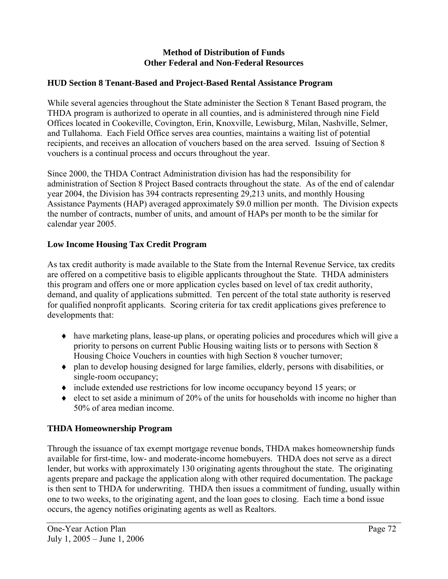## **Method of Distribution of Funds Other Federal and Non-Federal Resources**

# **HUD Section 8 Tenant-Based and Project-Based Rental Assistance Program**

While several agencies throughout the State administer the Section 8 Tenant Based program, the THDA program is authorized to operate in all counties, and is administered through nine Field Offices located in Cookeville, Covington, Erin, Knoxville, Lewisburg, Milan, Nashville, Selmer, and Tullahoma. Each Field Office serves area counties, maintains a waiting list of potential recipients, and receives an allocation of vouchers based on the area served. Issuing of Section 8 vouchers is a continual process and occurs throughout the year.

Since 2000, the THDA Contract Administration division has had the responsibility for administration of Section 8 Project Based contracts throughout the state. As of the end of calendar year 2004, the Division has 394 contracts representing 29,213 units, and monthly Housing Assistance Payments (HAP) averaged approximately \$9.0 million per month. The Division expects the number of contracts, number of units, and amount of HAPs per month to be the similar for calendar year 2005.

# **Low Income Housing Tax Credit Program**

As tax credit authority is made available to the State from the Internal Revenue Service, tax credits are offered on a competitive basis to eligible applicants throughout the State. THDA administers this program and offers one or more application cycles based on level of tax credit authority, demand, and quality of applications submitted. Ten percent of the total state authority is reserved for qualified nonprofit applicants. Scoring criteria for tax credit applications gives preference to developments that:

- $\bullet$  have marketing plans, lease-up plans, or operating policies and procedures which will give a priority to persons on current Public Housing waiting lists or to persons with Section 8 Housing Choice Vouchers in counties with high Section 8 voucher turnover;
- ♦ plan to develop housing designed for large families, elderly, persons with disabilities, or single-room occupancy;
- ♦ include extended use restrictions for low income occupancy beyond 15 years; or
- $\bullet$  elect to set aside a minimum of 20% of the units for households with income no higher than 50% of area median income.

# **THDA Homeownership Program**

Through the issuance of tax exempt mortgage revenue bonds, THDA makes homeownership funds available for first-time, low- and moderate-income homebuyers. THDA does not serve as a direct lender, but works with approximately 130 originating agents throughout the state. The originating agents prepare and package the application along with other required documentation. The package is then sent to THDA for underwriting. THDA then issues a commitment of funding, usually within one to two weeks, to the originating agent, and the loan goes to closing. Each time a bond issue occurs, the agency notifies originating agents as well as Realtors.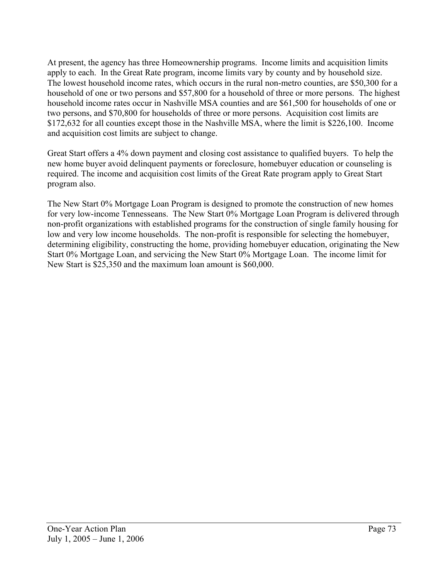At present, the agency has three Homeownership programs. Income limits and acquisition limits apply to each. In the Great Rate program, income limits vary by county and by household size. The lowest household income rates, which occurs in the rural non-metro counties, are \$50,300 for a household of one or two persons and \$57,800 for a household of three or more persons. The highest household income rates occur in Nashville MSA counties and are \$61,500 for households of one or two persons, and \$70,800 for households of three or more persons. Acquisition cost limits are \$172,632 for all counties except those in the Nashville MSA, where the limit is \$226,100. Income and acquisition cost limits are subject to change.

Great Start offers a 4% down payment and closing cost assistance to qualified buyers. To help the new home buyer avoid delinquent payments or foreclosure, homebuyer education or counseling is required. The income and acquisition cost limits of the Great Rate program apply to Great Start program also.

The New Start 0% Mortgage Loan Program is designed to promote the construction of new homes for very low-income Tennesseans. The New Start 0% Mortgage Loan Program is delivered through non-profit organizations with established programs for the construction of single family housing for low and very low income households. The non-profit is responsible for selecting the homebuyer, determining eligibility, constructing the home, providing homebuyer education, originating the New Start 0% Mortgage Loan, and servicing the New Start 0% Mortgage Loan. The income limit for New Start is \$25,350 and the maximum loan amount is \$60,000.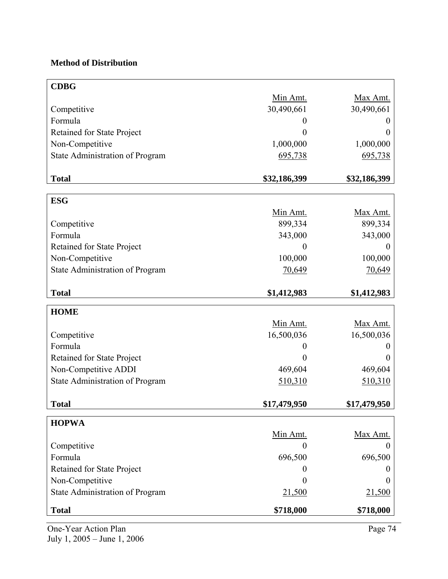# **Method of Distribution**

| <b>CDBG</b>                       |                |              |
|-----------------------------------|----------------|--------------|
|                                   |                |              |
|                                   | Min Amt.       | Max Amt.     |
| Competitive                       | 30,490,661     | 30,490,661   |
| Formula                           | 0              | O            |
| Retained for State Project        | 0              | 0            |
| Non-Competitive                   | 1,000,000      | 1,000,000    |
| State Administration of Program   | 695,738        | 695,738      |
| <b>Total</b>                      | \$32,186,399   | \$32,186,399 |
|                                   |                |              |
| <b>ESG</b>                        |                |              |
|                                   | Min Amt.       | Max Amt.     |
| Competitive                       | 899,334        | 899,334      |
| Formula                           | 343,000        | 343,000      |
| Retained for State Project        | $\overline{0}$ | $\theta$     |
| Non-Competitive                   | 100,000        | 100,000      |
| State Administration of Program   | 70,649         | 70,649       |
|                                   |                |              |
| <b>Total</b>                      | \$1,412,983    | \$1,412,983  |
| <b>HOME</b>                       |                |              |
|                                   | Min Amt.       | Max Amt.     |
| Competitive                       | 16,500,036     | 16,500,036   |
| Formula                           | 0              | O            |
| <b>Retained for State Project</b> | 0              |              |
| Non-Competitive ADDI              | 469,604        | 469,604      |
| State Administration of Program   | 510,310        | 510,310      |
|                                   |                |              |
| <b>Total</b>                      | \$17,479,950   | \$17,479,950 |
| <b>HOPWA</b>                      |                |              |
|                                   | Min Amt.       | Max Amt.     |
| Competitive                       |                |              |
| Formula                           | 696,500        | 696,500      |
| Retained for State Project        | 0              | $\theta$     |
| Non-Competitive                   | 0              |              |
| State Administration of Program   | 21,500         | 21,500       |
|                                   |                |              |
| <b>Total</b>                      | \$718,000      | \$718,000    |

One-Year Action Plan Page 74 July 1, 2005 – June 1, 2006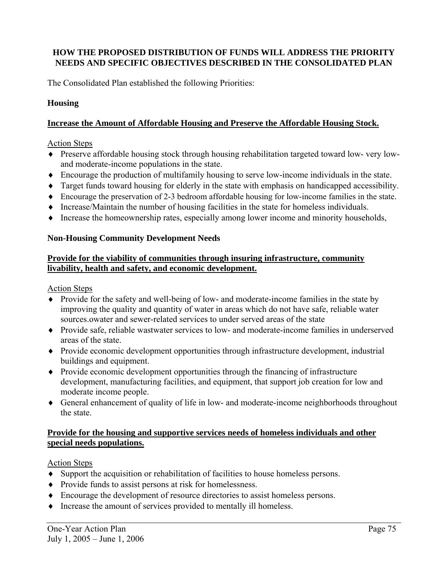# **HOW THE PROPOSED DISTRIBUTION OF FUNDS WILL ADDRESS THE PRIORITY NEEDS AND SPECIFIC OBJECTIVES DESCRIBED IN THE CONSOLIDATED PLAN**

The Consolidated Plan established the following Priorities:

#### **Housing**

#### **Increase the Amount of Affordable Housing and Preserve the Affordable Housing Stock.**

#### Action Steps

- ♦ Preserve affordable housing stock through housing rehabilitation targeted toward low- very lowand moderate-income populations in the state.
- ♦ Encourage the production of multifamily housing to serve low-income individuals in the state.
- ♦ Target funds toward housing for elderly in the state with emphasis on handicapped accessibility.
- ♦ Encourage the preservation of 2-3 bedroom affordable housing for low-income families in the state.
- ♦ Increase/Maintain the number of housing facilities in the state for homeless individuals.
- ♦ Increase the homeownership rates, especially among lower income and minority households,

#### **Non-Housing Community Development Needs**

#### **Provide for the viability of communities through insuring infrastructure, community livability, health and safety, and economic development.**

Action Steps

- ♦ Provide for the safety and well-being of low- and moderate-income families in the state by improving the quality and quantity of water in areas which do not have safe, reliable water sources.owater and sewer-related services to under served areas of the state
- ♦ Provide safe, reliable wastwater services to low- and moderate-income families in underserved areas of the state.
- ♦ Provide economic development opportunities through infrastructure development, industrial buildings and equipment.
- ♦ Provide economic development opportunities through the financing of infrastructure development, manufacturing facilities, and equipment, that support job creation for low and moderate income people.
- ♦ General enhancement of quality of life in low- and moderate-income neighborhoods throughout the state.

#### **Provide for the housing and supportive services needs of homeless individuals and other special needs populations.**

#### Action Steps

- ♦ Support the acquisition or rehabilitation of facilities to house homeless persons.
- ♦ Provide funds to assist persons at risk for homelessness.
- ♦ Encourage the development of resource directories to assist homeless persons.
- ♦ Increase the amount of services provided to mentally ill homeless.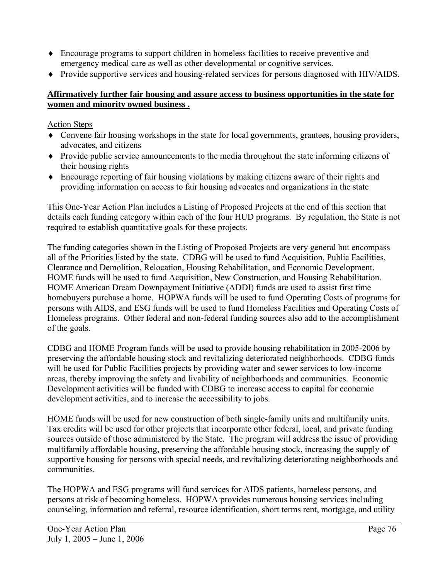- ♦ Encourage programs to support children in homeless facilities to receive preventive and emergency medical care as well as other developmental or cognitive services.
- ♦ Provide supportive services and housing-related services for persons diagnosed with HIV/AIDS.

# **Affirmatively further fair housing and assure access to business opportunities in the state for women and minority owned business .**

Action Steps

- ♦ Convene fair housing workshops in the state for local governments, grantees, housing providers, advocates, and citizens
- ♦ Provide public service announcements to the media throughout the state informing citizens of their housing rights
- ♦ Encourage reporting of fair housing violations by making citizens aware of their rights and providing information on access to fair housing advocates and organizations in the state

This One-Year Action Plan includes a Listing of Proposed Projects at the end of this section that details each funding category within each of the four HUD programs. By regulation, the State is not required to establish quantitative goals for these projects.

The funding categories shown in the Listing of Proposed Projects are very general but encompass all of the Priorities listed by the state. CDBG will be used to fund Acquisition, Public Facilities, Clearance and Demolition, Relocation, Housing Rehabilitation, and Economic Development. HOME funds will be used to fund Acquisition, New Construction, and Housing Rehabilitation. HOME American Dream Downpayment Initiative (ADDI) funds are used to assist first time homebuyers purchase a home. HOPWA funds will be used to fund Operating Costs of programs for persons with AIDS, and ESG funds will be used to fund Homeless Facilities and Operating Costs of Homeless programs. Other federal and non-federal funding sources also add to the accomplishment of the goals.

CDBG and HOME Program funds will be used to provide housing rehabilitation in 2005-2006 by preserving the affordable housing stock and revitalizing deteriorated neighborhoods. CDBG funds will be used for Public Facilities projects by providing water and sewer services to low-income areas, thereby improving the safety and livability of neighborhoods and communities. Economic Development activities will be funded with CDBG to increase access to capital for economic development activities, and to increase the accessibility to jobs.

HOME funds will be used for new construction of both single-family units and multifamily units. Tax credits will be used for other projects that incorporate other federal, local, and private funding sources outside of those administered by the State. The program will address the issue of providing multifamily affordable housing, preserving the affordable housing stock, increasing the supply of supportive housing for persons with special needs, and revitalizing deteriorating neighborhoods and communities.

The HOPWA and ESG programs will fund services for AIDS patients, homeless persons, and persons at risk of becoming homeless. HOPWA provides numerous housing services including counseling, information and referral, resource identification, short terms rent, mortgage, and utility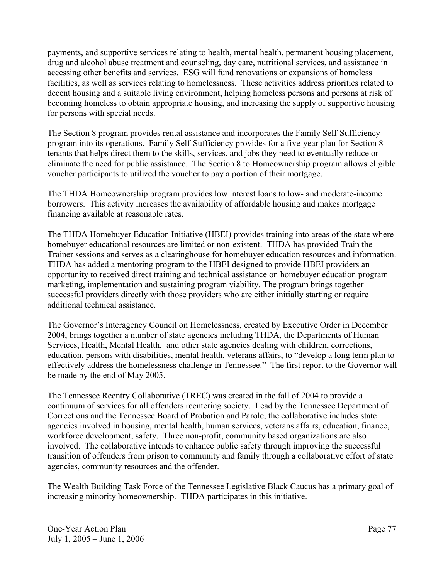payments, and supportive services relating to health, mental health, permanent housing placement, drug and alcohol abuse treatment and counseling, day care, nutritional services, and assistance in accessing other benefits and services. ESG will fund renovations or expansions of homeless facilities, as well as services relating to homelessness. These activities address priorities related to decent housing and a suitable living environment, helping homeless persons and persons at risk of becoming homeless to obtain appropriate housing, and increasing the supply of supportive housing for persons with special needs.

The Section 8 program provides rental assistance and incorporates the Family Self-Sufficiency program into its operations. Family Self-Sufficiency provides for a five-year plan for Section 8 tenants that helps direct them to the skills, services, and jobs they need to eventually reduce or eliminate the need for public assistance. The Section 8 to Homeownership program allows eligible voucher participants to utilized the voucher to pay a portion of their mortgage.

The THDA Homeownership program provides low interest loans to low- and moderate-income borrowers. This activity increases the availability of affordable housing and makes mortgage financing available at reasonable rates.

The THDA Homebuyer Education Initiative (HBEI) provides training into areas of the state where homebuyer educational resources are limited or non-existent. THDA has provided Train the Trainer sessions and serves as a clearinghouse for homebuyer education resources and information. THDA has added a mentoring program to the HBEI designed to provide HBEI providers an opportunity to received direct training and technical assistance on homebuyer education program marketing, implementation and sustaining program viability. The program brings together successful providers directly with those providers who are either initially starting or require additional technical assistance.

The Governor's Interagency Council on Homelessness, created by Executive Order in December 2004, brings together a number of state agencies including THDA, the Departments of Human Services, Health, Mental Health, and other state agencies dealing with children, corrections, education, persons with disabilities, mental health, veterans affairs, to "develop a long term plan to effectively address the homelessness challenge in Tennessee." The first report to the Governor will be made by the end of May 2005.

The Tennessee Reentry Collaborative (TREC) was created in the fall of 2004 to provide a continuum of services for all offenders reentering society. Lead by the Tennessee Department of Corrections and the Tennessee Board of Probation and Parole, the collaborative includes state agencies involved in housing, mental health, human services, veterans affairs, education, finance, workforce development, safety. Three non-profit, community based organizations are also involved. The collaborative intends to enhance public safety through improving the successful transition of offenders from prison to community and family through a collaborative effort of state agencies, community resources and the offender.

The Wealth Building Task Force of the Tennessee Legislative Black Caucus has a primary goal of increasing minority homeownership. THDA participates in this initiative.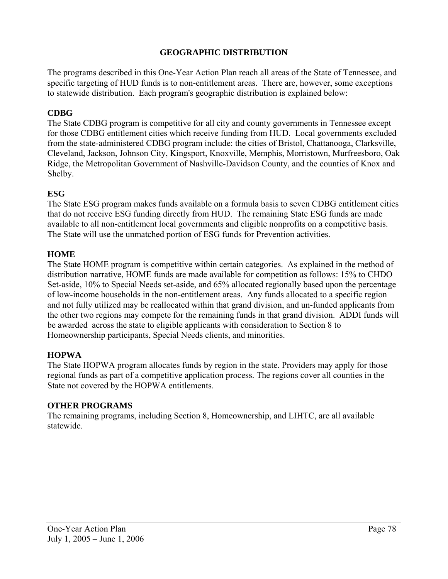## **GEOGRAPHIC DISTRIBUTION**

The programs described in this One-Year Action Plan reach all areas of the State of Tennessee, and specific targeting of HUD funds is to non-entitlement areas. There are, however, some exceptions to statewide distribution. Each program's geographic distribution is explained below:

## **CDBG**

The State CDBG program is competitive for all city and county governments in Tennessee except for those CDBG entitlement cities which receive funding from HUD. Local governments excluded from the state-administered CDBG program include: the cities of Bristol, Chattanooga, Clarksville, Cleveland, Jackson, Johnson City, Kingsport, Knoxville, Memphis, Morristown, Murfreesboro, Oak Ridge, the Metropolitan Government of Nashville-Davidson County, and the counties of Knox and Shelby.

#### **ESG**

The State ESG program makes funds available on a formula basis to seven CDBG entitlement cities that do not receive ESG funding directly from HUD. The remaining State ESG funds are made available to all non-entitlement local governments and eligible nonprofits on a competitive basis. The State will use the unmatched portion of ESG funds for Prevention activities.

## **HOME**

The State HOME program is competitive within certain categories. As explained in the method of distribution narrative, HOME funds are made available for competition as follows: 15% to CHDO Set-aside, 10% to Special Needs set-aside, and 65% allocated regionally based upon the percentage of low-income households in the non-entitlement areas. Any funds allocated to a specific region and not fully utilized may be reallocated within that grand division, and un-funded applicants from the other two regions may compete for the remaining funds in that grand division. ADDI funds will be awarded across the state to eligible applicants with consideration to Section 8 to Homeownership participants, Special Needs clients, and minorities.

#### **HOPWA**

The State HOPWA program allocates funds by region in the state. Providers may apply for those regional funds as part of a competitive application process. The regions cover all counties in the State not covered by the HOPWA entitlements.

#### **OTHER PROGRAMS**

The remaining programs, including Section 8, Homeownership, and LIHTC, are all available statewide.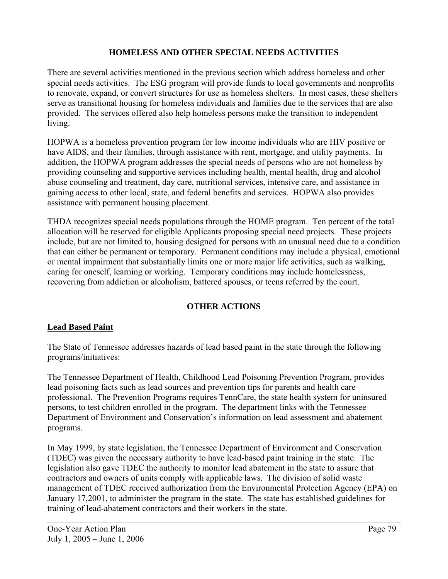# **HOMELESS AND OTHER SPECIAL NEEDS ACTIVITIES**

There are several activities mentioned in the previous section which address homeless and other special needs activities. The ESG program will provide funds to local governments and nonprofits to renovate, expand, or convert structures for use as homeless shelters. In most cases, these shelters serve as transitional housing for homeless individuals and families due to the services that are also provided. The services offered also help homeless persons make the transition to independent living.

HOPWA is a homeless prevention program for low income individuals who are HIV positive or have AIDS, and their families, through assistance with rent, mortgage, and utility payments. In addition, the HOPWA program addresses the special needs of persons who are not homeless by providing counseling and supportive services including health, mental health, drug and alcohol abuse counseling and treatment, day care, nutritional services, intensive care, and assistance in gaining access to other local, state, and federal benefits and services. HOPWA also provides assistance with permanent housing placement.

THDA recognizes special needs populations through the HOME program. Ten percent of the total allocation will be reserved for eligible Applicants proposing special need projects. These projects include, but are not limited to, housing designed for persons with an unusual need due to a condition that can either be permanent or temporary. Permanent conditions may include a physical, emotional or mental impairment that substantially limits one or more major life activities, such as walking, caring for oneself, learning or working. Temporary conditions may include homelessness, recovering from addiction or alcoholism, battered spouses, or teens referred by the court.

#### **OTHER ACTIONS**

#### **Lead Based Paint**

The State of Tennessee addresses hazards of lead based paint in the state through the following programs/initiatives:

The Tennessee Department of Health, Childhood Lead Poisoning Prevention Program, provides lead poisoning facts such as lead sources and prevention tips for parents and health care professional. The Prevention Programs requires TennCare, the state health system for uninsured persons, to test children enrolled in the program. The department links with the Tennessee Department of Environment and Conservation's information on lead assessment and abatement programs.

In May 1999, by state legislation, the Tennessee Department of Environment and Conservation (TDEC) was given the necessary authority to have lead-based paint training in the state. The legislation also gave TDEC the authority to monitor lead abatement in the state to assure that contractors and owners of units comply with applicable laws. The division of solid waste management of TDEC received authorization from the Environmental Protection Agency (EPA) on January 17,2001, to administer the program in the state. The state has established guidelines for training of lead-abatement contractors and their workers in the state.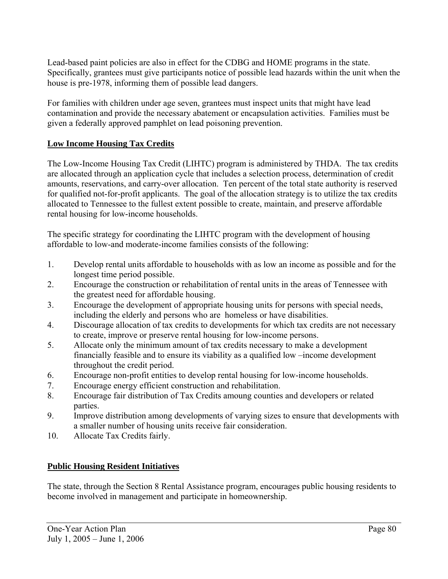Lead-based paint policies are also in effect for the CDBG and HOME programs in the state. Specifically, grantees must give participants notice of possible lead hazards within the unit when the house is pre-1978, informing them of possible lead dangers.

For families with children under age seven, grantees must inspect units that might have lead contamination and provide the necessary abatement or encapsulation activities. Families must be given a federally approved pamphlet on lead poisoning prevention.

# **Low Income Housing Tax Credits**

The Low-Income Housing Tax Credit (LIHTC) program is administered by THDA. The tax credits are allocated through an application cycle that includes a selection process, determination of credit amounts, reservations, and carry-over allocation. Ten percent of the total state authority is reserved for qualified not-for-profit applicants. The goal of the allocation strategy is to utilize the tax credits allocated to Tennessee to the fullest extent possible to create, maintain, and preserve affordable rental housing for low-income households.

The specific strategy for coordinating the LIHTC program with the development of housing affordable to low-and moderate-income families consists of the following:

- 1. Develop rental units affordable to households with as low an income as possible and for the longest time period possible.
- 2. Encourage the construction or rehabilitation of rental units in the areas of Tennessee with the greatest need for affordable housing.
- 3. Encourage the development of appropriate housing units for persons with special needs, including the elderly and persons who are homeless or have disabilities.
- 4. Discourage allocation of tax credits to developments for which tax credits are not necessary to create, improve or preserve rental housing for low-income persons.
- 5. Allocate only the minimum amount of tax credits necessary to make a development financially feasible and to ensure its viability as a qualified low –income development throughout the credit period.
- 6. Encourage non-profit entities to develop rental housing for low-income households.
- 7. Encourage energy efficient construction and rehabilitation.
- 8. Encourage fair distribution of Tax Credits amoung counties and developers or related parties.
- 9. Improve distribution among developments of varying sizes to ensure that developments with a smaller number of housing units receive fair consideration.
- 10. Allocate Tax Credits fairly.

# **Public Housing Resident Initiatives**

The state, through the Section 8 Rental Assistance program, encourages public housing residents to become involved in management and participate in homeownership.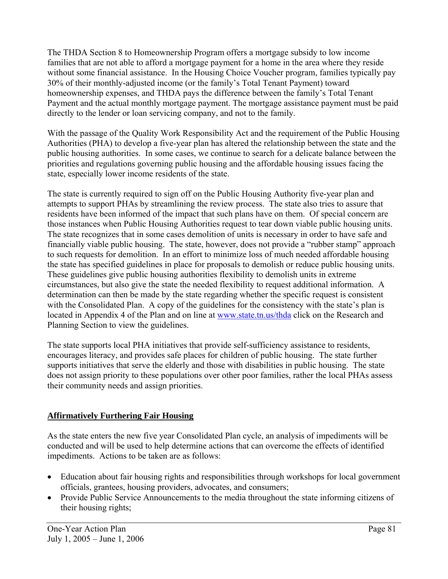The THDA Section 8 to Homeownership Program offers a mortgage subsidy to low income families that are not able to afford a mortgage payment for a home in the area where they reside without some financial assistance. In the Housing Choice Voucher program, families typically pay 30% of their monthly-adjusted income (or the family's Total Tenant Payment) toward homeownership expenses, and THDA pays the difference between the family's Total Tenant Payment and the actual monthly mortgage payment. The mortgage assistance payment must be paid directly to the lender or loan servicing company, and not to the family.

With the passage of the Quality Work Responsibility Act and the requirement of the Public Housing Authorities (PHA) to develop a five-year plan has altered the relationship between the state and the public housing authorities. In some cases, we continue to search for a delicate balance between the priorities and regulations governing public housing and the affordable housing issues facing the state, especially lower income residents of the state.

The state is currently required to sign off on the Public Housing Authority five-year plan and attempts to support PHAs by streamlining the review process. The state also tries to assure that residents have been informed of the impact that such plans have on them. Of special concern are those instances when Public Housing Authorities request to tear down viable public housing units. The state recognizes that in some cases demolition of units is necessary in order to have safe and financially viable public housing. The state, however, does not provide a "rubber stamp" approach to such requests for demolition. In an effort to minimize loss of much needed affordable housing the state has specified guidelines in place for proposals to demolish or reduce public housing units. These guidelines give public housing authorities flexibility to demolish units in extreme circumstances, but also give the state the needed flexibility to request additional information. A determination can then be made by the state regarding whether the specific request is consistent with the Consolidated Plan. A copy of the guidelines for the consistency with the state's plan is located in Appendix 4 of the Plan and on line at www.state.tn.us/thda click on the Research and Planning Section to view the guidelines.

The state supports local PHA initiatives that provide self-sufficiency assistance to residents, encourages literacy, and provides safe places for children of public housing. The state further supports initiatives that serve the elderly and those with disabilities in public housing. The state does not assign priority to these populations over other poor families, rather the local PHAs assess their community needs and assign priorities.

# **Affirmatively Furthering Fair Housing**

As the state enters the new five year Consolidated Plan cycle, an analysis of impediments will be conducted and will be used to help determine actions that can overcome the effects of identified impediments. Actions to be taken are as follows:

- Education about fair housing rights and responsibilities through workshops for local government officials, grantees, housing providers, advocates, and consumers;
- Provide Public Service Announcements to the media throughout the state informing citizens of their housing rights;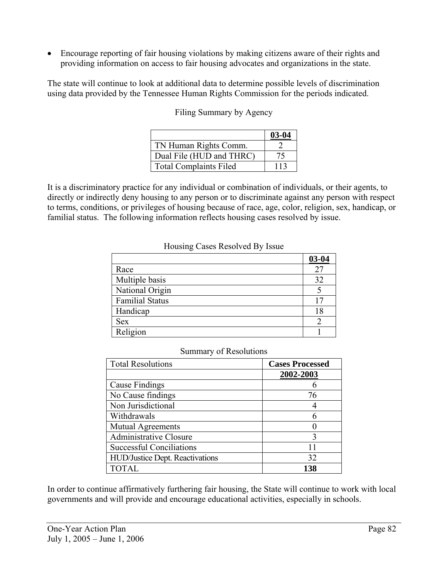• Encourage reporting of fair housing violations by making citizens aware of their rights and providing information on access to fair housing advocates and organizations in the state.

The state will continue to look at additional data to determine possible levels of discrimination using data provided by the Tennessee Human Rights Commission for the periods indicated.

|                               | $03-04$ |
|-------------------------------|---------|
| TN Human Rights Comm.         |         |
| Dual File (HUD and THRC)      |         |
| <b>Total Complaints Filed</b> | 113     |

Filing Summary by Agency

It is a discriminatory practice for any individual or combination of individuals, or their agents, to directly or indirectly deny housing to any person or to discriminate against any person with respect to terms, conditions, or privileges of housing because of race, age, color, religion, sex, handicap, or familial status. The following information reflects housing cases resolved by issue.

#### Housing Cases Resolved By Issue

|                        | $03 - 04$ |
|------------------------|-----------|
| Race                   | 27        |
| Multiple basis         | 32        |
| National Origin        |           |
| <b>Familial Status</b> |           |
| Handicap               | 18        |
| <b>Sex</b>             |           |
| Religion               |           |

#### Summary of Resolutions

| <b>Total Resolutions</b>               | <b>Cases Processed</b> |
|----------------------------------------|------------------------|
|                                        | 2002-2003              |
| Cause Findings                         | h                      |
| No Cause findings                      | 76                     |
| Non Jurisdictional                     |                        |
| Withdrawals                            | 6                      |
| Mutual Agreements                      |                        |
| Administrative Closure                 | 3                      |
| <b>Successful Conciliations</b>        |                        |
| <b>HUD/Justice Dept. Reactivations</b> | 32                     |
| <b>TOTAL</b>                           | 138                    |

In order to continue affirmatively furthering fair housing, the State will continue to work with local governments and will provide and encourage educational activities, especially in schools.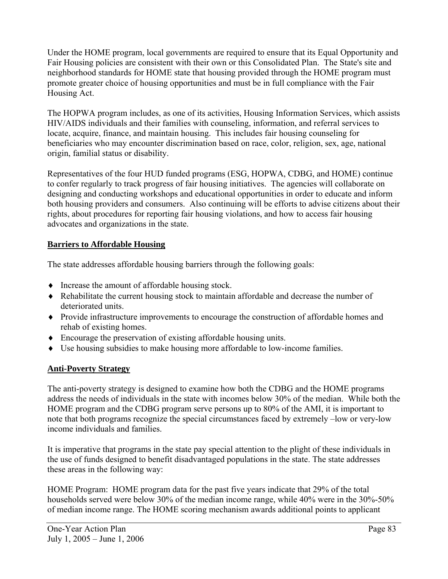Under the HOME program, local governments are required to ensure that its Equal Opportunity and Fair Housing policies are consistent with their own or this Consolidated Plan. The State's site and neighborhood standards for HOME state that housing provided through the HOME program must promote greater choice of housing opportunities and must be in full compliance with the Fair Housing Act.

The HOPWA program includes, as one of its activities, Housing Information Services, which assists HIV/AIDS individuals and their families with counseling, information, and referral services to locate, acquire, finance, and maintain housing. This includes fair housing counseling for beneficiaries who may encounter discrimination based on race, color, religion, sex, age, national origin, familial status or disability.

Representatives of the four HUD funded programs (ESG, HOPWA, CDBG, and HOME) continue to confer regularly to track progress of fair housing initiatives. The agencies will collaborate on designing and conducting workshops and educational opportunities in order to educate and inform both housing providers and consumers. Also continuing will be efforts to advise citizens about their rights, about procedures for reporting fair housing violations, and how to access fair housing advocates and organizations in the state.

# **Barriers to Affordable Housing**

The state addresses affordable housing barriers through the following goals:

- ♦ Increase the amount of affordable housing stock.
- ♦ Rehabilitate the current housing stock to maintain affordable and decrease the number of deteriorated units.
- ♦ Provide infrastructure improvements to encourage the construction of affordable homes and rehab of existing homes.
- ♦ Encourage the preservation of existing affordable housing units.
- ♦ Use housing subsidies to make housing more affordable to low-income families.

# **Anti-Poverty Strategy**

The anti-poverty strategy is designed to examine how both the CDBG and the HOME programs address the needs of individuals in the state with incomes below 30% of the median. While both the HOME program and the CDBG program serve persons up to 80% of the AMI, it is important to note that both programs recognize the special circumstances faced by extremely –low or very-low income individuals and families.

It is imperative that programs in the state pay special attention to the plight of these individuals in the use of funds designed to benefit disadvantaged populations in the state. The state addresses these areas in the following way:

HOME Program: HOME program data for the past five years indicate that 29% of the total households served were below 30% of the median income range, while 40% were in the 30%-50% of median income range. The HOME scoring mechanism awards additional points to applicant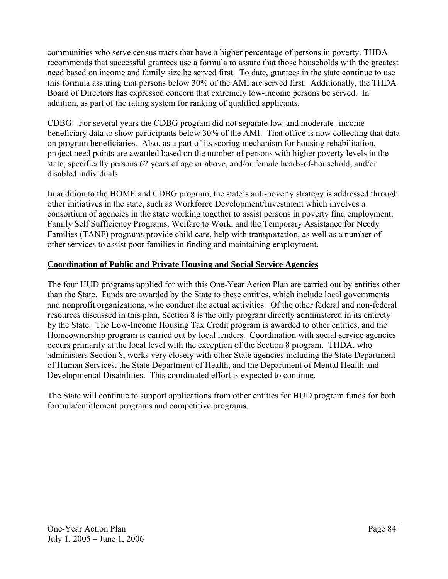communities who serve census tracts that have a higher percentage of persons in poverty. THDA recommends that successful grantees use a formula to assure that those households with the greatest need based on income and family size be served first. To date, grantees in the state continue to use this formula assuring that persons below 30% of the AMI are served first. Additionally, the THDA Board of Directors has expressed concern that extremely low-income persons be served. In addition, as part of the rating system for ranking of qualified applicants,

CDBG: For several years the CDBG program did not separate low-and moderate- income beneficiary data to show participants below 30% of the AMI. That office is now collecting that data on program beneficiaries. Also, as a part of its scoring mechanism for housing rehabilitation, project need points are awarded based on the number of persons with higher poverty levels in the state, specifically persons 62 years of age or above, and/or female heads-of-household, and/or disabled individuals.

In addition to the HOME and CDBG program, the state's anti-poverty strategy is addressed through other initiatives in the state, such as Workforce Development/Investment which involves a consortium of agencies in the state working together to assist persons in poverty find employment. Family Self Sufficiency Programs, Welfare to Work, and the Temporary Assistance for Needy Families (TANF) programs provide child care, help with transportation, as well as a number of other services to assist poor families in finding and maintaining employment.

## **Coordination of Public and Private Housing and Social Service Agencies**

The four HUD programs applied for with this One-Year Action Plan are carried out by entities other than the State. Funds are awarded by the State to these entities, which include local governments and nonprofit organizations, who conduct the actual activities. Of the other federal and non-federal resources discussed in this plan, Section 8 is the only program directly administered in its entirety by the State. The Low-Income Housing Tax Credit program is awarded to other entities, and the Homeownership program is carried out by local lenders. Coordination with social service agencies occurs primarily at the local level with the exception of the Section 8 program. THDA, who administers Section 8, works very closely with other State agencies including the State Department of Human Services, the State Department of Health, and the Department of Mental Health and Developmental Disabilities. This coordinated effort is expected to continue.

The State will continue to support applications from other entities for HUD program funds for both formula/entitlement programs and competitive programs.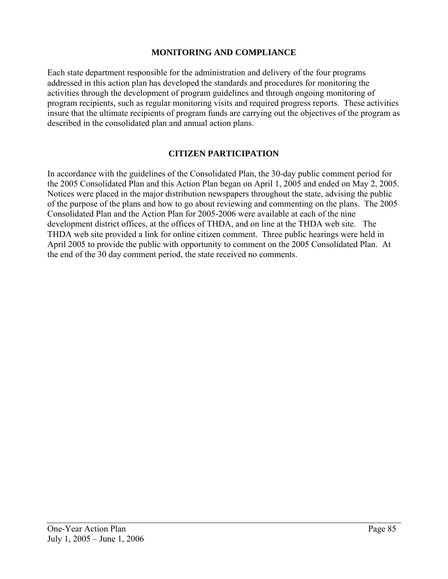#### **MONITORING AND COMPLIANCE**

Each state department responsible for the administration and delivery of the four programs addressed in this action plan has developed the standards and procedures for monitoring the activities through the development of program guidelines and through ongoing monitoring of program recipients, such as regular monitoring visits and required progress reports. These activities insure that the ultimate recipients of program funds are carrying out the objectives of the program as described in the consolidated plan and annual action plans.

## **CITIZEN PARTICIPATION**

In accordance with the guidelines of the Consolidated Plan, the 30-day public comment period for the 2005 Consolidated Plan and this Action Plan began on April 1, 2005 and ended on May 2, 2005. Notices were placed in the major distribution newspapers throughout the state, advising the public of the purpose of the plans and how to go about reviewing and commenting on the plans. The 2005 Consolidated Plan and the Action Plan for 2005-2006 were available at each of the nine development district offices, at the offices of THDA, and on line at the THDA web site. The THDA web site provided a link for online citizen comment. Three public hearings were held in April 2005 to provide the public with opportunity to comment on the 2005 Consolidated Plan. At the end of the 30 day comment period, the state received no comments.